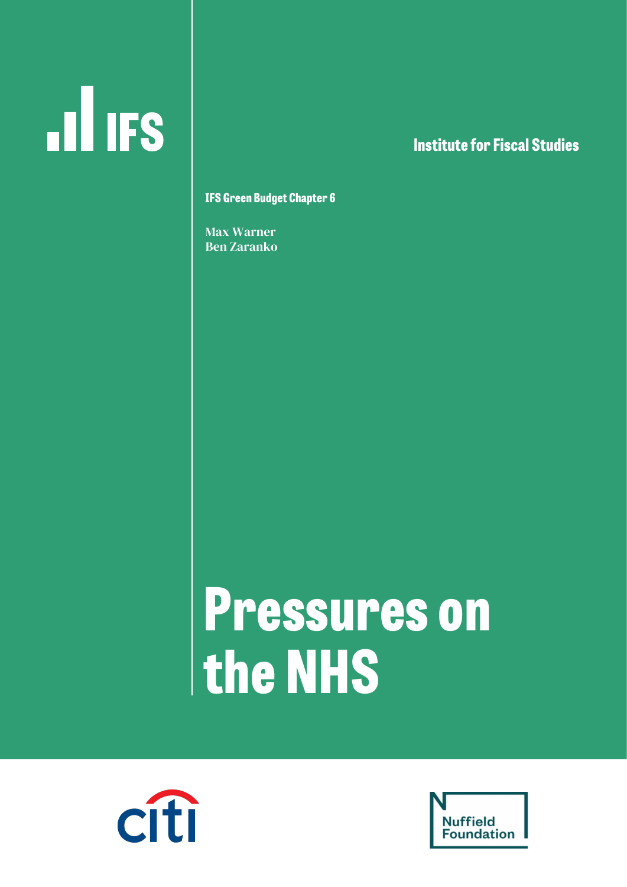# $\mathbf{d}$  ifs

### **lnstitute for Fiscal Studies**

**IFS Green Budget Chapter 6**

Max Warner Ben Zaranko

## **Pressures on the NHS**



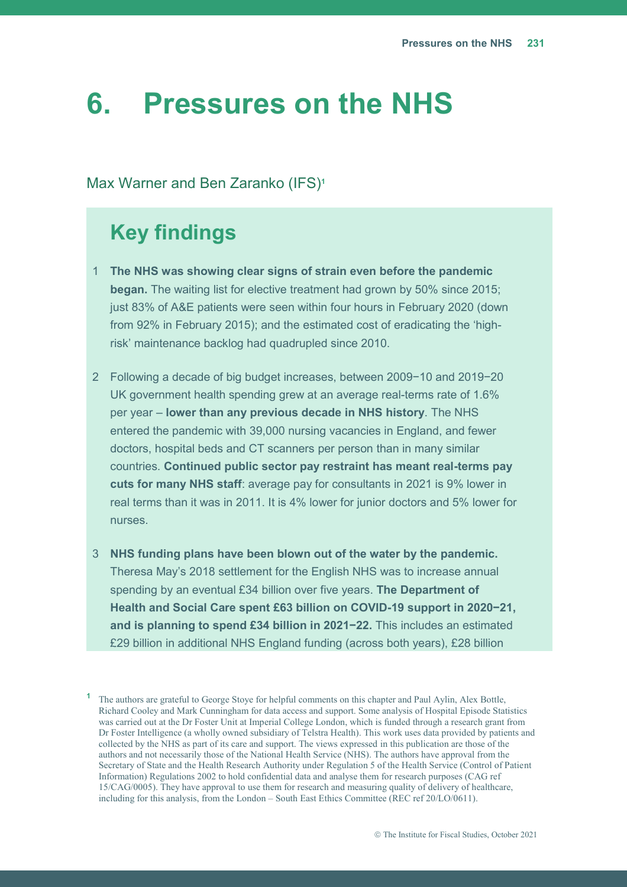## **6. Pressures on the NHS**

#### Max Warner and Ben Zaranko (IFS)**<sup>1</sup>**

## **Key findings**

- 1 **The NHS was showing clear signs of strain even before the pandemic began.** The waiting list for elective treatment had grown by 50% since 2015; just 83% of A&E patients were seen within four hours in February 2020 (down from 92% in February 2015); and the estimated cost of eradicating the 'highrisk' maintenance backlog had quadrupled since 2010.
- 2 Following a decade of big budget increases, between 2009−10 and 2019−20 UK government health spending grew at an average real-terms rate of 1.6% per year – **lower than any previous decade in NHS history**. The NHS entered the pandemic with 39,000 nursing vacancies in England, and fewer doctors, hospital beds and CT scanners per person than in many similar countries. **Continued public sector pay restraint has meant real-terms pay cuts for many NHS staff**: average pay for consultants in 2021 is 9% lower in real terms than it was in 2011. It is 4% lower for junior doctors and 5% lower for nurses.
- 3 **NHS funding plans have been blown out of the water by the pandemic.**  Theresa May's 2018 settlement for the English NHS was to increase annual spending by an eventual £34 billion over five years. **The Department of Health and Social Care spent £63 billion on COVID-19 support in 2020−21, and is planning to spend £34 billion in 2021−22.** This includes an estimated £29 billion in additional NHS England funding (across both years), £28 billion

**<sup>1</sup>** The authors are grateful to George Stoye for helpful comments on this chapter and Paul Aylin, Alex Bottle, Richard Cooley and Mark Cunningham for data access and support. Some analysis of Hospital Episode Statistics was carried out at the Dr Foster Unit at Imperial College London, which is funded through a research grant from Dr Foster Intelligence (a wholly owned subsidiary of Telstra Health). This work uses data provided by patients and collected by the NHS as part of its care and support. The views expressed in this publication are those of the authors and not necessarily those of the National Health Service (NHS). The authors have approval from the Secretary of State and the Health Research Authority under Regulation 5 of the Health Service (Control of Patient Information) Regulations 2002 to hold confidential data and analyse them for research purposes (CAG ref 15/CAG/0005). They have approval to use them for research and measuring quality of delivery of healthcare, including for this analysis, from the London – South East Ethics Committee (REC ref 20/LO/0611).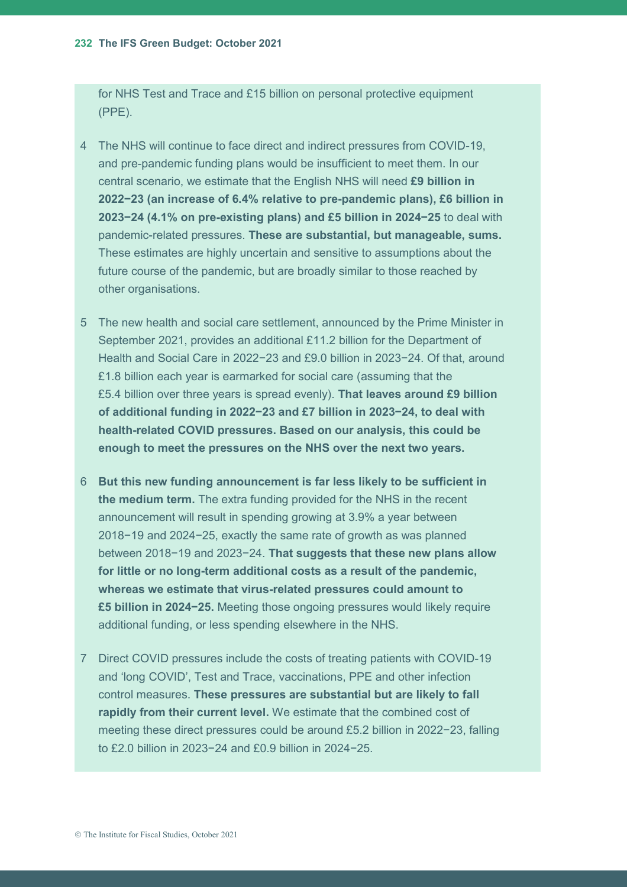for NHS Test and Trace and £15 billion on personal protective equipment (PPE).

- 4 The NHS will continue to face direct and indirect pressures from COVID-19, and pre-pandemic funding plans would be insufficient to meet them. In our central scenario, we estimate that the English NHS will need **£9 billion in 2022−23 (an increase of 6.4% relative to pre-pandemic plans), £6 billion in 2023−24 (4.1% on pre-existing plans) and £5 billion in 2024−25** to deal with pandemic-related pressures. **These are substantial, but manageable, sums.**  These estimates are highly uncertain and sensitive to assumptions about the future course of the pandemic, but are broadly similar to those reached by other organisations.
- 5 The new health and social care settlement, announced by the Prime Minister in September 2021, provides an additional £11.2 billion for the Department of Health and Social Care in 2022−23 and £9.0 billion in 2023−24. Of that, around £1.8 billion each year is earmarked for social care (assuming that the £5.4 billion over three years is spread evenly). **That leaves around £9 billion of additional funding in 2022−23 and £7 billion in 2023−24, to deal with health-related COVID pressures. Based on our analysis, this could be enough to meet the pressures on the NHS over the next two years.**
- 6 **But this new funding announcement is far less likely to be sufficient in the medium term.** The extra funding provided for the NHS in the recent announcement will result in spending growing at 3.9% a year between 2018−19 and 2024−25, exactly the same rate of growth as was planned between 2018−19 and 2023−24. **That suggests that these new plans allow for little or no long-term additional costs as a result of the pandemic, whereas we estimate that virus-related pressures could amount to £5 billion in 2024−25.** Meeting those ongoing pressures would likely require additional funding, or less spending elsewhere in the NHS.
- 7 Direct COVID pressures include the costs of treating patients with COVID-19 and 'long COVID', Test and Trace, vaccinations, PPE and other infection control measures. **These pressures are substantial but are likely to fall rapidly from their current level.** We estimate that the combined cost of meeting these direct pressures could be around £5.2 billion in 2022−23, falling to £2.0 billion in 2023−24 and £0.9 billion in 2024−25.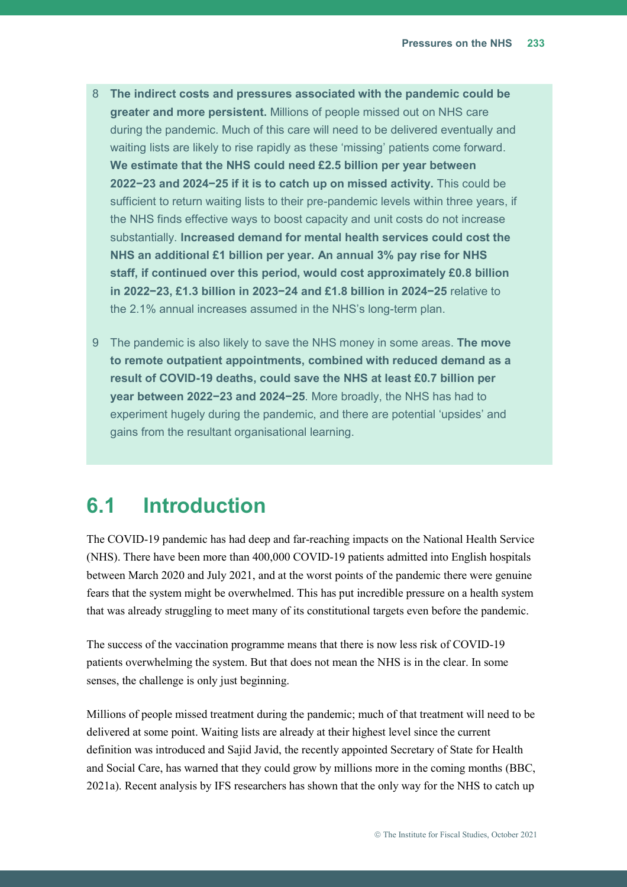- 8 **The indirect costs and pressures associated with the pandemic could be greater and more persistent.** Millions of people missed out on NHS care during the pandemic. Much of this care will need to be delivered eventually and waiting lists are likely to rise rapidly as these 'missing' patients come forward. **We estimate that the NHS could need £2.5 billion per year between 2022−23 and 2024−25 if it is to catch up on missed activity.** This could be sufficient to return waiting lists to their pre-pandemic levels within three years, if the NHS finds effective ways to boost capacity and unit costs do not increase substantially. **Increased demand for mental health services could cost the NHS an additional £1 billion per year. An annual 3% pay rise for NHS staff, if continued over this period, would cost approximately £0.8 billion in 2022−23, £1.3 billion in 2023−24 and £1.8 billion in 2024−25** relative to the 2.1% annual increases assumed in the NHS's long-term plan.
- 9 The pandemic is also likely to save the NHS money in some areas. **The move to remote outpatient appointments, combined with reduced demand as a result of COVID-19 deaths, could save the NHS at least £0.7 billion per year between 2022−23 and 2024−25**. More broadly, the NHS has had to experiment hugely during the pandemic, and there are potential 'upsides' and gains from the resultant organisational learning.

## **6.1 Introduction**

The COVID-19 pandemic has had deep and far-reaching impacts on the National Health Service (NHS). There have been more than 400,000 COVID-19 patients admitted into English hospitals between March 2020 and July 2021, and at the worst points of the pandemic there were genuine fears that the system might be overwhelmed. This has put incredible pressure on a health system that was already struggling to meet many of its constitutional targets even before the pandemic.

The success of the vaccination programme means that there is now less risk of COVID-19 patients overwhelming the system. But that does not mean the NHS is in the clear. In some senses, the challenge is only just beginning.

Millions of people missed treatment during the pandemic; much of that treatment will need to be delivered at some point. Waiting lists are already at their highest level since the current definition was introduced and Sajid Javid, the recently appointed Secretary of State for Health and Social Care, has warned that they could grow by millions more in the coming months (BBC, 2021a). Recent analysis by IFS researchers has shown that the only way for the NHS to catch up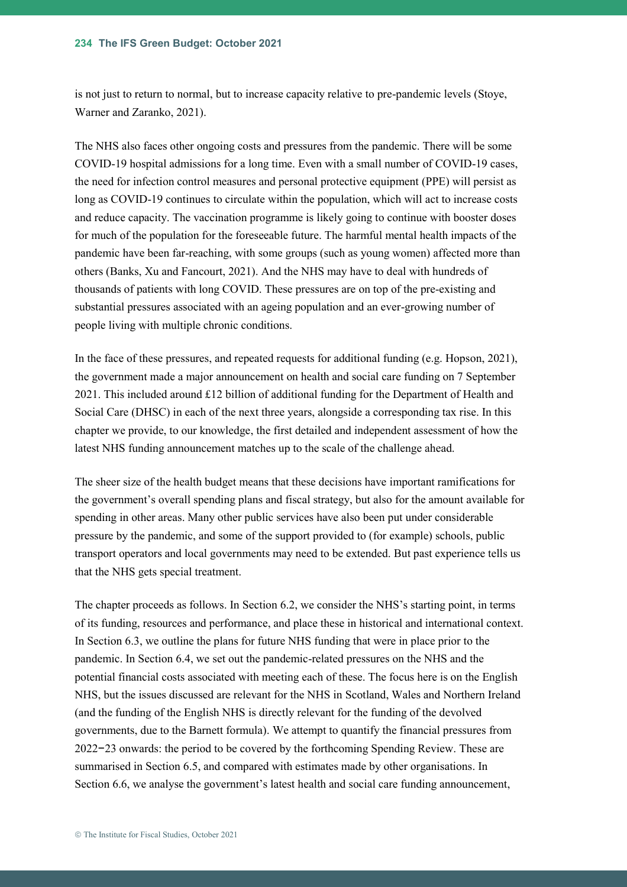is not just to return to normal, but to increase capacity relative to pre-pandemic levels (Stoye, Warner and Zaranko, 2021).

The NHS also faces other ongoing costs and pressures from the pandemic. There will be some COVID-19 hospital admissions for a long time. Even with a small number of COVID-19 cases, the need for infection control measures and personal protective equipment (PPE) will persist as long as COVID-19 continues to circulate within the population, which will act to increase costs and reduce capacity. The vaccination programme is likely going to continue with booster doses for much of the population for the foreseeable future. The harmful mental health impacts of the pandemic have been far-reaching, with some groups (such as young women) affected more than others (Banks, Xu and Fancourt, 2021). And the NHS may have to deal with hundreds of thousands of patients with long COVID. These pressures are on top of the pre-existing and substantial pressures associated with an ageing population and an ever-growing number of people living with multiple chronic conditions.

In the face of these pressures, and repeated requests for additional funding (e.g. Hopson, 2021), the government made a major announcement on health and social care funding on 7 September 2021. This included around £12 billion of additional funding for the Department of Health and Social Care (DHSC) in each of the next three years, alongside a corresponding tax rise. In this chapter we provide, to our knowledge, the first detailed and independent assessment of how the latest NHS funding announcement matches up to the scale of the challenge ahead.

The sheer size of the health budget means that these decisions have important ramifications for the government's overall spending plans and fiscal strategy, but also for the amount available for spending in other areas. Many other public services have also been put under considerable pressure by the pandemic, and some of the support provided to (for example) schools, public transport operators and local governments may need to be extended. But past experience tells us that the NHS gets special treatment.

The chapter proceeds as follows. In Section [6.2](#page-5-0), we consider the NHS's starting point, in terms of its funding, resources and performance, and place these in historical and international context. In Section [6.3,](#page-20-0) we outline the plans for future NHS funding that were in place prior to the pandemic. In Section [6.4,](#page-23-0) we set out the pandemic-related pressures on the NHS and the potential financial costs associated with meeting each of these. The focus here is on the English NHS, but the issues discussed are relevant for the NHS in Scotland, Wales and Northern Ireland (and the funding of the English NHS is directly relevant for the funding of the devolved governments, due to the Barnett formula). We attempt to quantify the financial pressures from 2022−23 onwards: the period to be covered by the forthcoming Spending Review. These are summarised in Section [6.5,](#page-49-0) and compared with estimates made by other organisations. In Section 6.6, we analyse the government's latest health and social care funding announcement,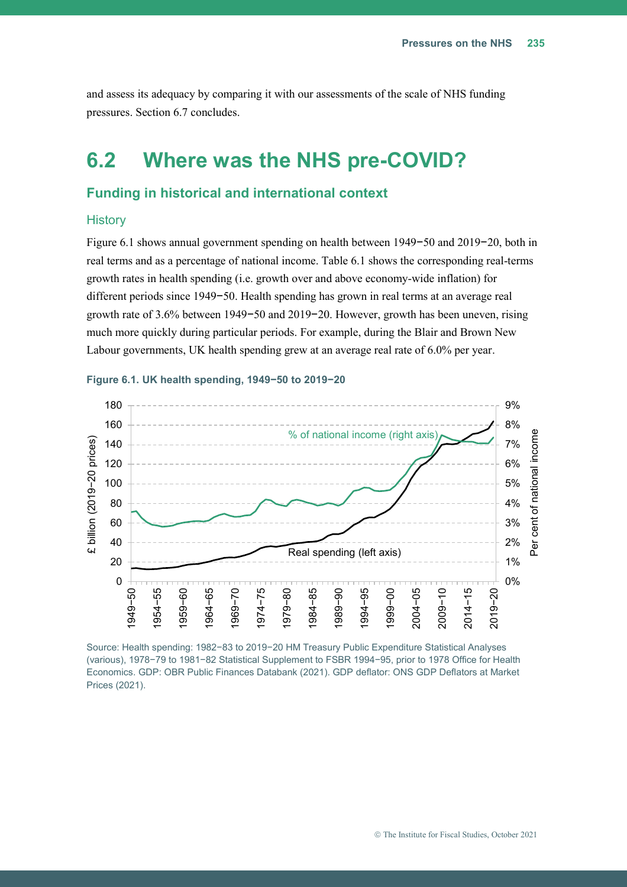<span id="page-5-1"></span>and assess its adequacy by comparing it with our assessments of the scale of NHS funding pressures. Section 6.7 concludes.

## <span id="page-5-0"></span>**6.2 Where was the NHS pre-COVID?**

#### **Funding in historical and international context**

#### **History**

[Figure 6.1](#page-5-1) shows annual government spending on health between 1949−50 and 2019−20, both in real terms and as a percentage of national income. [Table 6.1](#page-6-0) shows the corresponding real-terms growth rates in health spending (i.e. growth over and above economy-wide inflation) for different periods since 1949−50. Health spending has grown in real terms at an average real growth rate of 3.6% between 1949−50 and 2019−20. However, growth has been uneven, rising much more quickly during particular periods. For example, during the Blair and Brown New Labour governments, UK health spending grew at an average real rate of 6.0% per year.



#### **Figure 6.1. UK health spending, 1949−50 to 2019−20**

Source: Health spending: 1982−83 to 2019−20 HM Treasury Public Expenditure Statistical Analyses (various), 1978−79 to 1981−82 Statistical Supplement to FSBR 1994−95, prior to 1978 Office for Health Economics. GDP: OBR Public Finances Databank (2021). GDP deflator: ONS GDP Deflators at Market Prices (2021).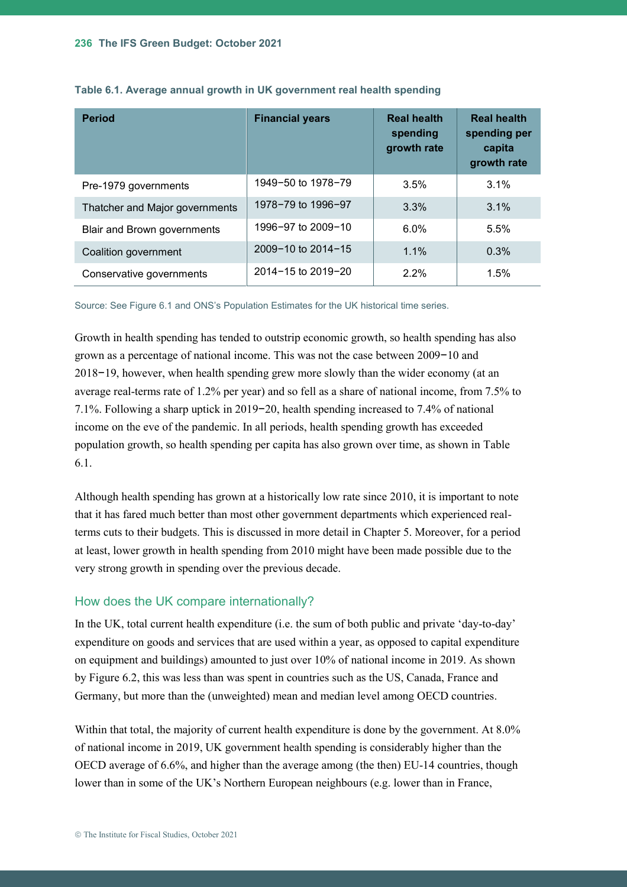| <b>Period</b>                      | <b>Financial years</b> | <b>Real health</b><br>spending<br>growth rate | <b>Real health</b><br>spending per<br>capita<br>growth rate |
|------------------------------------|------------------------|-----------------------------------------------|-------------------------------------------------------------|
| Pre-1979 governments               | 1949-50 to 1978-79     | 3.5%                                          | 3.1%                                                        |
| Thatcher and Major governments     | 1978-79 to 1996-97     | 3.3%                                          | 3.1%                                                        |
| <b>Blair and Brown governments</b> | 1996-97 to 2009-10     | $6.0\%$                                       | 5.5%                                                        |
| Coalition government               | 2009-10 to 2014-15     | $1.1\%$                                       | 0.3%                                                        |
| Conservative governments           | 2014-15 to 2019-20     | $2.2\%$                                       | 1.5%                                                        |

<span id="page-6-0"></span>

| Table 6.1. Average annual growth in UK government real health spending |  |  |  |
|------------------------------------------------------------------------|--|--|--|
|------------------------------------------------------------------------|--|--|--|

Source: See [Figure 6.1](#page-5-1) and ONS's Population Estimates for the UK historical time series.

Growth in health spending has tended to outstrip economic growth, so health spending has also grown as a percentage of national income. This was not the case between 2009−10 and 2018−19, however, when health spending grew more slowly than the wider economy (at an average real-terms rate of 1.2% per year) and so fell as a share of national income, from 7.5% to 7.1%. Following a sharp uptick in 2019−20, health spending increased to 7.4% of national income on the eve of the pandemic. In all periods, health spending growth has exceeded population growth, so health spending per capita has also grown over time, as shown in [Table](#page-6-0)  [6.1.](#page-6-0)

Although health spending has grown at a historically low rate since 2010, it is important to note that it has fared much better than most other government departments which experienced realterms cuts to their budgets. This is discussed in more detail in Chapter 5. Moreover, for a period at least, lower growth in health spending from 2010 might have been made possible due to the very strong growth in spending over the previous decade.

#### How does the UK compare internationally?

In the UK, total current health expenditure (i.e. the sum of both public and private 'day-to-day' expenditure on goods and services that are used within a year, as opposed to capital expenditure on equipment and buildings) amounted to just over 10% of national income in 2019. As shown by [Figure 6.2,](#page-7-0) this was less than was spent in countries such as the US, Canada, France and Germany, but more than the (unweighted) mean and median level among OECD countries.

Within that total, the majority of current health expenditure is done by the government. At 8.0% of national income in 2019, UK government health spending is considerably higher than the OECD average of 6.6%, and higher than the average among (the then) EU-14 countries, though lower than in some of the UK's Northern European neighbours (e.g. lower than in France,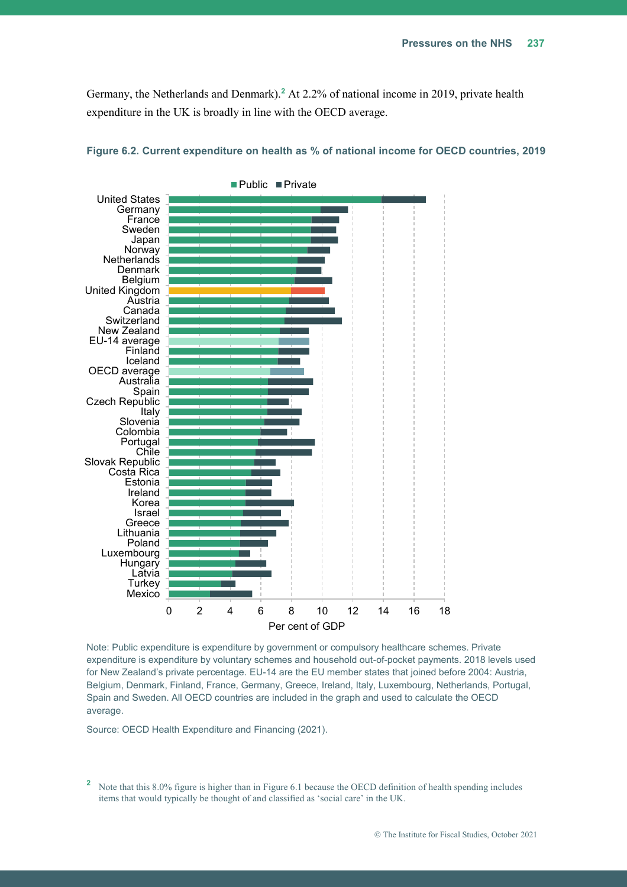Germany, the Netherlands and Denmark).**<sup>2</sup>** At 2.2% of national income in 2019, private health expenditure in the UK is broadly in line with the OECD average.



<span id="page-7-0"></span>

Note: Public expenditure is expenditure by government or compulsory healthcare schemes. Private expenditure is expenditure by voluntary schemes and household out-of-pocket payments. 2018 levels used for New Zealand's private percentage. EU-14 are the EU member states that joined before 2004: Austria, Belgium, Denmark, Finland, France, Germany, Greece, Ireland, Italy, Luxembourg, Netherlands, Portugal, Spain and Sweden. All OECD countries are included in the graph and used to calculate the OECD average.

Source: OECD Health Expenditure and Financing (2021).

<sup>2</sup> Note that this 8.0% figure is higher than i[n Figure 6.1](#page-5-1) because the OECD definition of health spending includes items that would typically be thought of and classified as 'social care' in the UK.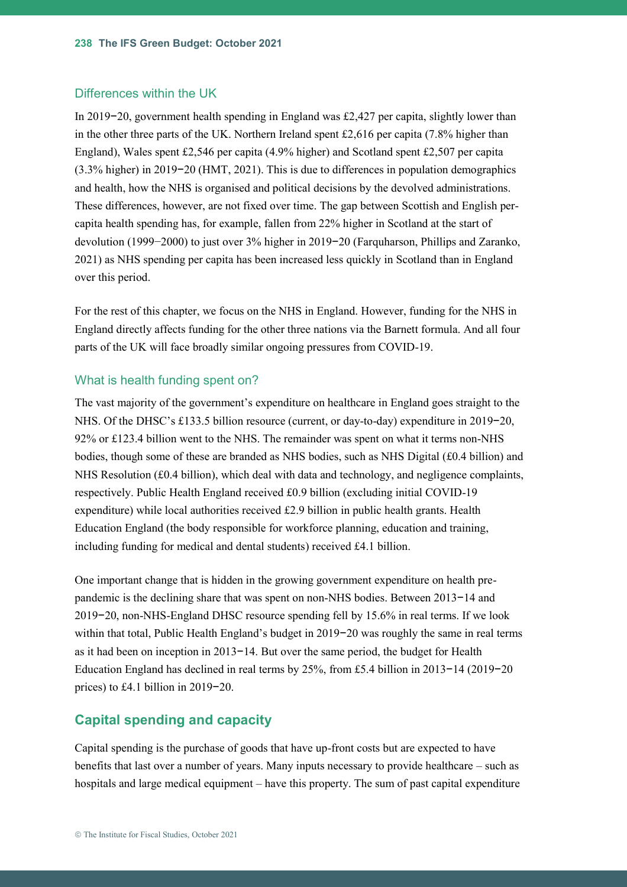#### Differences within the UK

In 2019−20, government health spending in England was £2,427 per capita, slightly lower than in the other three parts of the UK. Northern Ireland spent £2,616 per capita (7.8% higher than England), Wales spent £2,546 per capita (4.9% higher) and Scotland spent £2,507 per capita (3.3% higher) in 2019−20 (HMT, 2021). This is due to differences in population demographics and health, how the NHS is organised and political decisions by the devolved administrations. These differences, however, are not fixed over time. The gap between Scottish and English percapita health spending has, for example, fallen from 22% higher in Scotland at the start of devolution (1999−2000) to just over 3% higher in 2019−20 (Farquharson, Phillips and Zaranko, 2021) as NHS spending per capita has been increased less quickly in Scotland than in England over this period.

For the rest of this chapter, we focus on the NHS in England. However, funding for the NHS in England directly affects funding for the other three nations via the Barnett formula. And all four parts of the UK will face broadly similar ongoing pressures from COVID-19.

#### What is health funding spent on?

The vast majority of the government's expenditure on healthcare in England goes straight to the NHS. Of the DHSC's £133.5 billion resource (current, or day-to-day) expenditure in 2019−20, 92% or £123.4 billion went to the NHS. The remainder was spent on what it terms non-NHS bodies, though some of these are branded as NHS bodies, such as NHS Digital (£0.4 billion) and NHS Resolution (£0.4 billion), which deal with data and technology, and negligence complaints, respectively. Public Health England received £0.9 billion (excluding initial COVID-19 expenditure) while local authorities received £2.9 billion in public health grants. Health Education England (the body responsible for workforce planning, education and training, including funding for medical and dental students) received £4.1 billion.

One important change that is hidden in the growing government expenditure on health prepandemic is the declining share that was spent on non-NHS bodies. Between 2013−14 and 2019−20, non-NHS-England DHSC resource spending fell by 15.6% in real terms. If we look within that total, Public Health England's budget in 2019−20 was roughly the same in real terms as it had been on inception in 2013−14. But over the same period, the budget for Health Education England has declined in real terms by 25%, from £5.4 billion in 2013−14 (2019−20 prices) to £4.1 billion in 2019−20.

#### **Capital spending and capacity**

Capital spending is the purchase of goods that have up-front costs but are expected to have benefits that last over a number of years. Many inputs necessary to provide healthcare – such as hospitals and large medical equipment – have this property. The sum of past capital expenditure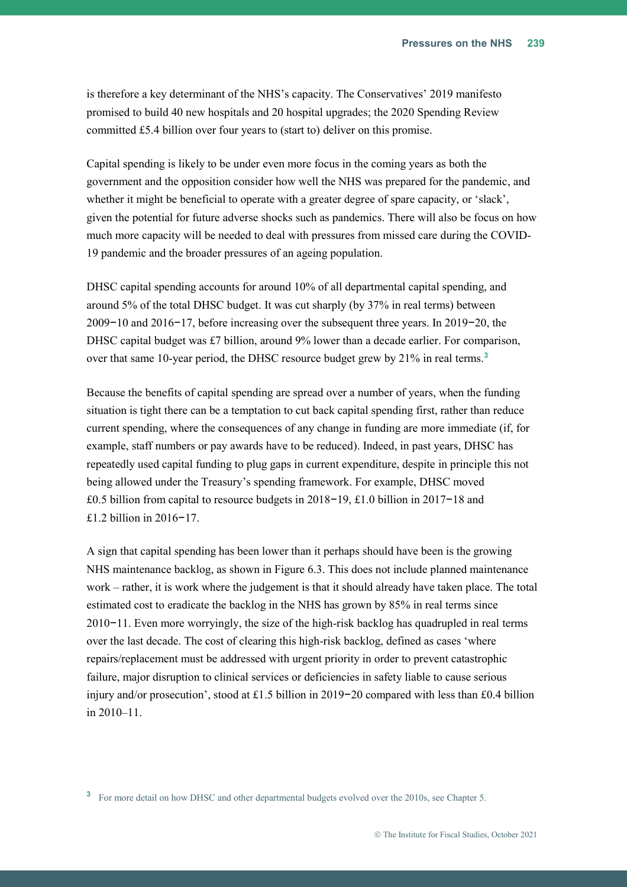is therefore a key determinant of the NHS's capacity. The Conservatives' 2019 manifesto promised to build 40 new hospitals and 20 hospital upgrades; the 2020 Spending Review committed £5.4 billion over four years to (start to) deliver on this promise.

Capital spending is likely to be under even more focus in the coming years as both the government and the opposition consider how well the NHS was prepared for the pandemic, and whether it might be beneficial to operate with a greater degree of spare capacity, or 'slack', given the potential for future adverse shocks such as pandemics. There will also be focus on how much more capacity will be needed to deal with pressures from missed care during the COVID-19 pandemic and the broader pressures of an ageing population.

DHSC capital spending accounts for around 10% of all departmental capital spending, and around 5% of the total DHSC budget. It was cut sharply (by 37% in real terms) between 2009−10 and 2016−17, before increasing over the subsequent three years. In 2019−20, the DHSC capital budget was £7 billion, around  $9\%$  lower than a decade earlier. For comparison, over that same 10-year period, the DHSC resource budget grew by 21% in real terms.**<sup>3</sup>**

Because the benefits of capital spending are spread over a number of years, when the funding situation is tight there can be a temptation to cut back capital spending first, rather than reduce current spending, where the consequences of any change in funding are more immediate (if, for example, staff numbers or pay awards have to be reduced). Indeed, in past years, DHSC has repeatedly used capital funding to plug gaps in current expenditure, despite in principle this not being allowed under the Treasury's spending framework. For example, DHSC moved £0.5 billion from capital to resource budgets in 2018−19, £1.0 billion in 2017−18 and £1.2 billion in 2016−17.

A sign that capital spending has been lower than it perhaps should have been is the growing NHS maintenance backlog, as shown in [Figure 6.3.](#page-10-0) This does not include planned maintenance work – rather, it is work where the judgement is that it should already have taken place. The total estimated cost to eradicate the backlog in the NHS has grown by 85% in real terms since 2010−11. Even more worryingly, the size of the high-risk backlog has quadrupled in real terms over the last decade. The cost of clearing this high-risk backlog, defined as cases 'where repairs/replacement must be addressed with urgent priority in order to prevent catastrophic failure, major disruption to clinical services or deficiencies in safety liable to cause serious injury and/or prosecution', stood at £1.5 billion in 2019−20 compared with less than £0.4 billion in 2010–11.

<sup>3</sup> For more detail on how DHSC and other departmental budgets evolved over the 2010s, see Chapter 5.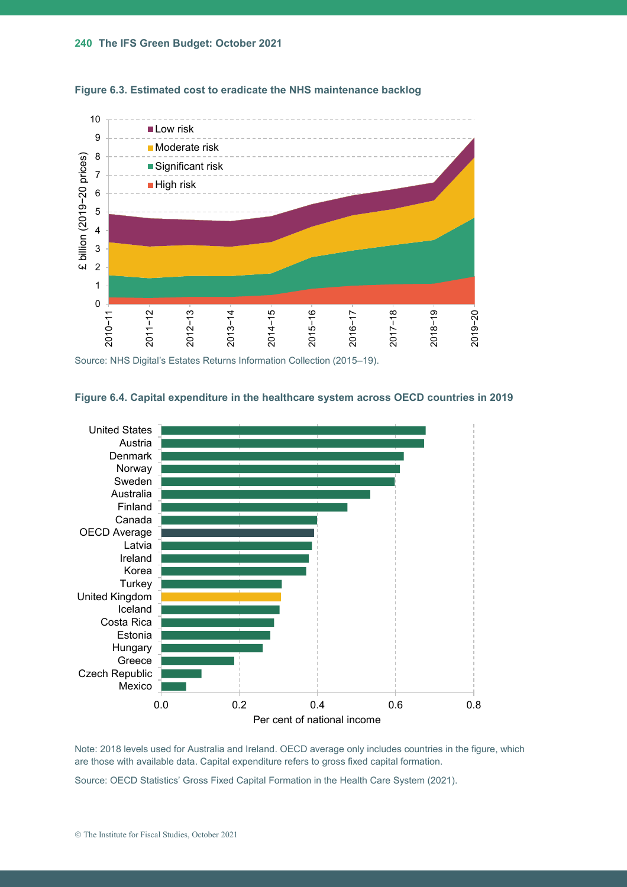<span id="page-10-0"></span>



Source: NHS Digital's Estates Returns Information Collection (2015–19).

#### <span id="page-10-1"></span>**Figure 6.4. Capital expenditure in the healthcare system across OECD countries in 2019**



Note: 2018 levels used for Australia and Ireland. OECD average only includes countries in the figure, which are those with available data. Capital expenditure refers to gross fixed capital formation.

Source: OECD Statistics' Gross Fixed Capital Formation in the Health Care System (2021).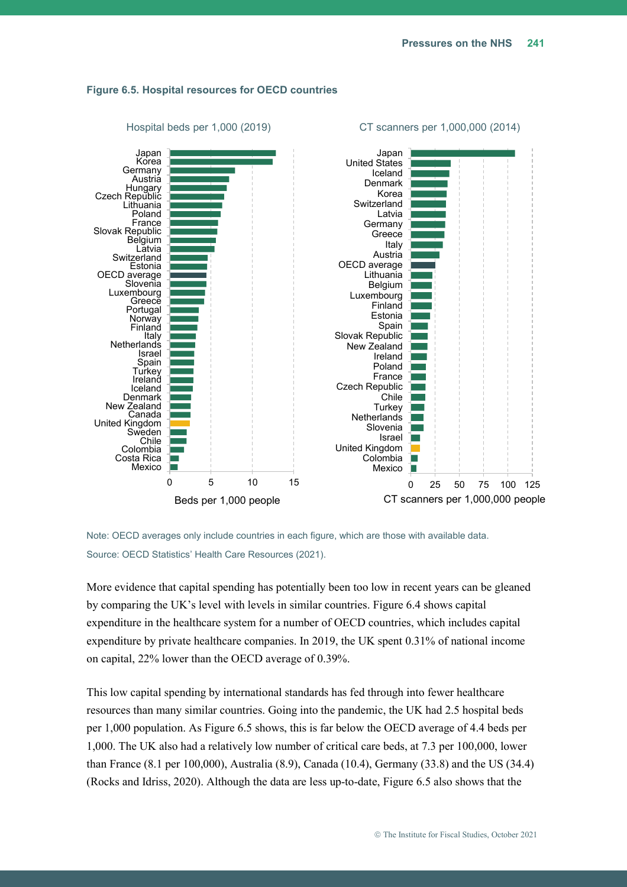

#### <span id="page-11-0"></span>**Figure 6.5. Hospital resources for OECD countries**

Note: OECD averages only include countries in each figure, which are those with available data. Source: OECD Statistics' Health Care Resources (2021).

More evidence that capital spending has potentially been too low in recent years can be gleaned by comparing the UK's level with levels in similar countries. [Figure 6.4](#page-10-1) shows capital expenditure in the healthcare system for a number of OECD countries, which includes capital expenditure by private healthcare companies. In 2019, the UK spent 0.31% of national income on capital, 22% lower than the OECD average of 0.39%.

This low capital spending by international standards has fed through into fewer healthcare resources than many similar countries. Going into the pandemic, the UK had 2.5 hospital beds per 1,000 population. As [Figure 6.5](#page-11-0) shows, this is far below the OECD average of 4.4 beds per 1,000. The UK also had a relatively low number of critical care beds, at 7.3 per 100,000, lower than France (8.1 per 100,000), Australia (8.9), Canada (10.4), Germany (33.8) and the US (34.4) (Rocks and Idriss, 2020). Although the data are less up-to-date, [Figure 6.5](#page-11-0) also shows that the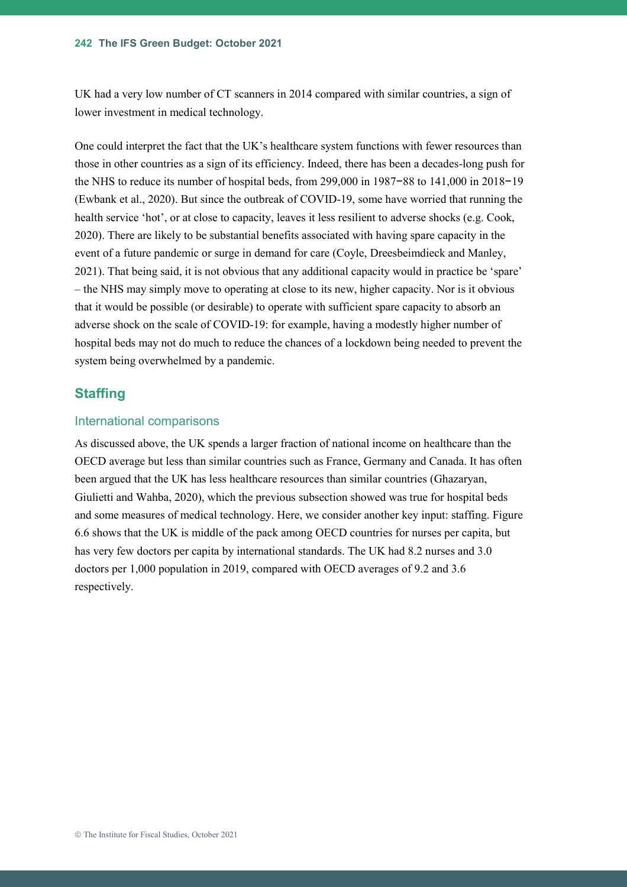UK had a very low number of CT scanners in 2014 compared with similar countries, a sign of lower investment in medical technology.

One could interpret the fact that the UK's healthcare system functions with fewer resources than those in other countries as a sign of its efficiency. Indeed, there has been a decades-long push for the NHS to reduce its number of hospital beds, from 299,000 in 1987−88 to 141,000 in 2018−19 (Ewbank et al., 2020). But since the outbreak of COVID-19, some have worried that running the health service 'hot', or at close to capacity, leaves it less resilient to adverse shocks (e.g. Cook, 2020). There are likely to be substantial benefits associated with having spare capacity in the event of a future pandemic or surge in demand for care (Coyle, Dreesbeimdieck and Manley, 2021). That being said, it is not obvious that any additional capacity would in practice be 'spare' – the NHS may simply move to operating at close to its new, higher capacity. Nor is it obvious that it would be possible (or desirable) to operate with sufficient spare capacity to absorb an adverse shock on the scale of COVID-19: for example, having a modestly higher number of hospital beds may not do much to reduce the chances of a lockdown being needed to prevent the system being overwhelmed by a pandemic.

#### **Staffing**

#### International comparisons

As discussed above, the UK spends a larger fraction of national income on healthcare than the OECD average but less than similar countries such as France, Germany and Canada. It has often been argued that the UK has less healthcare resources than similar countries (Ghazaryan, Giulietti and Wahba, 2020), which the previous subsection showed was true for hospital beds and some measures of medical technology. Here, we consider another key input: staffing. [Figure](#page-13-0)  [6.6](#page-13-0) shows that the UK is middle of the pack among OECD countries for nurses per capita, but has very few doctors per capita by international standards. The UK had 8.2 nurses and 3.0 doctors per 1,000 population in 2019, compared with OECD averages of 9.2 and 3.6 respectively.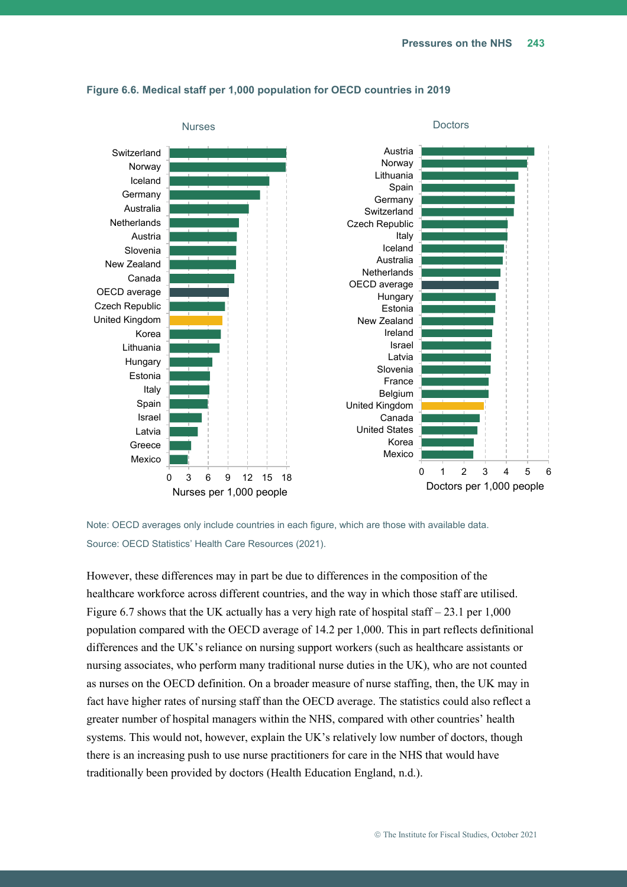

#### <span id="page-13-0"></span>**Figure 6.6. Medical staff per 1,000 population for OECD countries in 2019**

Note: OECD averages only include countries in each figure, which are those with available data. Source: OECD Statistics' Health Care Resources (2021).

However, these differences may in part be due to differences in the composition of the healthcare workforce across different countries, and the way in which those staff are utilised. [Figure 6.7](#page-14-0) shows that the UK actually has a very high rate of hospital staff  $-23.1$  per 1,000 population compared with the OECD average of 14.2 per 1,000. This in part reflects definitional differences and the UK's reliance on nursing support workers (such as healthcare assistants or nursing associates, who perform many traditional nurse duties in the UK), who are not counted as nurses on the OECD definition. On a broader measure of nurse staffing, then, the UK may in fact have higher rates of nursing staff than the OECD average. The statistics could also reflect a greater number of hospital managers within the NHS, compared with other countries' health systems. This would not, however, explain the UK's relatively low number of doctors, though there is an increasing push to use nurse practitioners for care in the NHS that would have traditionally been provided by doctors (Health Education England, n.d.).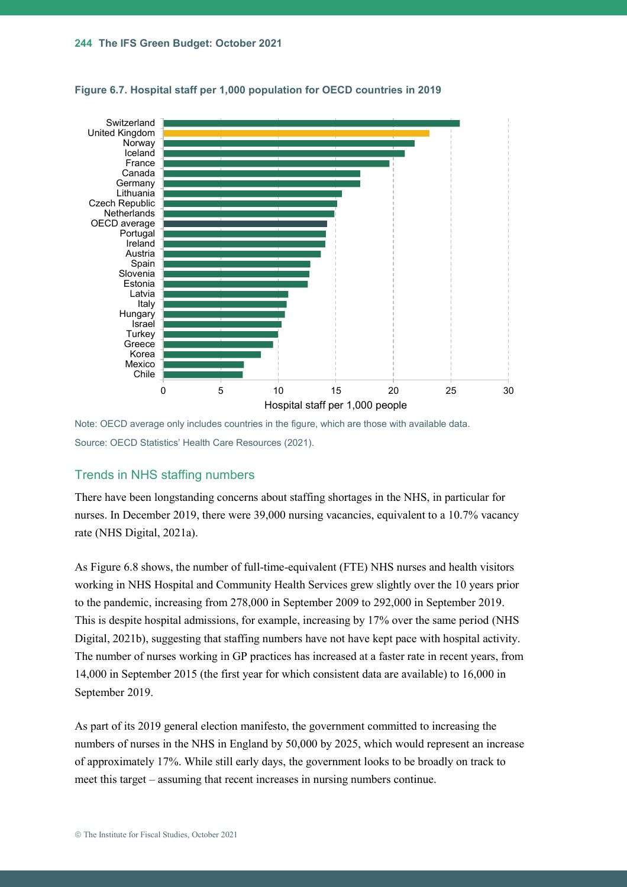

<span id="page-14-0"></span>**Figure 6.7. Hospital staff per 1,000 population for OECD countries in 2019**

Note: OECD average only includes countries in the figure, which are those with available data. Source: OECD Statistics' Health Care Resources (2021).

#### Trends in NHS staffing numbers

There have been longstanding concerns about staffing shortages in the NHS, in particular for nurses. In December 2019, there were 39,000 nursing vacancies, equivalent to a 10.7% vacancy rate (NHS Digital, 2021a).

As [Figure 6.8](#page-15-0) shows, the number of full-time-equivalent (FTE) NHS nurses and health visitors working in NHS Hospital and Community Health Services grew slightly over the 10 years prior to the pandemic, increasing from 278,000 in September 2009 to 292,000 in September 2019. This is despite hospital admissions, for example, increasing by 17% over the same period (NHS Digital, 2021b), suggesting that staffing numbers have not have kept pace with hospital activity. The number of nurses working in GP practices has increased at a faster rate in recent years, from 14,000 in September 2015 (the first year for which consistent data are available) to 16,000 in September 2019.

As part of its 2019 general election manifesto, the government committed to increasing the numbers of nurses in the NHS in England by 50,000 by 2025, which would represent an increase of approximately 17%. While still early days, the government looks to be broadly on track to meet this target – assuming that recent increases in nursing numbers continue.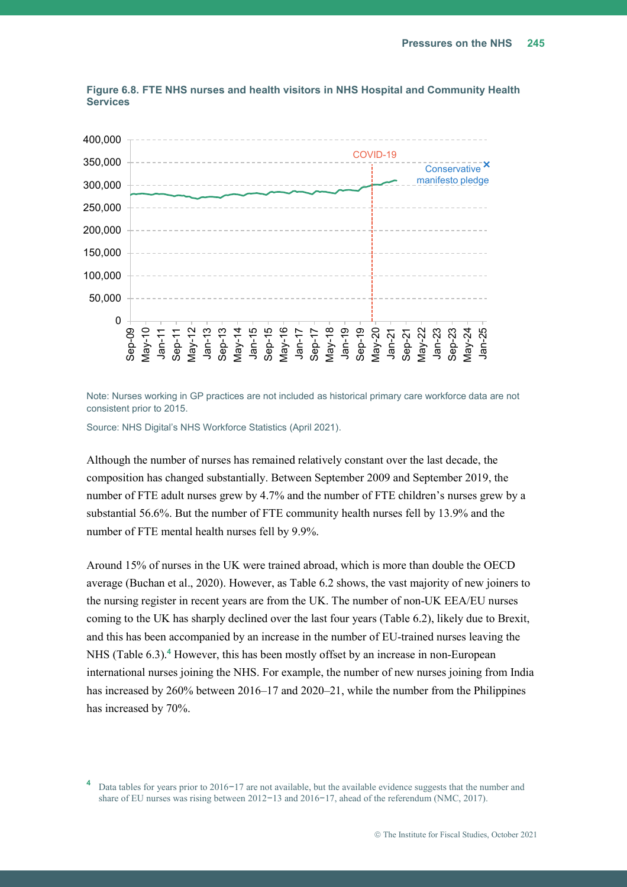

<span id="page-15-0"></span>**Figure 6.8. FTE NHS nurses and health visitors in NHS Hospital and Community Health Services**

Note: Nurses working in GP practices are not included as historical primary care workforce data are not consistent prior to 2015.

Source: NHS Digital's NHS Workforce Statistics (April 2021).

Although the number of nurses has remained relatively constant over the last decade, the composition has changed substantially. Between September 2009 and September 2019, the number of FTE adult nurses grew by 4.7% and the number of FTE children's nurses grew by a substantial 56.6%. But the number of FTE community health nurses fell by 13.9% and the number of FTE mental health nurses fell by 9.9%.

Around 15% of nurses in the UK were trained abroad, which is more than double the OECD average (Buchan et al., 2020). However, as [Table 6.2](#page-16-0) shows, the vast majority of new joiners to the nursing register in recent years are from the UK. The number of non-UK EEA/EU nurses coming to the UK has sharply declined over the last four years [\(Table 6.2\)](#page-16-0), likely due to Brexit, and this has been accompanied by an increase in the number of EU-trained nurses leaving the NHS [\(Table 6.3\)](#page-16-1).**<sup>4</sup>** However, this has been mostly offset by an increase in non-European international nurses joining the NHS. For example, the number of new nurses joining from India has increased by 260% between 2016–17 and 2020–21, while the number from the Philippines has increased by 70%.

**<sup>4</sup>** Data tables for years prior to 2016−17 are not available, but the available evidence suggests that the number and share of EU nurses was rising between 2012−13 and 2016−17, ahead of the referendum (NMC, 2017).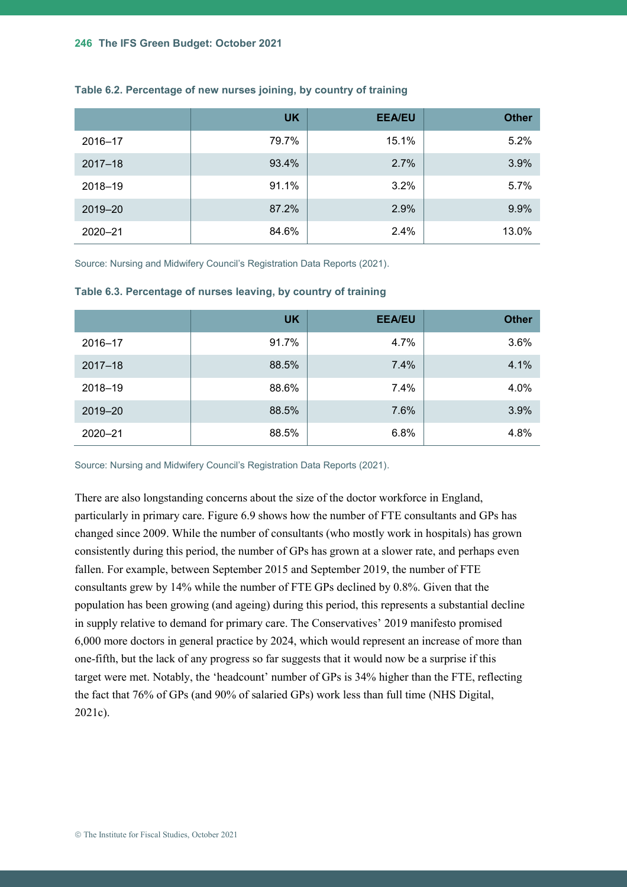|             | <b>UK</b> | <b>EEA/EU</b> | <b>Other</b> |
|-------------|-----------|---------------|--------------|
| 2016-17     | 79.7%     | 15.1%         | 5.2%         |
| $2017 - 18$ | 93.4%     | 2.7%          | 3.9%         |
| 2018-19     | 91.1%     | 3.2%          | 5.7%         |
| 2019-20     | 87.2%     | 2.9%          | 9.9%         |
| $2020 - 21$ | 84.6%     | 2.4%          | 13.0%        |

#### <span id="page-16-0"></span>**Table 6.2. Percentage of new nurses joining, by country of training**

Source: Nursing and Midwifery Council's Registration Data Reports (2021).

|             | <b>UK</b> | <b>EEA/EU</b> | <b>Other</b> |
|-------------|-----------|---------------|--------------|
| 2016-17     | 91.7%     | 4.7%          | 3.6%         |
| $2017 - 18$ | 88.5%     | 7.4%          | 4.1%         |
| 2018-19     | 88.6%     | 7.4%          | 4.0%         |
| 2019-20     | 88.5%     | 7.6%          | 3.9%         |
| $2020 - 21$ | 88.5%     | 6.8%          | 4.8%         |

#### <span id="page-16-1"></span>**Table 6.3. Percentage of nurses leaving, by country of training**

Source: Nursing and Midwifery Council's Registration Data Reports (2021).

There are also longstanding concerns about the size of the doctor workforce in England, particularly in primary care. [Figure 6.9](#page-17-0) shows how the number of FTE consultants and GPs has changed since 2009. While the number of consultants (who mostly work in hospitals) has grown consistently during this period, the number of GPs has grown at a slower rate, and perhaps even fallen. For example, between September 2015 and September 2019, the number of FTE consultants grew by 14% while the number of FTE GPs declined by 0.8%. Given that the population has been growing (and ageing) during this period, this represents a substantial decline in supply relative to demand for primary care. The Conservatives' 2019 manifesto promised 6,000 more doctors in general practice by 2024, which would represent an increase of more than one-fifth, but the lack of any progress so far suggests that it would now be a surprise if this target were met. Notably, the 'headcount' number of GPs is 34% higher than the FTE, reflecting the fact that 76% of GPs (and 90% of salaried GPs) work less than full time (NHS Digital, 2021c).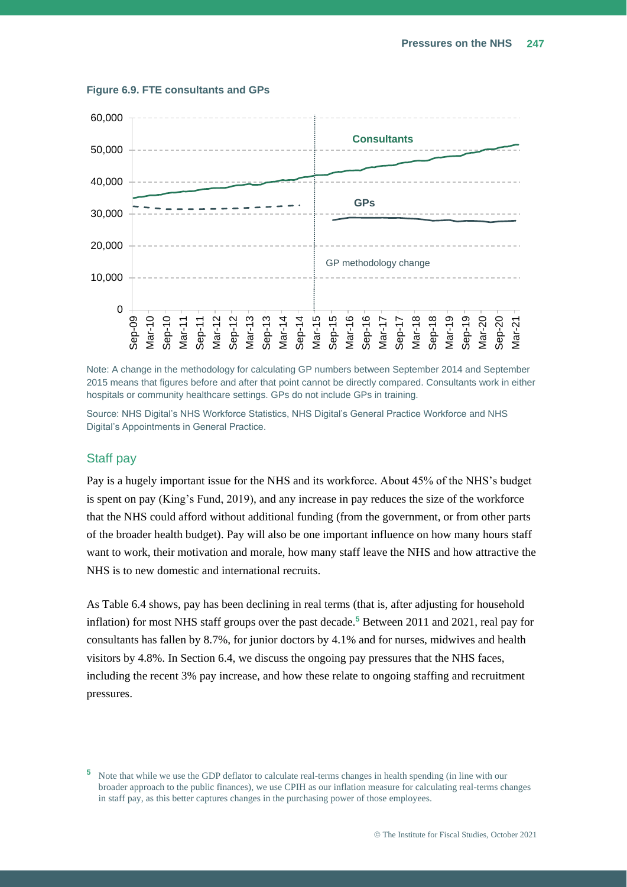

#### <span id="page-17-0"></span>**Figure 6.9. FTE consultants and GPs**

Note: A change in the methodology for calculating GP numbers between September 2014 and September 2015 means that figures before and after that point cannot be directly compared. Consultants work in either hospitals or community healthcare settings. GPs do not include GPs in training.

Source: NHS Digital's NHS Workforce Statistics, NHS Digital's General Practice Workforce and NHS Digital's Appointments in General Practice.

#### Staff pay

Pay is a hugely important issue for the NHS and its workforce. About 45% of the NHS's budget is spent on pay (King's Fund, 2019), and any increase in pay reduces the size of the workforce that the NHS could afford without additional funding (from the government, or from other parts of the broader health budget). Pay will also be one important influence on how many hours staff want to work, their motivation and morale, how many staff leave the NHS and how attractive the NHS is to new domestic and international recruits.

As [Table 6.4](#page-18-0) shows, pay has been declining in real terms (that is, after adjusting for household inflation) for most NHS staff groups over the past decade.**<sup>5</sup>** Between 2011 and 2021, real pay for consultants has fallen by 8.7%, for junior doctors by 4.1% and for nurses, midwives and health visitors by 4.8%. In Section [6.4,](#page-23-1) we discuss the ongoing pay pressures that the NHS faces, including the recent 3% pay increase, and how these relate to ongoing staffing and recruitment pressures.

**<sup>5</sup>** Note that while we use the GDP deflator to calculate real-terms changes in health spending (in line with our broader approach to the public finances), we use CPIH as our inflation measure for calculating real-terms changes in staff pay, as this better captures changes in the purchasing power of those employees.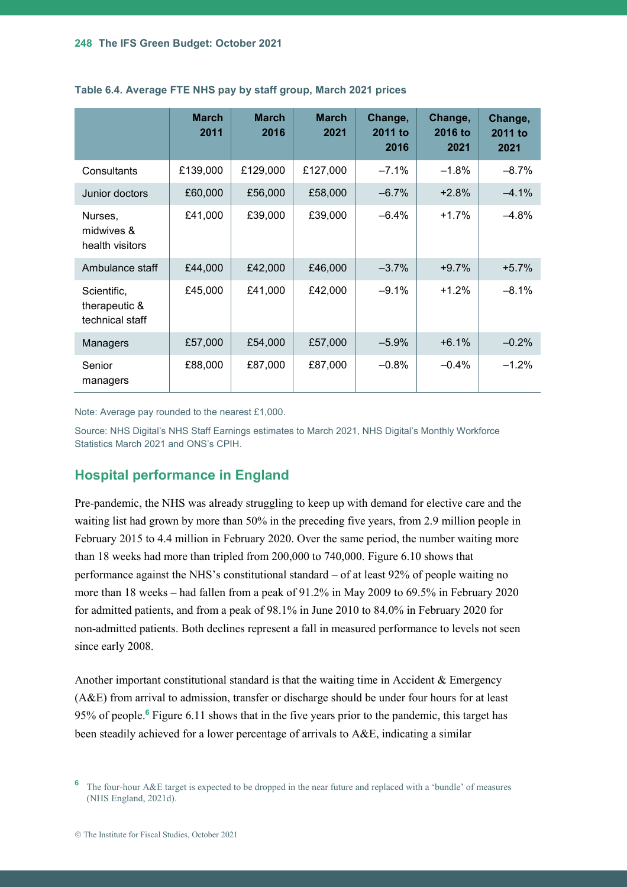|                                                 | <b>March</b><br>2011 | <b>March</b><br>2016 | <b>March</b><br>2021 | Change,<br>2011 to<br>2016 | Change,<br>2016 to<br>2021 | Change,<br>2011 to<br>2021 |
|-------------------------------------------------|----------------------|----------------------|----------------------|----------------------------|----------------------------|----------------------------|
| Consultants                                     | £139,000             | £129,000             | £127,000             | $-7.1%$                    | $-1.8%$                    | $-8.7%$                    |
| Junior doctors                                  | £60,000              | £56,000              | £58,000              | $-6.7%$                    | $+2.8%$                    | $-4.1%$                    |
| Nurses,<br>midwives &<br>health visitors        | £41,000              | £39,000              | £39,000              | $-6.4%$                    | $+1.7%$                    | $-4.8%$                    |
| Ambulance staff                                 | £44,000              | £42,000              | £46,000              | $-3.7%$                    | $+9.7%$                    | $+5.7%$                    |
| Scientific,<br>therapeutic &<br>technical staff | £45,000              | £41,000              | £42,000              | $-9.1%$                    | $+1.2%$                    | $-8.1%$                    |
| Managers                                        | £57,000              | £54,000              | £57,000              | $-5.9%$                    | $+6.1%$                    | $-0.2%$                    |
| Senior<br>managers                              | £88,000              | £87,000              | £87,000              | $-0.8%$                    | $-0.4%$                    | $-1.2%$                    |

#### <span id="page-18-0"></span>**Table 6.4. Average FTE NHS pay by staff group, March 2021 prices**

Note: Average pay rounded to the nearest £1,000.

Source: NHS Digital's NHS Staff Earnings estimates to March 2021, NHS Digital's Monthly Workforce Statistics March 2021 and ONS's CPIH.

#### **Hospital performance in England**

Pre-pandemic, the NHS was already struggling to keep up with demand for elective care and the waiting list had grown by more than 50% in the preceding five years, from 2.9 million people in February 2015 to 4.4 million in February 2020. Over the same period, the number waiting more than 18 weeks had more than tripled from 200,000 to 740,000. [Figure 6.10](#page-19-0) shows that performance against the NHS's constitutional standard – of at least 92% of people waiting no more than 18 weeks – had fallen from a peak of 91.2% in May 2009 to 69.5% in February 2020 for admitted patients, and from a peak of 98.1% in June 2010 to 84.0% in February 2020 for non-admitted patients. Both declines represent a fall in measured performance to levels not seen since early 2008.

Another important constitutional standard is that the waiting time in Accident & Emergency (A&E) from arrival to admission, transfer or discharge should be under four hours for at least 95% of people. **<sup>6</sup>** [Figure 6.11](#page-19-1) shows that in the five years prior to the pandemic, this target has been steadily achieved for a lower percentage of arrivals to A&E, indicating a similar

**<sup>6</sup>** The four-hour A&E target is expected to be dropped in the near future and replaced with a 'bundle' of measures (NHS England, 2021d).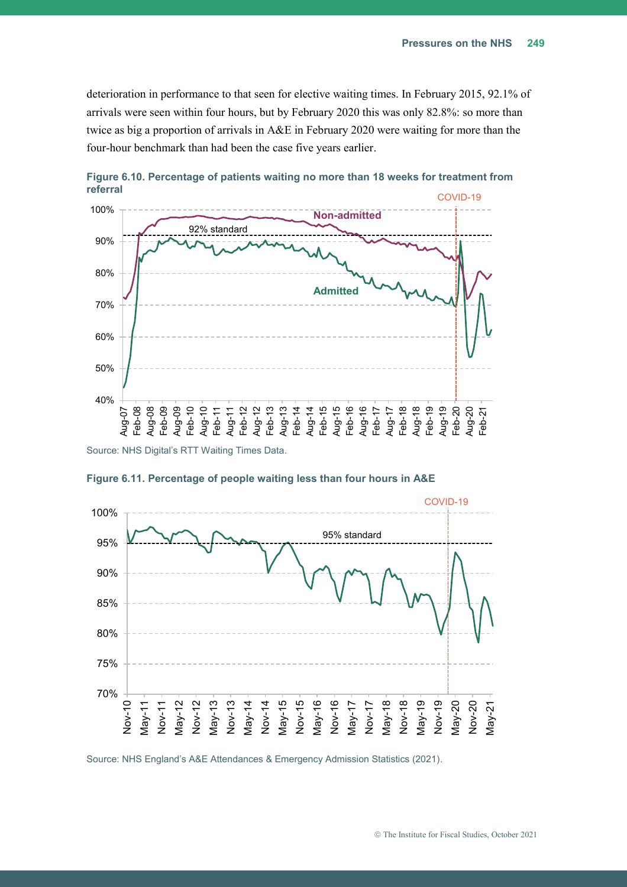deterioration in performance to that seen for elective waiting times. In February 2015, 92.1% of arrivals were seen within four hours, but by February 2020 this was only 82.8%: so more than twice as big a proportion of arrivals in A&E in February 2020 were waiting for more than the four-hour benchmark than had been the case five years earlier.



<span id="page-19-0"></span>**Figure 6.10. Percentage of patients waiting no more than 18 weeks for treatment from referral** 



<span id="page-19-1"></span>**Figure 6.11. Percentage of people waiting less than four hours in A&E**

Source: NHS England's A&E Attendances & Emergency Admission Statistics (2021).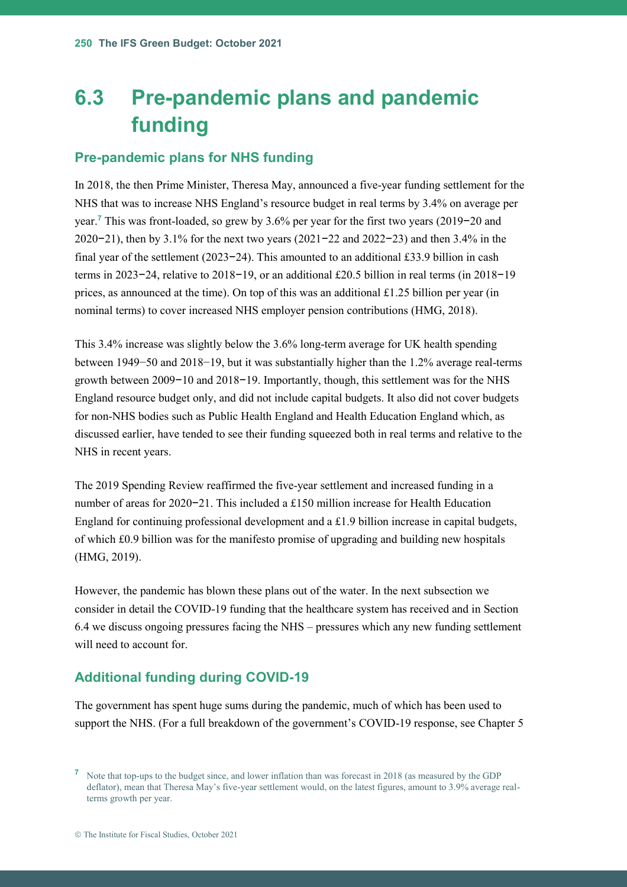## <span id="page-20-0"></span>**6.3 Pre-pandemic plans and pandemic funding**

#### **Pre-pandemic plans for NHS funding**

In 2018, the then Prime Minister, Theresa May, announced a five-year funding settlement for the NHS that was to increase NHS England's resource budget in real terms by 3.4% on average per year.**<sup>7</sup>** This was front-loaded, so grew by 3.6% per year for the first two years (2019−20 and 2020−21), then by 3.1% for the next two years (2021−22 and 2022−23) and then 3.4% in the final year of the settlement (2023−24). This amounted to an additional £33.9 billion in cash terms in 2023−24, relative to 2018−19, or an additional £20.5 billion in real terms (in 2018−19 prices, as announced at the time). On top of this was an additional £1.25 billion per year (in nominal terms) to cover increased NHS employer pension contributions (HMG, 2018).

This 3.4% increase was slightly below the 3.6% long-term average for UK health spending between 1949−50 and 2018−19, but it was substantially higher than the 1.2% average real-terms growth between 2009−10 and 2018−19. Importantly, though, this settlement was for the NHS England resource budget only, and did not include capital budgets. It also did not cover budgets for non-NHS bodies such as Public Health England and Health Education England which, as discussed earlier, have tended to see their funding squeezed both in real terms and relative to the NHS in recent years.

The 2019 Spending Review reaffirmed the five-year settlement and increased funding in a number of areas for 2020−21. This included a £150 million increase for Health Education England for continuing professional development and a £1.9 billion increase in capital budgets, of which £0.9 billion was for the manifesto promise of upgrading and building new hospitals (HMG, 2019).

However, the pandemic has blown these plans out of the water. In the next subsection we consider in detail the COVID-19 funding that the healthcare system has received and in Section [6.4](#page-23-0) we discuss ongoing pressures facing the NHS – pressures which any new funding settlement will need to account for.

#### **Additional funding during COVID-19**

The government has spent huge sums during the pandemic, much of which has been used to support the NHS. (For a full breakdown of the government's COVID-19 response, see Chapter 5

**<sup>7</sup>** Note that top-ups to the budget since, and lower inflation than was forecast in 2018 (as measured by the GDP deflator), mean that Theresa May's five-year settlement would, on the latest figures, amount to 3.9% average realterms growth per year.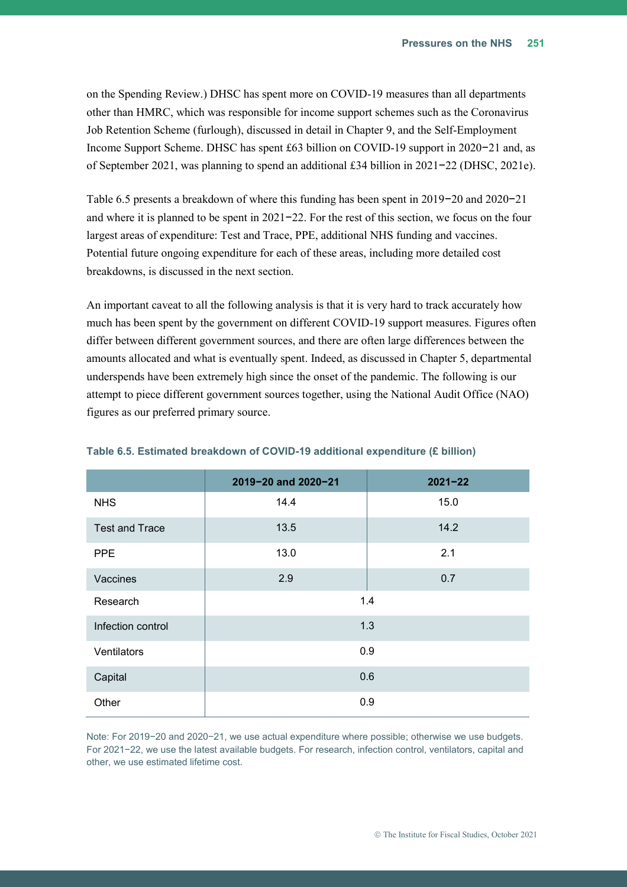on the Spending Review.) DHSC has spent more on COVID-19 measures than all departments other than HMRC, which was responsible for income support schemes such as the Coronavirus Job Retention Scheme (furlough), discussed in detail in Chapter 9, and the Self-Employment Income Support Scheme. DHSC has spent £63 billion on COVID-19 support in 2020−21 and, as of September 2021, was planning to spend an additional £34 billion in 2021−22 (DHSC, 2021e).

[Table 6.5](#page-21-0) presents a breakdown of where this funding has been spent in 2019−20 and 2020−21 and where it is planned to be spent in 2021−22. For the rest of this section, we focus on the four largest areas of expenditure: Test and Trace, PPE, additional NHS funding and vaccines. Potential future ongoing expenditure for each of these areas, including more detailed cost breakdowns, is discussed in the next section.

An important caveat to all the following analysis is that it is very hard to track accurately how much has been spent by the government on different COVID-19 support measures. Figures often differ between different government sources, and there are often large differences between the amounts allocated and what is eventually spent. Indeed, as discussed in Chapter 5, departmental underspends have been extremely high since the onset of the pandemic. The following is our attempt to piece different government sources together, using the National Audit Office (NAO) figures as our preferred primary source.

|                       | 2019-20 and 2020-21 | $2021 - 22$ |  |
|-----------------------|---------------------|-------------|--|
| <b>NHS</b>            | 14.4                | 15.0        |  |
| <b>Test and Trace</b> | 13.5                | 14.2        |  |
| <b>PPE</b>            | 13.0                | 2.1         |  |
| Vaccines              | 2.9                 | 0.7         |  |
| Research              | 1.4                 |             |  |
| Infection control     | 1.3                 |             |  |
| Ventilators           | 0.9                 |             |  |
| Capital               | 0.6                 |             |  |
| Other                 |                     | 0.9         |  |

<span id="page-21-0"></span>

|  |  | Table 6.5. Estimated breakdown of COVID-19 additional expenditure (£ billion) |  |
|--|--|-------------------------------------------------------------------------------|--|
|  |  |                                                                               |  |

Note: For 2019−20 and 2020−21, we use actual expenditure where possible; otherwise we use budgets. For 2021−22, we use the latest available budgets. For research, infection control, ventilators, capital and other, we use estimated lifetime cost.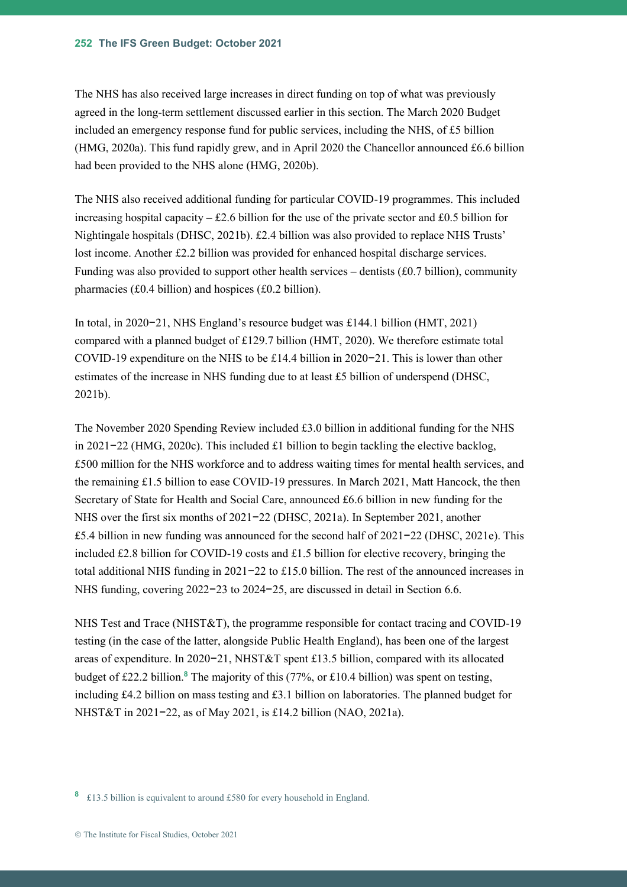The NHS has also received large increases in direct funding on top of what was previously agreed in the long-term settlement discussed earlier in this section. The March 2020 Budget included an emergency response fund for public services, including the NHS, of £5 billion (HMG, 2020a). This fund rapidly grew, and in April 2020 the Chancellor announced £6.6 billion had been provided to the NHS alone (HMG, 2020b).

The NHS also received additional funding for particular COVID-19 programmes. This included increasing hospital capacity – £2.6 billion for the use of the private sector and £0.5 billion for Nightingale hospitals (DHSC, 2021b). £2.4 billion was also provided to replace NHS Trusts' lost income. Another £2.2 billion was provided for enhanced hospital discharge services. Funding was also provided to support other health services – dentists  $(£0.7$  billion), community pharmacies (£0.4 billion) and hospices (£0.2 billion).

In total, in 2020−21, NHS England's resource budget was £144.1 billion (HMT, 2021) compared with a planned budget of £129.7 billion (HMT, 2020). We therefore estimate total COVID-19 expenditure on the NHS to be £14.4 billion in 2020−21. This is lower than other estimates of the increase in NHS funding due to at least £5 billion of underspend (DHSC, 2021b).

The November 2020 Spending Review included £3.0 billion in additional funding for the NHS in 2021−22 (HMG, 2020c). This included £1 billion to begin tackling the elective backlog, £500 million for the NHS workforce and to address waiting times for mental health services, and the remaining £1.5 billion to ease COVID-19 pressures. In March 2021, Matt Hancock, the then Secretary of State for Health and Social Care, announced £6.6 billion in new funding for the NHS over the first six months of 2021−22 (DHSC, 2021a). In September 2021, another £5.4 billion in new funding was announced for the second half of 2021−22 (DHSC, 2021e). This included £2.8 billion for COVID-19 costs and £1.5 billion for elective recovery, bringing the total additional NHS funding in 2021−22 to £15.0 billion. The rest of the announced increases in NHS funding, covering 2022−23 to 2024−25, are discussed in detail in Sectio[n 6.6.](#page-52-0)

NHS Test and Trace (NHST&T), the programme responsible for contact tracing and COVID-19 testing (in the case of the latter, alongside Public Health England), has been one of the largest areas of expenditure. In 2020−21, NHST&T spent £13.5 billion, compared with its allocated budget of £22.2 billion.**<sup>8</sup>** The majority of this (77%, or £10.4 billion) was spent on testing, including £4.2 billion on mass testing and £3.1 billion on laboratories. The planned budget for NHST&T in 2021−22, as of May 2021, is £14.2 billion (NAO, 2021a).

**8** £13.5 billion is equivalent to around £580 for every household in England.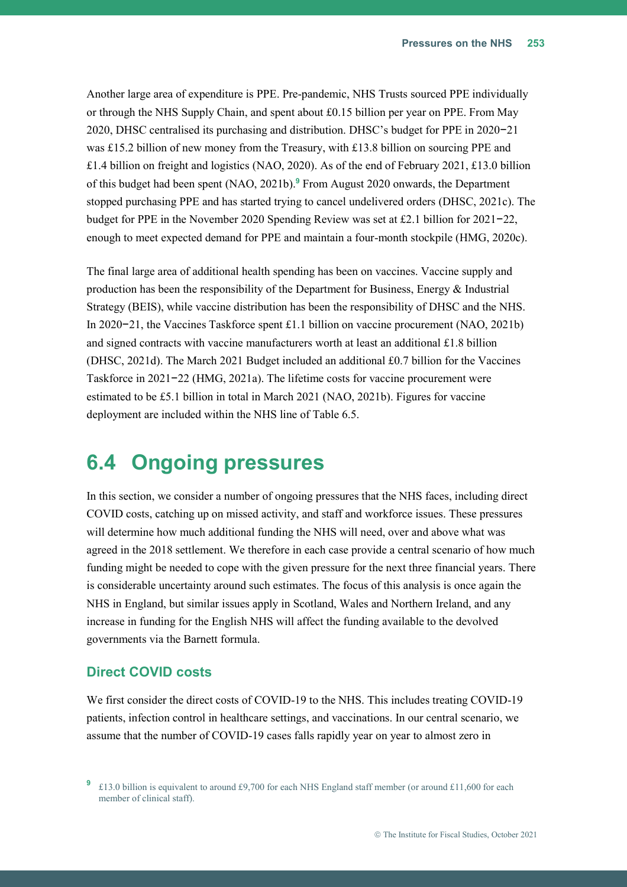Another large area of expenditure is PPE. Pre-pandemic, NHS Trusts sourced PPE individually or through the NHS Supply Chain, and spent about £0.15 billion per year on PPE. From May 2020, DHSC centralised its purchasing and distribution. DHSC's budget for PPE in 2020−21 was £15.2 billion of new money from the Treasury, with £13.8 billion on sourcing PPE and £1.4 billion on freight and logistics (NAO, 2020). As of the end of February 2021, £13.0 billion of this budget had been spent (NAO, 2021b). **<sup>9</sup>** From August 2020 onwards, the Department stopped purchasing PPE and has started trying to cancel undelivered orders (DHSC, 2021c). The budget for PPE in the November 2020 Spending Review was set at £2.1 billion for 2021−22, enough to meet expected demand for PPE and maintain a four-month stockpile (HMG, 2020c).

The final large area of additional health spending has been on vaccines. Vaccine supply and production has been the responsibility of the Department for Business, Energy & Industrial Strategy (BEIS), while vaccine distribution has been the responsibility of DHSC and the NHS. In 2020−21, the Vaccines Taskforce spent £1.1 billion on vaccine procurement (NAO, 2021b) and signed contracts with vaccine manufacturers worth at least an additional £1.8 billion (DHSC, 2021d). The March 2021 Budget included an additional £0.7 billion for the Vaccines Taskforce in 2021−22 (HMG, 2021a). The lifetime costs for vaccine procurement were estimated to be £5.1 billion in total in March 2021 (NAO, 2021b). Figures for vaccine deployment are included within the NHS line o[f Table 6.5.](#page-21-0)

## <span id="page-23-1"></span><span id="page-23-0"></span>**6.4 Ongoing pressures**

In this section, we consider a number of ongoing pressures that the NHS faces, including direct COVID costs, catching up on missed activity, and staff and workforce issues. These pressures will determine how much additional funding the NHS will need, over and above what was agreed in the 2018 settlement. We therefore in each case provide a central scenario of how much funding might be needed to cope with the given pressure for the next three financial years. There is considerable uncertainty around such estimates. The focus of this analysis is once again the NHS in England, but similar issues apply in Scotland, Wales and Northern Ireland, and any increase in funding for the English NHS will affect the funding available to the devolved governments via the Barnett formula.

#### **Direct COVID costs**

We first consider the direct costs of COVID-19 to the NHS. This includes treating COVID-19 patients, infection control in healthcare settings, and vaccinations. In our central scenario, we assume that the number of COVID-19 cases falls rapidly year on year to almost zero in

<sup>&</sup>lt;sup>9</sup> £13.0 billion is equivalent to around £9,700 for each NHS England staff member (or around £11,600 for each member of clinical staff).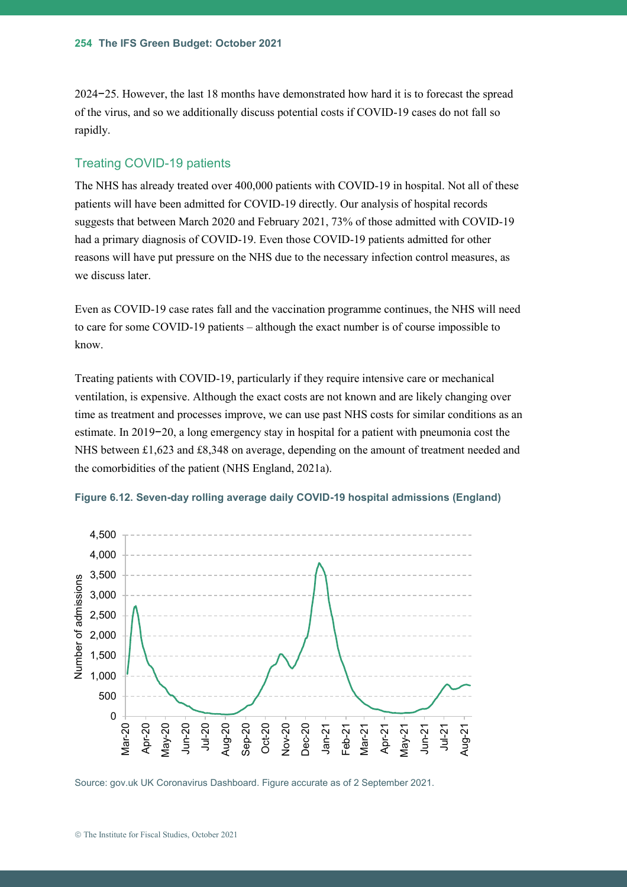2024−25. However, the last 18 months have demonstrated how hard it is to forecast the spread of the virus, and so we additionally discuss potential costs if COVID-19 cases do not fall so rapidly.

#### Treating COVID-19 patients

The NHS has already treated over 400,000 patients with COVID-19 in hospital. Not all of these patients will have been admitted for COVID-19 directly. Our analysis of hospital records suggests that between March 2020 and February 2021, 73% of those admitted with COVID-19 had a primary diagnosis of COVID-19. Even those COVID-19 patients admitted for other reasons will have put pressure on the NHS due to the necessary infection control measures, as we discuss later.

Even as COVID-19 case rates fall and the vaccination programme continues, the NHS will need to care for some COVID-19 patients – although the exact number is of course impossible to know.

Treating patients with COVID-19, particularly if they require intensive care or mechanical ventilation, is expensive. Although the exact costs are not known and are likely changing over time as treatment and processes improve, we can use past NHS costs for similar conditions as an estimate. In 2019−20, a long emergency stay in hospital for a patient with pneumonia cost the NHS between £1,623 and £8,348 on average, depending on the amount of treatment needed and the comorbidities of the patient (NHS England, 2021a).





Source: gov.uk UK Coronavirus Dashboard. Figure accurate as of 2 September 2021.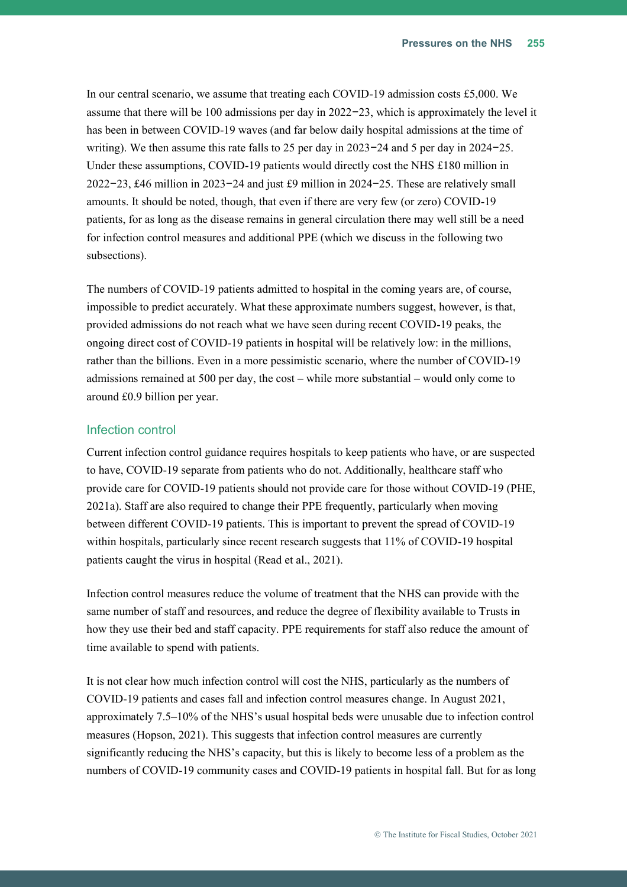In our central scenario, we assume that treating each COVID-19 admission costs £5,000. We assume that there will be 100 admissions per day in 2022−23, which is approximately the level it has been in between COVID-19 waves (and far below daily hospital admissions at the time of writing). We then assume this rate falls to 25 per day in 2023−24 and 5 per day in 2024−25. Under these assumptions, COVID-19 patients would directly cost the NHS £180 million in 2022−23, £46 million in 2023−24 and just £9 million in 2024−25. These are relatively small amounts. It should be noted, though, that even if there are very few (or zero) COVID-19 patients, for as long as the disease remains in general circulation there may well still be a need for infection control measures and additional PPE (which we discuss in the following two subsections).

The numbers of COVID-19 patients admitted to hospital in the coming years are, of course, impossible to predict accurately. What these approximate numbers suggest, however, is that, provided admissions do not reach what we have seen during recent COVID-19 peaks, the ongoing direct cost of COVID-19 patients in hospital will be relatively low: in the millions, rather than the billions. Even in a more pessimistic scenario, where the number of COVID-19 admissions remained at 500 per day, the cost – while more substantial – would only come to around £0.9 billion per year.

#### Infection control

Current infection control guidance requires hospitals to keep patients who have, or are suspected to have, COVID-19 separate from patients who do not. Additionally, healthcare staff who provide care for COVID-19 patients should not provide care for those without COVID-19 (PHE, 2021a). Staff are also required to change their PPE frequently, particularly when moving between different COVID-19 patients. This is important to prevent the spread of COVID-19 within hospitals, particularly since recent research suggests that 11% of COVID-19 hospital patients caught the virus in hospital (Read et al., 2021).

Infection control measures reduce the volume of treatment that the NHS can provide with the same number of staff and resources, and reduce the degree of flexibility available to Trusts in how they use their bed and staff capacity. PPE requirements for staff also reduce the amount of time available to spend with patients.

It is not clear how much infection control will cost the NHS, particularly as the numbers of COVID-19 patients and cases fall and infection control measures change. In August 2021, approximately 7.5–10% of the NHS's usual hospital beds were unusable due to infection control measures (Hopson, 2021). This suggests that infection control measures are currently significantly reducing the NHS's capacity, but this is likely to become less of a problem as the numbers of COVID-19 community cases and COVID-19 patients in hospital fall. But for as long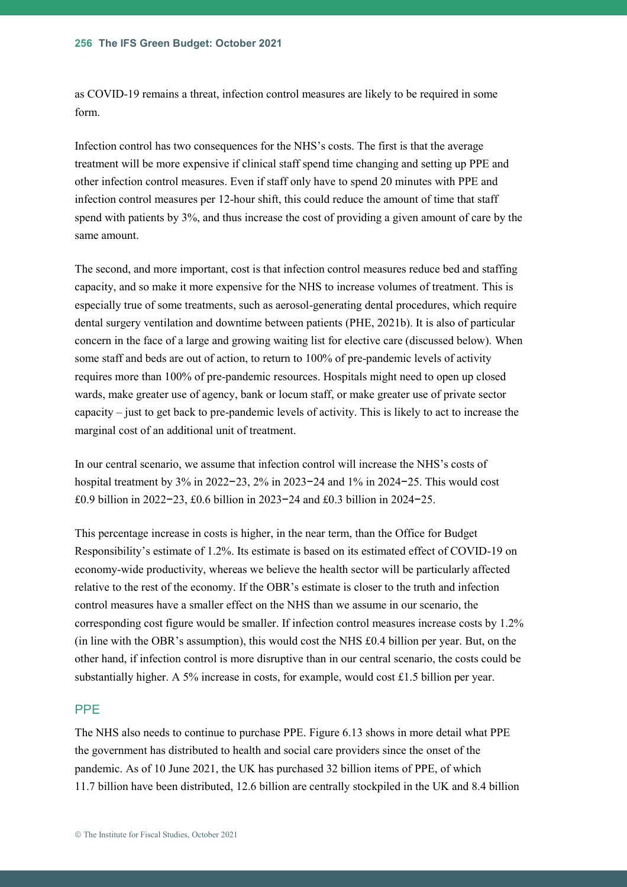as COVID-19 remains a threat, infection control measures are likely to be required in some form.

Infection control has two consequences for the NHS's costs. The first is that the average treatment will be more expensive if clinical staff spend time changing and setting up PPE and other infection control measures. Even if staff only have to spend 20 minutes with PPE and infection control measures per 12-hour shift, this could reduce the amount of time that staff spend with patients by 3%, and thus increase the cost of providing a given amount of care by the same amount.

The second, and more important, cost is that infection control measures reduce bed and staffing capacity, and so make it more expensive for the NHS to increase volumes of treatment. This is especially true of some treatments, such as aerosol-generating dental procedures, which require dental surgery ventilation and downtime between patients (PHE, 2021b). It is also of particular concern in the face of a large and growing waiting list for elective care (discussed below). When some staff and beds are out of action, to return to 100% of pre-pandemic levels of activity requires more than 100% of pre-pandemic resources. Hospitals might need to open up closed wards, make greater use of agency, bank or locum staff, or make greater use of private sector capacity – just to get back to pre-pandemic levels of activity. This is likely to act to increase the marginal cost of an additional unit of treatment.

In our central scenario, we assume that infection control will increase the NHS's costs of hospital treatment by 3% in 2022−23, 2% in 2023−24 and 1% in 2024−25. This would cost £0.9 billion in 2022−23, £0.6 billion in 2023−24 and £0.3 billion in 2024−25.

This percentage increase in costs is higher, in the near term, than the Office for Budget Responsibility's estimate of 1.2%. Its estimate is based on its estimated effect of COVID-19 on economy-wide productivity, whereas we believe the health sector will be particularly affected relative to the rest of the economy. If the OBR's estimate is closer to the truth and infection control measures have a smaller effect on the NHS than we assume in our scenario, the corresponding cost figure would be smaller. If infection control measures increase costs by 1.2% (in line with the OBR's assumption), this would cost the NHS £0.4 billion per year. But, on the other hand, if infection control is more disruptive than in our central scenario, the costs could be substantially higher. A 5% increase in costs, for example, would cost £1.5 billion per year.

#### PPE

The NHS also needs to continue to purchase PPE. [Figure 6.13](#page-27-0) shows in more detail what PPE the government has distributed to health and social care providers since the onset of the pandemic. As of 10 June 2021, the UK has purchased 32 billion items of PPE, of which 11.7 billion have been distributed, 12.6 billion are centrally stockpiled in the UK and 8.4 billion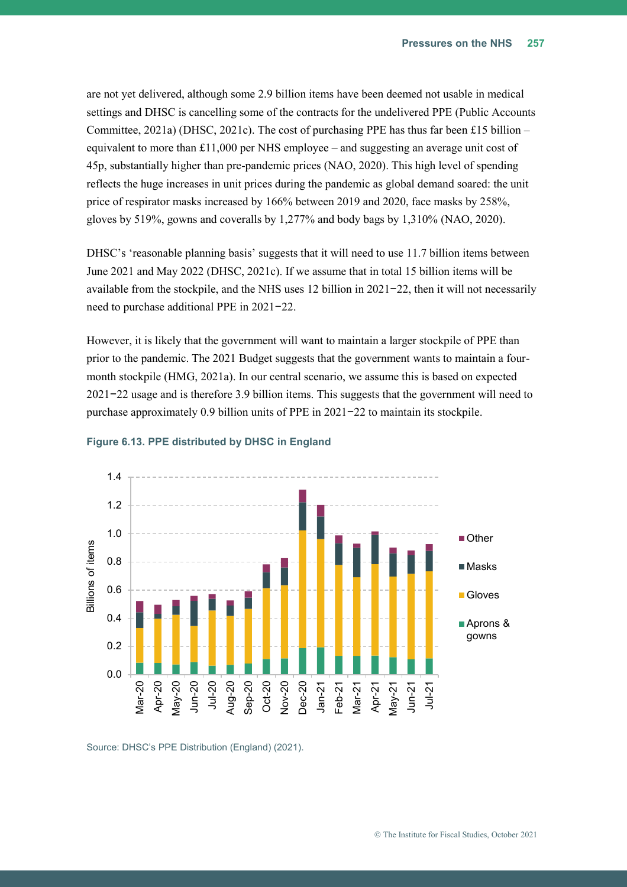are not yet delivered, although some 2.9 billion items have been deemed not usable in medical settings and DHSC is cancelling some of the contracts for the undelivered PPE (Public Accounts Committee, 2021a) (DHSC, 2021c). The cost of purchasing PPE has thus far been £15 billion – equivalent to more than £11,000 per NHS employee – and suggesting an average unit cost of 45p, substantially higher than pre-pandemic prices (NAO, 2020). This high level of spending reflects the huge increases in unit prices during the pandemic as global demand soared: the unit price of respirator masks increased by 166% between 2019 and 2020, face masks by 258%, gloves by 519%, gowns and coveralls by 1,277% and body bags by 1,310% (NAO, 2020).

DHSC's 'reasonable planning basis' suggests that it will need to use 11.7 billion items between June 2021 and May 2022 (DHSC, 2021c). If we assume that in total 15 billion items will be available from the stockpile, and the NHS uses 12 billion in 2021−22, then it will not necessarily need to purchase additional PPE in 2021−22.

However, it is likely that the government will want to maintain a larger stockpile of PPE than prior to the pandemic. The 2021 Budget suggests that the government wants to maintain a fourmonth stockpile (HMG, 2021a). In our central scenario, we assume this is based on expected 2021−22 usage and is therefore 3.9 billion items. This suggests that the government will need to purchase approximately 0.9 billion units of PPE in 2021−22 to maintain its stockpile.



#### <span id="page-27-0"></span>**Figure 6.13. PPE distributed by DHSC in England**

Source: DHSC's PPE Distribution (England) (2021).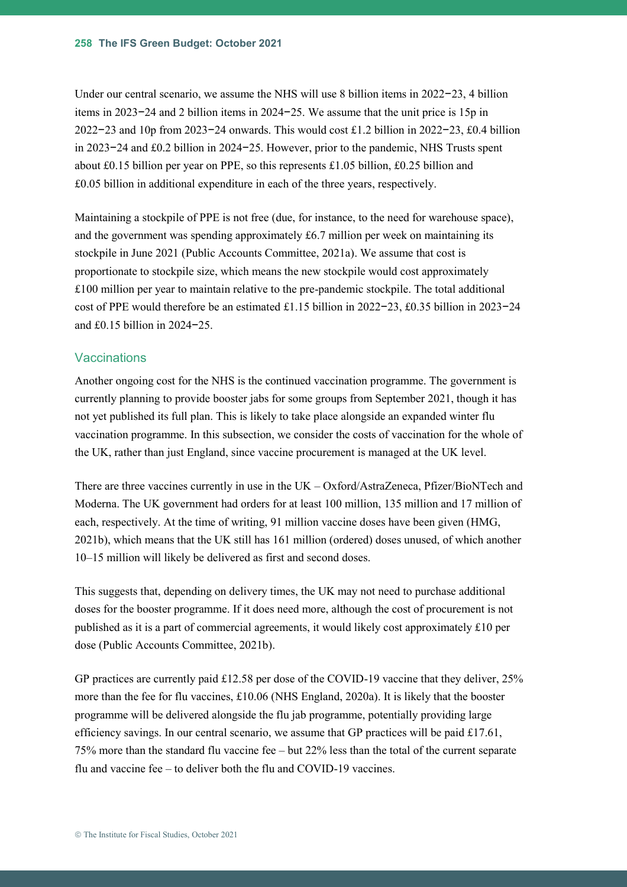Under our central scenario, we assume the NHS will use 8 billion items in 2022−23, 4 billion items in 2023−24 and 2 billion items in 2024−25. We assume that the unit price is 15p in 2022−23 and 10p from 2023−24 onwards. This would cost £1.2 billion in 2022−23, £0.4 billion in 2023−24 and £0.2 billion in 2024−25. However, prior to the pandemic, NHS Trusts spent about £0.15 billion per year on PPE, so this represents £1.05 billion, £0.25 billion and £0.05 billion in additional expenditure in each of the three years, respectively.

Maintaining a stockpile of PPE is not free (due, for instance, to the need for warehouse space), and the government was spending approximately £6.7 million per week on maintaining its stockpile in June 2021 (Public Accounts Committee, 2021a). We assume that cost is proportionate to stockpile size, which means the new stockpile would cost approximately £100 million per year to maintain relative to the pre-pandemic stockpile. The total additional cost of PPE would therefore be an estimated £1.15 billion in 2022−23, £0.35 billion in 2023−24 and £0.15 billion in 2024−25.

#### **Vaccinations**

Another ongoing cost for the NHS is the continued vaccination programme. The government is currently planning to provide booster jabs for some groups from September 2021, though it has not yet published its full plan. This is likely to take place alongside an expanded winter flu vaccination programme. In this subsection, we consider the costs of vaccination for the whole of the UK, rather than just England, since vaccine procurement is managed at the UK level.

There are three vaccines currently in use in the UK – Oxford/AstraZeneca, Pfizer/BioNTech and Moderna. The UK government had orders for at least 100 million, 135 million and 17 million of each, respectively. At the time of writing, 91 million vaccine doses have been given (HMG, 2021b), which means that the UK still has 161 million (ordered) doses unused, of which another 10–15 million will likely be delivered as first and second doses.

This suggests that, depending on delivery times, the UK may not need to purchase additional doses for the booster programme. If it does need more, although the cost of procurement is not published as it is a part of commercial agreements, it would likely cost approximately £10 per dose (Public Accounts Committee, 2021b).

GP practices are currently paid £12.58 per dose of the COVID-19 vaccine that they deliver, 25% more than the fee for flu vaccines, £10.06 (NHS England, 2020a). It is likely that the booster programme will be delivered alongside the flu jab programme, potentially providing large efficiency savings. In our central scenario, we assume that GP practices will be paid £17.61, 75% more than the standard flu vaccine fee – but 22% less than the total of the current separate flu and vaccine fee – to deliver both the flu and COVID-19 vaccines.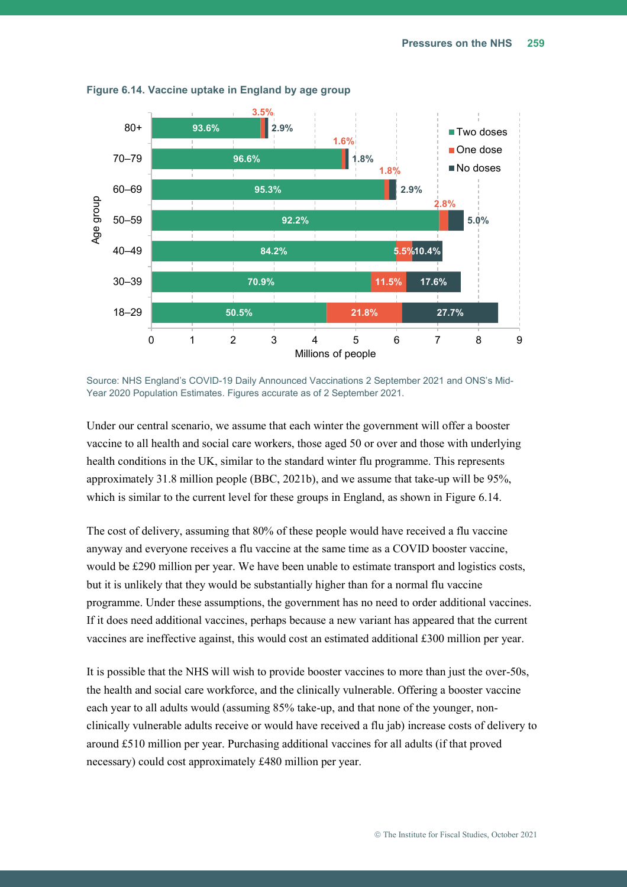

<span id="page-29-0"></span>**Figure 6.14. Vaccine uptake in England by age group**

Source: NHS England's COVID-19 Daily Announced Vaccinations 2 September 2021 and ONS's Mid-Year 2020 Population Estimates. Figures accurate as of 2 September 2021.

Under our central scenario, we assume that each winter the government will offer a booster vaccine to all health and social care workers, those aged 50 or over and those with underlying health conditions in the UK, similar to the standard winter flu programme. This represents approximately 31.8 million people (BBC, 2021b), and we assume that take-up will be 95%, which is similar to the current level for these groups in England, as shown in [Figure 6.14.](#page-29-0)

The cost of delivery, assuming that 80% of these people would have received a flu vaccine anyway and everyone receives a flu vaccine at the same time as a COVID booster vaccine, would be £290 million per year. We have been unable to estimate transport and logistics costs, but it is unlikely that they would be substantially higher than for a normal flu vaccine programme. Under these assumptions, the government has no need to order additional vaccines. If it does need additional vaccines, perhaps because a new variant has appeared that the current vaccines are ineffective against, this would cost an estimated additional £300 million per year.

It is possible that the NHS will wish to provide booster vaccines to more than just the over-50s, the health and social care workforce, and the clinically vulnerable. Offering a booster vaccine each year to all adults would (assuming 85% take-up, and that none of the younger, nonclinically vulnerable adults receive or would have received a flu jab) increase costs of delivery to around £510 million per year. Purchasing additional vaccines for all adults (if that proved necessary) could cost approximately £480 million per year.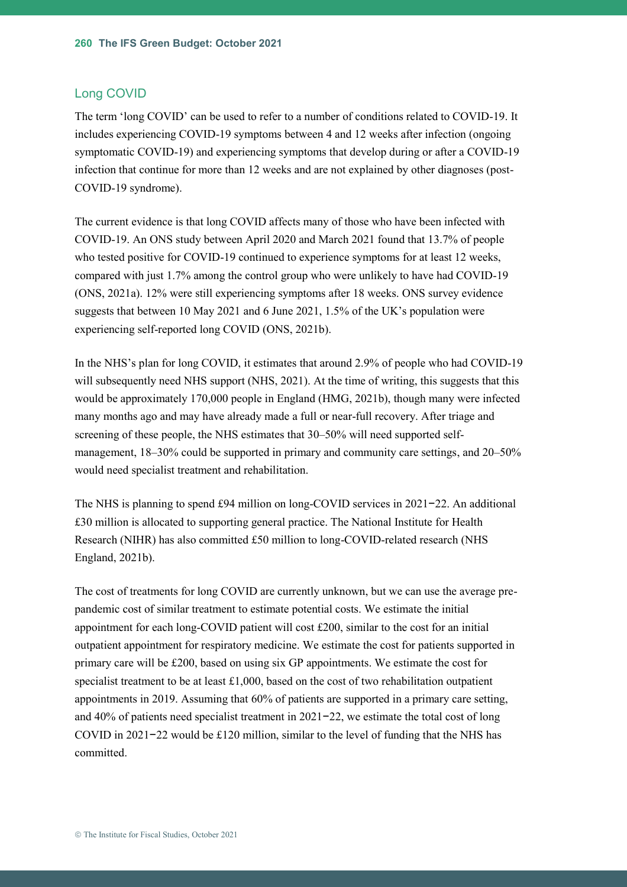#### Long COVID

The term 'long COVID' can be used to refer to a number of conditions related to COVID-19. It includes experiencing COVID-19 symptoms between 4 and 12 weeks after infection (ongoing symptomatic COVID-19) and experiencing symptoms that develop during or after a COVID-19 infection that continue for more than 12 weeks and are not explained by other diagnoses (post-COVID-19 syndrome).

The current evidence is that long COVID affects many of those who have been infected with COVID-19. An ONS study between April 2020 and March 2021 found that 13.7% of people who tested positive for COVID-19 continued to experience symptoms for at least 12 weeks, compared with just 1.7% among the control group who were unlikely to have had COVID-19 (ONS, 2021a). 12% were still experiencing symptoms after 18 weeks. ONS survey evidence suggests that between 10 May 2021 and 6 June 2021, 1.5% of the UK's population were experiencing self-reported long COVID (ONS, 2021b).

In the NHS's plan for long COVID, it estimates that around 2.9% of people who had COVID-19 will subsequently need NHS support (NHS, 2021). At the time of writing, this suggests that this would be approximately 170,000 people in England (HMG, 2021b), though many were infected many months ago and may have already made a full or near-full recovery. After triage and screening of these people, the NHS estimates that 30–50% will need supported selfmanagement, 18–30% could be supported in primary and community care settings, and 20–50% would need specialist treatment and rehabilitation.

The NHS is planning to spend £94 million on long-COVID services in 2021−22. An additional £30 million is allocated to supporting general practice. The National Institute for Health Research (NIHR) has also committed £50 million to long-COVID-related research (NHS England, 2021b).

The cost of treatments for long COVID are currently unknown, but we can use the average prepandemic cost of similar treatment to estimate potential costs. We estimate the initial appointment for each long-COVID patient will cost £200, similar to the cost for an initial outpatient appointment for respiratory medicine. We estimate the cost for patients supported in primary care will be £200, based on using six GP appointments. We estimate the cost for specialist treatment to be at least  $\pounds$ 1,000, based on the cost of two rehabilitation outpatient appointments in 2019. Assuming that 60% of patients are supported in a primary care setting, and 40% of patients need specialist treatment in 2021−22, we estimate the total cost of long COVID in 2021−22 would be £120 million, similar to the level of funding that the NHS has committed.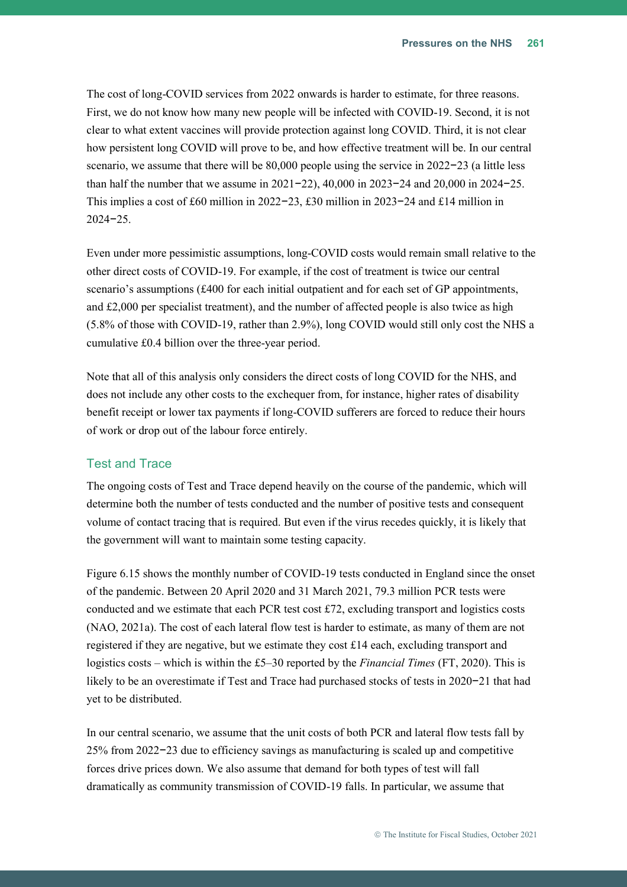The cost of long-COVID services from 2022 onwards is harder to estimate, for three reasons. First, we do not know how many new people will be infected with COVID-19. Second, it is not clear to what extent vaccines will provide protection against long COVID. Third, it is not clear how persistent long COVID will prove to be, and how effective treatment will be. In our central scenario, we assume that there will be 80,000 people using the service in 2022−23 (a little less than half the number that we assume in 2021−22), 40,000 in 2023−24 and 20,000 in 2024−25. This implies a cost of £60 million in 2022−23, £30 million in 2023−24 and £14 million in 2024−25.

Even under more pessimistic assumptions, long-COVID costs would remain small relative to the other direct costs of COVID-19. For example, if the cost of treatment is twice our central scenario's assumptions (£400 for each initial outpatient and for each set of GP appointments, and  $£2,000$  per specialist treatment), and the number of affected people is also twice as high (5.8% of those with COVID-19, rather than 2.9%), long COVID would still only cost the NHS a cumulative £0.4 billion over the three-year period.

Note that all of this analysis only considers the direct costs of long COVID for the NHS, and does not include any other costs to the exchequer from, for instance, higher rates of disability benefit receipt or lower tax payments if long-COVID sufferers are forced to reduce their hours of work or drop out of the labour force entirely.

#### Test and Trace

The ongoing costs of Test and Trace depend heavily on the course of the pandemic, which will determine both the number of tests conducted and the number of positive tests and consequent volume of contact tracing that is required. But even if the virus recedes quickly, it is likely that the government will want to maintain some testing capacity.

[Figure 6.15](#page-32-0) shows the monthly number of COVID-19 tests conducted in England since the onset of the pandemic. Between 20 April 2020 and 31 March 2021, 79.3 million PCR tests were conducted and we estimate that each PCR test cost £72, excluding transport and logistics costs (NAO, 2021a). The cost of each lateral flow test is harder to estimate, as many of them are not registered if they are negative, but we estimate they cost  $\pounds 14$  each, excluding transport and logistics costs – which is within the £5–30 reported by the *Financial Times* (FT, 2020). This is likely to be an overestimate if Test and Trace had purchased stocks of tests in 2020−21 that had yet to be distributed.

In our central scenario, we assume that the unit costs of both PCR and lateral flow tests fall by 25% from 2022−23 due to efficiency savings as manufacturing is scaled up and competitive forces drive prices down. We also assume that demand for both types of test will fall dramatically as community transmission of COVID-19 falls. In particular, we assume that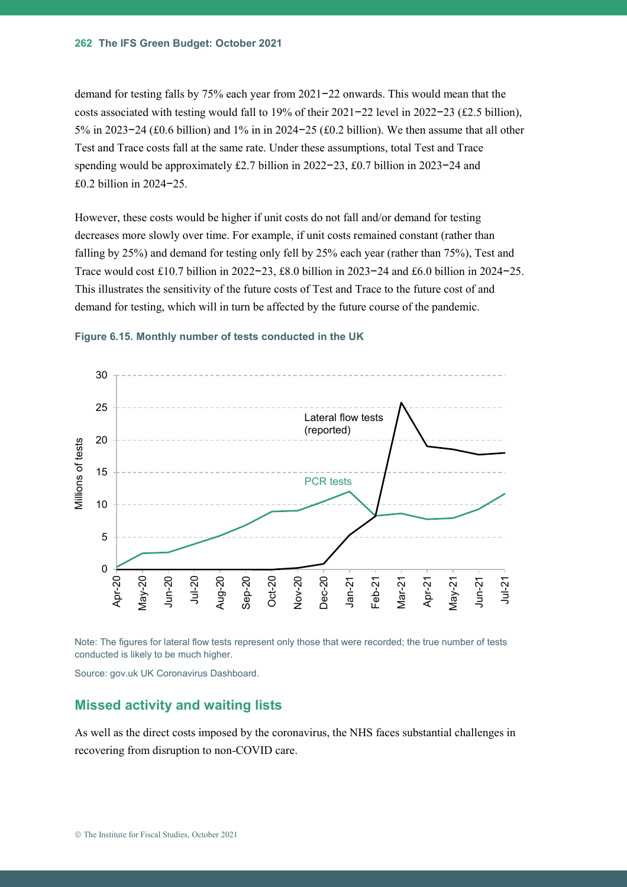demand for testing falls by 75% each year from 2021−22 onwards. This would mean that the costs associated with testing would fall to 19% of their 2021−22 level in 2022−23 (£2.5 billion), 5% in 2023−24 (£0.6 billion) and 1% in in 2024−25 (£0.2 billion). We then assume that all other Test and Trace costs fall at the same rate. Under these assumptions, total Test and Trace spending would be approximately £2.7 billion in 2022−23, £0.7 billion in 2023−24 and £0.2 billion in 2024−25.

However, these costs would be higher if unit costs do not fall and/or demand for testing decreases more slowly over time. For example, if unit costs remained constant (rather than falling by 25%) and demand for testing only fell by 25% each year (rather than 75%), Test and Trace would cost £10.7 billion in 2022−23, £8.0 billion in 2023−24 and £6.0 billion in 2024−25. This illustrates the sensitivity of the future costs of Test and Trace to the future cost of and demand for testing, which will in turn be affected by the future course of the pandemic.



#### <span id="page-32-0"></span>**Figure 6.15. Monthly number of tests conducted in the UK**

Note: The figures for lateral flow tests represent only those that were recorded; the true number of tests conducted is likely to be much higher.

Source: gov.uk UK Coronavirus Dashboard.

#### **Missed activity and waiting lists**

As well as the direct costs imposed by the coronavirus, the NHS faces substantial challenges in recovering from disruption to non-COVID care.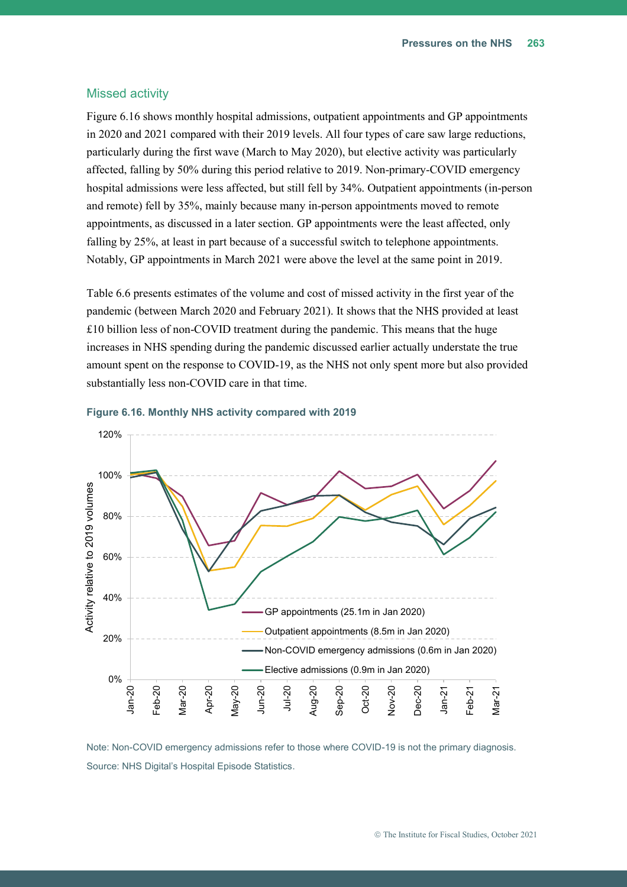#### Missed activity

[Figure 6.16](#page-33-0) shows monthly hospital admissions, outpatient appointments and GP appointments in 2020 and 2021 compared with their 2019 levels. All four types of care saw large reductions, particularly during the first wave (March to May 2020), but elective activity was particularly affected, falling by 50% during this period relative to 2019. Non-primary-COVID emergency hospital admissions were less affected, but still fell by 34%. Outpatient appointments (in-person and remote) fell by 35%, mainly because many in-person appointments moved to remote appointments, as discussed in a later section. GP appointments were the least affected, only falling by 25%, at least in part because of a successful switch to telephone appointments. Notably, GP appointments in March 2021 were above the level at the same point in 2019.

[Table 6.6](#page-34-0) presents estimates of the volume and cost of missed activity in the first year of the pandemic (between March 2020 and February 2021). It shows that the NHS provided at least £10 billion less of non-COVID treatment during the pandemic. This means that the huge increases in NHS spending during the pandemic discussed earlier actually understate the true amount spent on the response to COVID-19, as the NHS not only spent more but also provided substantially less non-COVID care in that time.



#### <span id="page-33-0"></span>**Figure 6.16. Monthly NHS activity compared with 2019**

Note: Non-COVID emergency admissions refer to those where COVID-19 is not the primary diagnosis. Source: NHS Digital's Hospital Episode Statistics.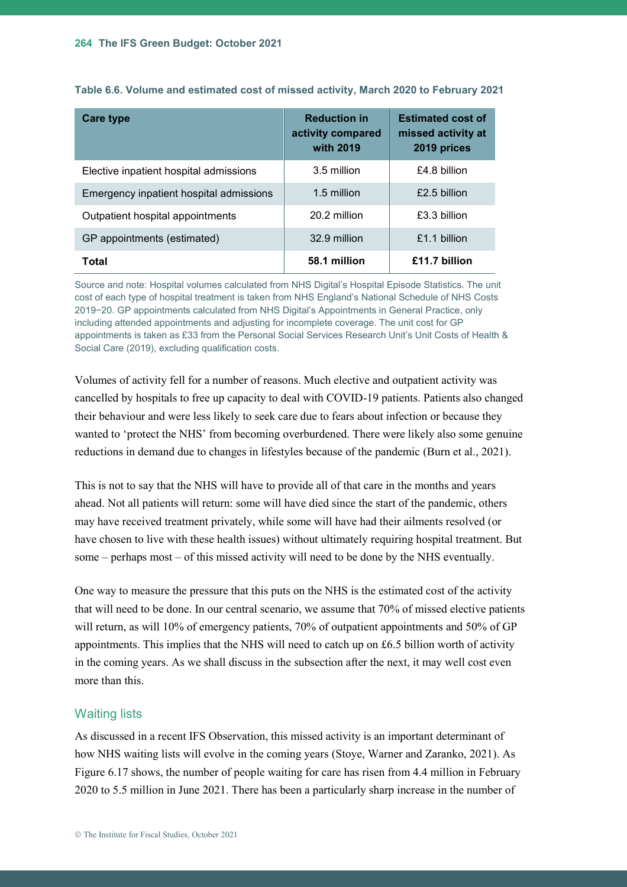| <b>Care type</b>                        | <b>Reduction in</b><br>activity compared<br>with 2019 | <b>Estimated cost of</b><br>missed activity at<br>2019 prices |
|-----------------------------------------|-------------------------------------------------------|---------------------------------------------------------------|
| Elective inpatient hospital admissions  | 3.5 million                                           | £4.8 billion                                                  |
| Emergency inpatient hospital admissions | 1.5 million                                           | £2.5 billion                                                  |
| Outpatient hospital appointments        | 20.2 million                                          | £3.3 billion                                                  |
| GP appointments (estimated)             | 32.9 million                                          | £1.1 billion                                                  |
| Total                                   | 58.1 million                                          | £11.7 billion                                                 |

<span id="page-34-0"></span>**Table 6.6. Volume and estimated cost of missed activity, March 2020 to February 2021**

Source and note: Hospital volumes calculated from NHS Digital's Hospital Episode Statistics. The unit cost of each type of hospital treatment is taken from NHS England's National Schedule of NHS Costs 2019−20. GP appointments calculated from NHS Digital's Appointments in General Practice, only including attended appointments and adjusting for incomplete coverage. The unit cost for GP appointments is taken as £33 from the Personal Social Services Research Unit's Unit Costs of Health & Social Care (2019), excluding qualification costs.

Volumes of activity fell for a number of reasons. Much elective and outpatient activity was cancelled by hospitals to free up capacity to deal with COVID-19 patients. Patients also changed their behaviour and were less likely to seek care due to fears about infection or because they wanted to 'protect the NHS' from becoming overburdened. There were likely also some genuine reductions in demand due to changes in lifestyles because of the pandemic (Burn et al., 2021).

This is not to say that the NHS will have to provide all of that care in the months and years ahead. Not all patients will return: some will have died since the start of the pandemic, others may have received treatment privately, while some will have had their ailments resolved (or have chosen to live with these health issues) without ultimately requiring hospital treatment. But some – perhaps most – of this missed activity will need to be done by the NHS eventually.

One way to measure the pressure that this puts on the NHS is the estimated cost of the activity that will need to be done. In our central scenario, we assume that 70% of missed elective patients will return, as will 10% of emergency patients, 70% of outpatient appointments and 50% of GP appointments. This implies that the NHS will need to catch up on  $\pounds 6.5$  billion worth of activity in the coming years. As we shall discuss in the subsection after the next, it may well cost even more than this.

#### Waiting lists

As discussed in a recent IFS Observation, this missed activity is an important determinant of how NHS waiting lists will evolve in the coming years (Stoye, Warner and Zaranko, 2021). As [Figure 6.17](#page-35-0) shows, the number of people waiting for care has risen from 4.4 million in February 2020 to 5.5 million in June 2021. There has been a particularly sharp increase in the number of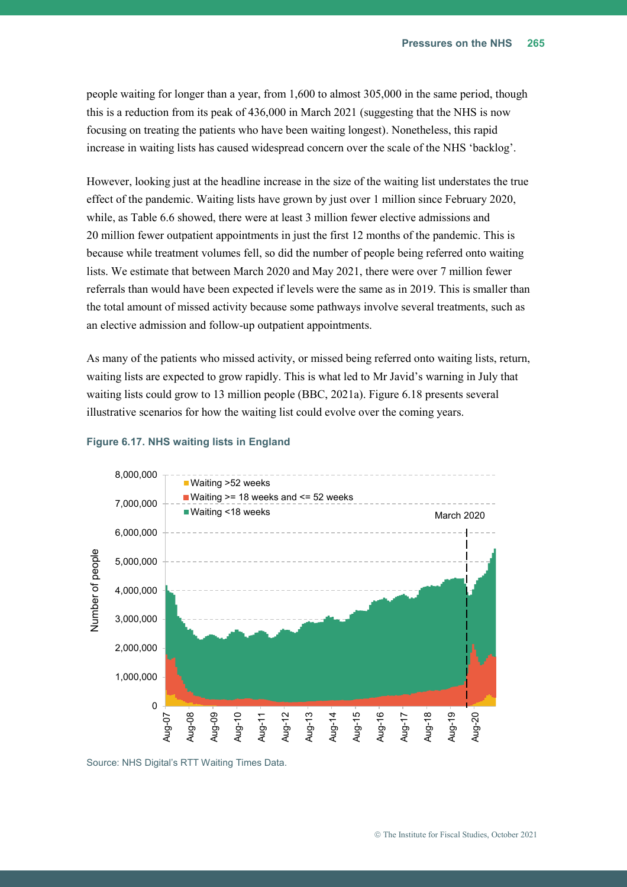people waiting for longer than a year, from 1,600 to almost 305,000 in the same period, though this is a reduction from its peak of 436,000 in March 2021 (suggesting that the NHS is now focusing on treating the patients who have been waiting longest). Nonetheless, this rapid increase in waiting lists has caused widespread concern over the scale of the NHS 'backlog'.

However, looking just at the headline increase in the size of the waiting list understates the true effect of the pandemic. Waiting lists have grown by just over 1 million since February 2020, while, as [Table 6.6](#page-34-0) showed, there were at least 3 million fewer elective admissions and 20 million fewer outpatient appointments in just the first 12 months of the pandemic. This is because while treatment volumes fell, so did the number of people being referred onto waiting lists. We estimate that between March 2020 and May 2021, there were over 7 million fewer referrals than would have been expected if levels were the same as in 2019. This is smaller than the total amount of missed activity because some pathways involve several treatments, such as an elective admission and follow-up outpatient appointments.

As many of the patients who missed activity, or missed being referred onto waiting lists, return, waiting lists are expected to grow rapidly. This is what led to Mr Javid's warning in July that waiting lists could grow to 13 million people (BBC, 2021a). [Figure 6.18](#page-36-0) presents several illustrative scenarios for how the waiting list could evolve over the coming years.



#### <span id="page-35-0"></span>**Figure 6.17. NHS waiting lists in England**

Source: NHS Digital's RTT Waiting Times Data.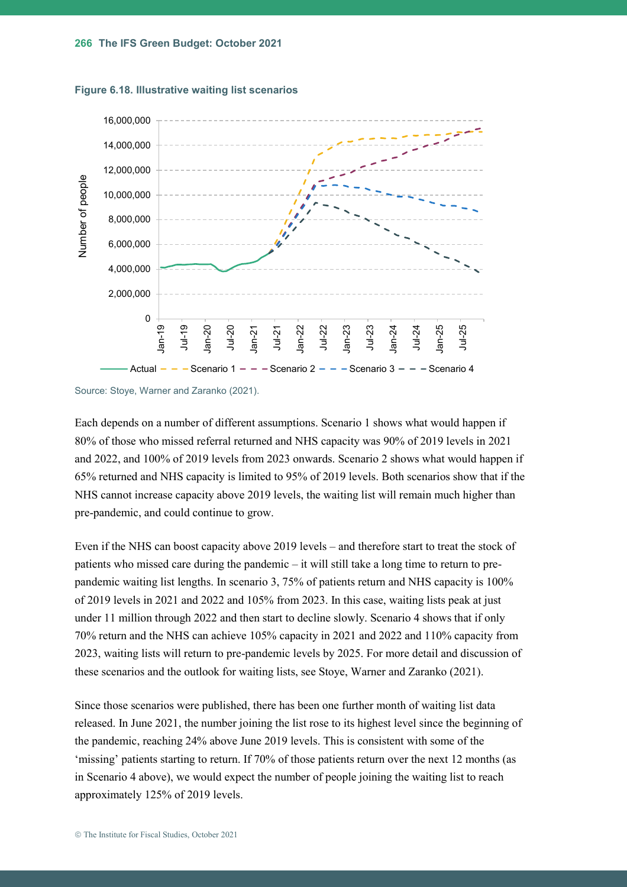<span id="page-36-0"></span>



Source: Stoye, Warner and Zaranko (2021).

Each depends on a number of different assumptions. Scenario 1 shows what would happen if 80% of those who missed referral returned and NHS capacity was 90% of 2019 levels in 2021 and 2022, and 100% of 2019 levels from 2023 onwards. Scenario 2 shows what would happen if 65% returned and NHS capacity is limited to 95% of 2019 levels. Both scenarios show that if the NHS cannot increase capacity above 2019 levels, the waiting list will remain much higher than pre-pandemic, and could continue to grow.

Even if the NHS can boost capacity above 2019 levels – and therefore start to treat the stock of patients who missed care during the pandemic – it will still take a long time to return to prepandemic waiting list lengths. In scenario 3, 75% of patients return and NHS capacity is 100% of 2019 levels in 2021 and 2022 and 105% from 2023. In this case, waiting lists peak at just under 11 million through 2022 and then start to decline slowly. Scenario 4 shows that if only 70% return and the NHS can achieve 105% capacity in 2021 and 2022 and 110% capacity from 2023, waiting lists will return to pre-pandemic levels by 2025. For more detail and discussion of these scenarios and the outlook for waiting lists, see Stoye, Warner and Zaranko (2021).

Since those scenarios were published, there has been one further month of waiting list data released. In June 2021, the number joining the list rose to its highest level since the beginning of the pandemic, reaching 24% above June 2019 levels. This is consistent with some of the 'missing' patients starting to return. If 70% of those patients return over the next 12 months (as in Scenario 4 above), we would expect the number of people joining the waiting list to reach approximately 125% of 2019 levels.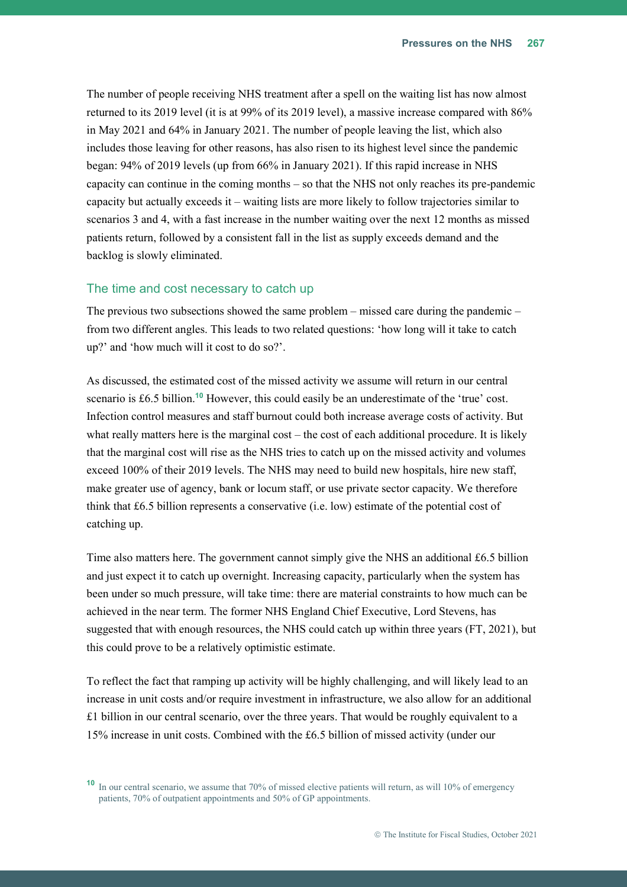The number of people receiving NHS treatment after a spell on the waiting list has now almost returned to its 2019 level (it is at 99% of its 2019 level), a massive increase compared with 86% in May 2021 and 64% in January 2021. The number of people leaving the list, which also includes those leaving for other reasons, has also risen to its highest level since the pandemic began: 94% of 2019 levels (up from 66% in January 2021). If this rapid increase in NHS capacity can continue in the coming months – so that the NHS not only reaches its pre-pandemic capacity but actually exceeds it – waiting lists are more likely to follow trajectories similar to scenarios 3 and 4, with a fast increase in the number waiting over the next 12 months as missed patients return, followed by a consistent fall in the list as supply exceeds demand and the backlog is slowly eliminated.

#### The time and cost necessary to catch up

The previous two subsections showed the same problem – missed care during the pandemic – from two different angles. This leads to two related questions: 'how long will it take to catch up?' and 'how much will it cost to do so?'.

As discussed, the estimated cost of the missed activity we assume will return in our central scenario is £6.5 billion.**<sup>10</sup>** However, this could easily be an underestimate of the 'true' cost. Infection control measures and staff burnout could both increase average costs of activity. But what really matters here is the marginal cost – the cost of each additional procedure. It is likely that the marginal cost will rise as the NHS tries to catch up on the missed activity and volumes exceed 100% of their 2019 levels. The NHS may need to build new hospitals, hire new staff, make greater use of agency, bank or locum staff, or use private sector capacity. We therefore think that £6.5 billion represents a conservative (i.e. low) estimate of the potential cost of catching up.

Time also matters here. The government cannot simply give the NHS an additional £6.5 billion and just expect it to catch up overnight. Increasing capacity, particularly when the system has been under so much pressure, will take time: there are material constraints to how much can be achieved in the near term. The former NHS England Chief Executive, Lord Stevens, has suggested that with enough resources, the NHS could catch up within three years (FT, 2021), but this could prove to be a relatively optimistic estimate.

To reflect the fact that ramping up activity will be highly challenging, and will likely lead to an increase in unit costs and/or require investment in infrastructure, we also allow for an additional  $£1$  billion in our central scenario, over the three years. That would be roughly equivalent to a 15% increase in unit costs. Combined with the £6.5 billion of missed activity (under our

**<sup>10</sup>** In our central scenario, we assume that 70% of missed elective patients will return, as will 10% of emergency patients, 70% of outpatient appointments and 50% of GP appointments.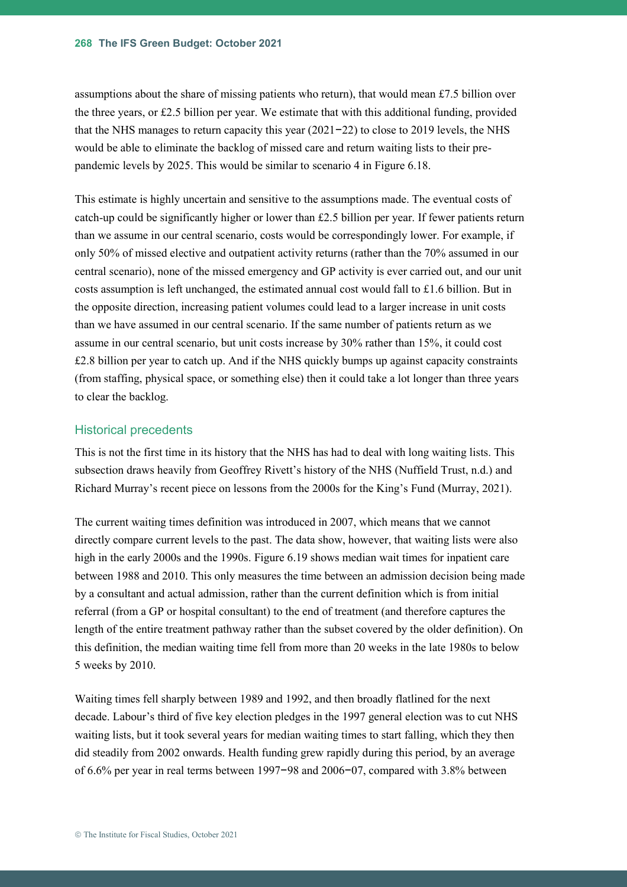assumptions about the share of missing patients who return), that would mean £7.5 billion over the three years, or £2.5 billion per year. We estimate that with this additional funding, provided that the NHS manages to return capacity this year (2021−22) to close to 2019 levels, the NHS would be able to eliminate the backlog of missed care and return waiting lists to their prepandemic levels by 2025. This would be similar to scenario 4 in [Figure 6.18.](#page-36-0)

This estimate is highly uncertain and sensitive to the assumptions made. The eventual costs of catch-up could be significantly higher or lower than £2.5 billion per year. If fewer patients return than we assume in our central scenario, costs would be correspondingly lower. For example, if only 50% of missed elective and outpatient activity returns (rather than the 70% assumed in our central scenario), none of the missed emergency and GP activity is ever carried out, and our unit costs assumption is left unchanged, the estimated annual cost would fall to £1.6 billion. But in the opposite direction, increasing patient volumes could lead to a larger increase in unit costs than we have assumed in our central scenario. If the same number of patients return as we assume in our central scenario, but unit costs increase by 30% rather than 15%, it could cost  $£2.8$  billion per year to catch up. And if the NHS quickly bumps up against capacity constraints (from staffing, physical space, or something else) then it could take a lot longer than three years to clear the backlog.

#### Historical precedents

This is not the first time in its history that the NHS has had to deal with long waiting lists. This subsection draws heavily from Geoffrey Rivett's history of the NHS (Nuffield Trust, n.d.) and Richard Murray's recent piece on lessons from the 2000s for the King's Fund (Murray, 2021).

The current waiting times definition was introduced in 2007, which means that we cannot directly compare current levels to the past. The data show, however, that waiting lists were also high in the early 2000s and the 1990s. [Figure 6.19](#page-39-0) shows median wait times for inpatient care between 1988 and 2010. This only measures the time between an admission decision being made by a consultant and actual admission, rather than the current definition which is from initial referral (from a GP or hospital consultant) to the end of treatment (and therefore captures the length of the entire treatment pathway rather than the subset covered by the older definition). On this definition, the median waiting time fell from more than 20 weeks in the late 1980s to below 5 weeks by 2010.

Waiting times fell sharply between 1989 and 1992, and then broadly flatlined for the next decade. Labour's third of five key election pledges in the 1997 general election was to cut NHS waiting lists, but it took several years for median waiting times to start falling, which they then did steadily from 2002 onwards. Health funding grew rapidly during this period, by an average of 6.6% per year in real terms between 1997−98 and 2006−07, compared with 3.8% between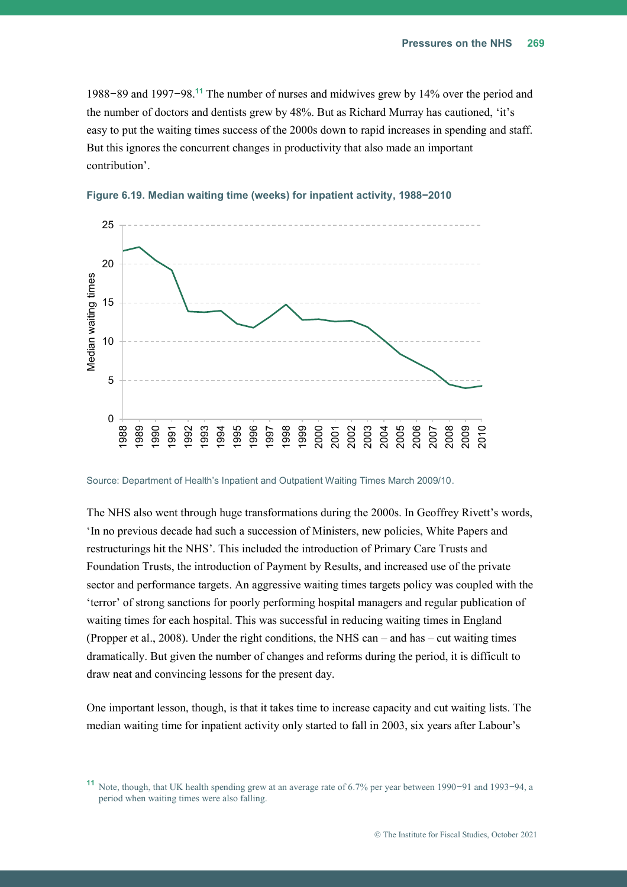1988−89 and 1997−98.**<sup>11</sup>** The number of nurses and midwives grew by 14% over the period and the number of doctors and dentists grew by 48%. But as Richard Murray has cautioned, 'it's easy to put the waiting times success of the 2000s down to rapid increases in spending and staff. But this ignores the concurrent changes in productivity that also made an important contribution'.



<span id="page-39-0"></span>

Source: Department of Health's Inpatient and Outpatient Waiting Times March 2009/10.

The NHS also went through huge transformations during the 2000s. In Geoffrey Rivett's words, 'In no previous decade had such a succession of Ministers, new policies, White Papers and restructurings hit the NHS'. This included the introduction of Primary Care Trusts and Foundation Trusts, the introduction of Payment by Results, and increased use of the private sector and performance targets. An aggressive waiting times targets policy was coupled with the 'terror' of strong sanctions for poorly performing hospital managers and regular publication of waiting times for each hospital. This was successful in reducing waiting times in England (Propper et al., 2008). Under the right conditions, the NHS can – and has – cut waiting times dramatically. But given the number of changes and reforms during the period, it is difficult to draw neat and convincing lessons for the present day.

One important lesson, though, is that it takes time to increase capacity and cut waiting lists. The median waiting time for inpatient activity only started to fall in 2003, six years after Labour's

**<sup>11</sup>** Note, though, that UK health spending grew at an average rate of 6.7% per year between 1990−91 and 1993−94, a period when waiting times were also falling.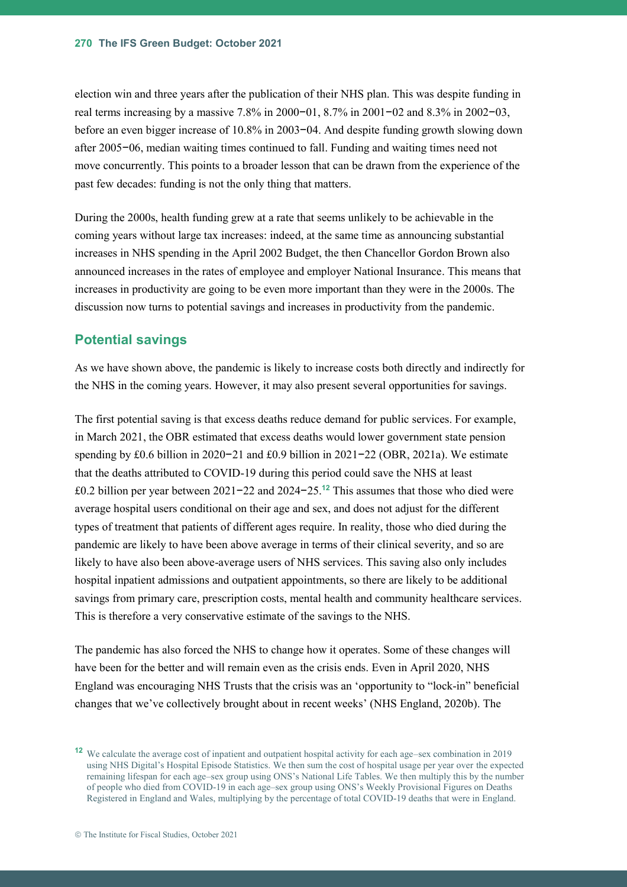election win and three years after the publication of their NHS plan. This was despite funding in real terms increasing by a massive 7.8% in 2000−01, 8.7% in 2001−02 and 8.3% in 2002−03, before an even bigger increase of 10.8% in 2003−04. And despite funding growth slowing down after 2005−06, median waiting times continued to fall. Funding and waiting times need not move concurrently. This points to a broader lesson that can be drawn from the experience of the past few decades: funding is not the only thing that matters.

During the 2000s, health funding grew at a rate that seems unlikely to be achievable in the coming years without large tax increases: indeed, at the same time as announcing substantial increases in NHS spending in the April 2002 Budget, the then Chancellor Gordon Brown also announced increases in the rates of employee and employer National Insurance. This means that increases in productivity are going to be even more important than they were in the 2000s. The discussion now turns to potential savings and increases in productivity from the pandemic.

#### **Potential savings**

As we have shown above, the pandemic is likely to increase costs both directly and indirectly for the NHS in the coming years. However, it may also present several opportunities for savings.

The first potential saving is that excess deaths reduce demand for public services. For example, in March 2021, the OBR estimated that excess deaths would lower government state pension spending by £0.6 billion in 2020−21 and £0.9 billion in 2021−22 (OBR, 2021a). We estimate that the deaths attributed to COVID-19 during this period could save the NHS at least £0.2 billion per year between 2021−22 and 2024−25. **<sup>12</sup>** This assumes that those who died were average hospital users conditional on their age and sex, and does not adjust for the different types of treatment that patients of different ages require. In reality, those who died during the pandemic are likely to have been above average in terms of their clinical severity, and so are likely to have also been above-average users of NHS services. This saving also only includes hospital inpatient admissions and outpatient appointments, so there are likely to be additional savings from primary care, prescription costs, mental health and community healthcare services. This is therefore a very conservative estimate of the savings to the NHS.

The pandemic has also forced the NHS to change how it operates. Some of these changes will have been for the better and will remain even as the crisis ends. Even in April 2020, NHS England was encouraging NHS Trusts that the crisis was an 'opportunity to "lock-in" beneficial changes that we've collectively brought about in recent weeks' (NHS England, 2020b). The

**<sup>12</sup>** We calculate the average cost of inpatient and outpatient hospital activity for each age–sex combination in 2019 using NHS Digital's Hospital Episode Statistics. We then sum the cost of hospital usage per year over the expected remaining lifespan for each age–sex group using ONS's National Life Tables. We then multiply this by the number of people who died from COVID-19 in each age–sex group using ONS's Weekly Provisional Figures on Deaths Registered in England and Wales, multiplying by the percentage of total COVID-19 deaths that were in England.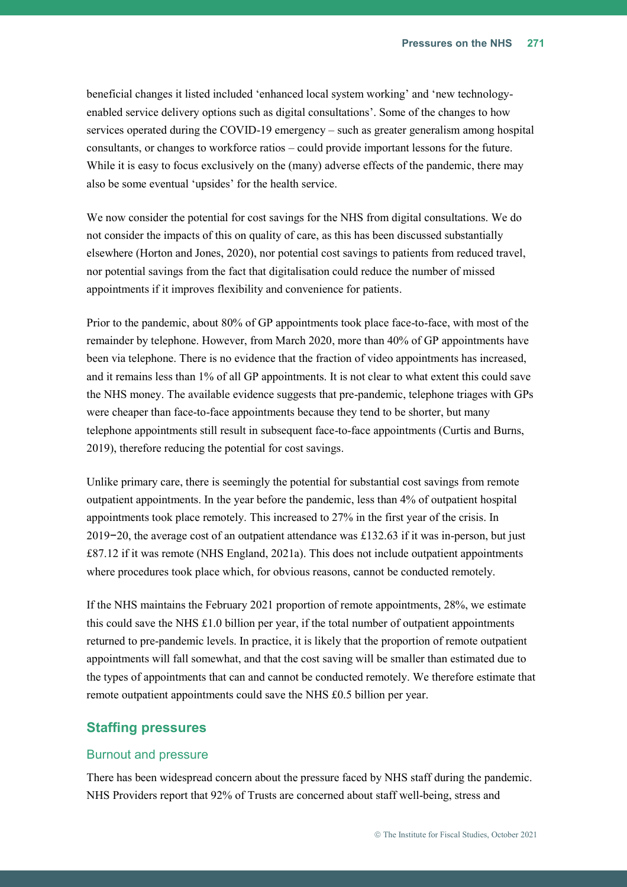beneficial changes it listed included 'enhanced local system working' and 'new technologyenabled service delivery options such as digital consultations'. Some of the changes to how services operated during the COVID-19 emergency – such as greater generalism among hospital consultants, or changes to workforce ratios – could provide important lessons for the future. While it is easy to focus exclusively on the (many) adverse effects of the pandemic, there may also be some eventual 'upsides' for the health service.

We now consider the potential for cost savings for the NHS from digital consultations. We do not consider the impacts of this on quality of care, as this has been discussed substantially elsewhere (Horton and Jones, 2020), nor potential cost savings to patients from reduced travel, nor potential savings from the fact that digitalisation could reduce the number of missed appointments if it improves flexibility and convenience for patients.

Prior to the pandemic, about 80% of GP appointments took place face-to-face, with most of the remainder by telephone. However, from March 2020, more than 40% of GP appointments have been via telephone. There is no evidence that the fraction of video appointments has increased, and it remains less than 1% of all GP appointments. It is not clear to what extent this could save the NHS money. The available evidence suggests that pre-pandemic, telephone triages with GPs were cheaper than face-to-face appointments because they tend to be shorter, but many telephone appointments still result in subsequent face-to-face appointments (Curtis and Burns, 2019), therefore reducing the potential for cost savings.

Unlike primary care, there is seemingly the potential for substantial cost savings from remote outpatient appointments. In the year before the pandemic, less than 4% of outpatient hospital appointments took place remotely. This increased to 27% in the first year of the crisis. In 2019−20, the average cost of an outpatient attendance was £132.63 if it was in-person, but just £87.12 if it was remote (NHS England, 2021a). This does not include outpatient appointments where procedures took place which, for obvious reasons, cannot be conducted remotely.

If the NHS maintains the February 2021 proportion of remote appointments, 28%, we estimate this could save the NHS  $\pounds1.0$  billion per year, if the total number of outpatient appointments returned to pre-pandemic levels. In practice, it is likely that the proportion of remote outpatient appointments will fall somewhat, and that the cost saving will be smaller than estimated due to the types of appointments that can and cannot be conducted remotely. We therefore estimate that remote outpatient appointments could save the NHS £0.5 billion per year.

#### **Staffing pressures**

#### Burnout and pressure

There has been widespread concern about the pressure faced by NHS staff during the pandemic. NHS Providers report that 92% of Trusts are concerned about staff well-being, stress and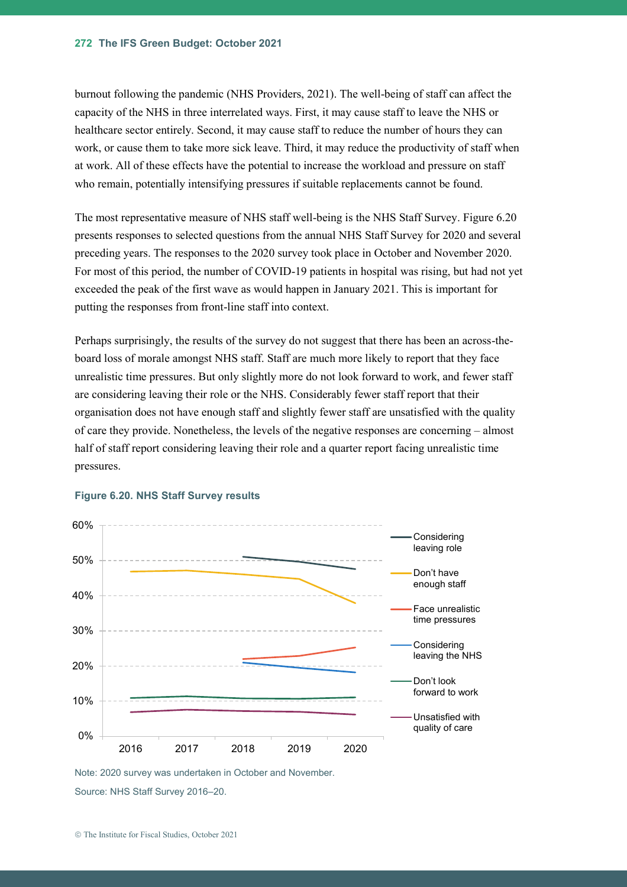burnout following the pandemic (NHS Providers, 2021). The well-being of staff can affect the capacity of the NHS in three interrelated ways. First, it may cause staff to leave the NHS or healthcare sector entirely. Second, it may cause staff to reduce the number of hours they can work, or cause them to take more sick leave. Third, it may reduce the productivity of staff when at work. All of these effects have the potential to increase the workload and pressure on staff who remain, potentially intensifying pressures if suitable replacements cannot be found.

The most representative measure of NHS staff well-being is the NHS Staff Survey. [Figure 6.20](#page-42-0) presents responses to selected questions from the annual NHS Staff Survey for 2020 and several preceding years. The responses to the 2020 survey took place in October and November 2020. For most of this period, the number of COVID-19 patients in hospital was rising, but had not yet exceeded the peak of the first wave as would happen in January 2021. This is important for putting the responses from front-line staff into context.

Perhaps surprisingly, the results of the survey do not suggest that there has been an across-theboard loss of morale amongst NHS staff. Staff are much more likely to report that they face unrealistic time pressures. But only slightly more do not look forward to work, and fewer staff are considering leaving their role or the NHS. Considerably fewer staff report that their organisation does not have enough staff and slightly fewer staff are unsatisfied with the quality of care they provide. Nonetheless, the levels of the negative responses are concerning – almost half of staff report considering leaving their role and a quarter report facing unrealistic time pressures.



#### <span id="page-42-0"></span>**Figure 6.20. NHS Staff Survey results**

Note: 2020 survey was undertaken in October and November. Source: NHS Staff Survey 2016–20.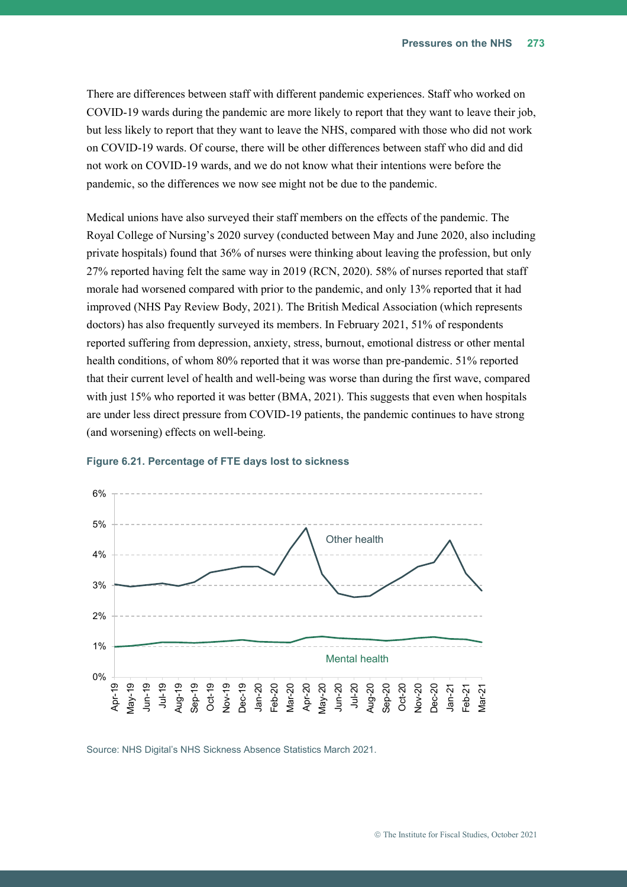There are differences between staff with different pandemic experiences. Staff who worked on COVID-19 wards during the pandemic are more likely to report that they want to leave their job, but less likely to report that they want to leave the NHS, compared with those who did not work on COVID-19 wards. Of course, there will be other differences between staff who did and did not work on COVID-19 wards, and we do not know what their intentions were before the pandemic, so the differences we now see might not be due to the pandemic.

Medical unions have also surveyed their staff members on the effects of the pandemic. The Royal College of Nursing's 2020 survey (conducted between May and June 2020, also including private hospitals) found that 36% of nurses were thinking about leaving the profession, but only 27% reported having felt the same way in 2019 (RCN, 2020). 58% of nurses reported that staff morale had worsened compared with prior to the pandemic, and only 13% reported that it had improved (NHS Pay Review Body, 2021). The British Medical Association (which represents doctors) has also frequently surveyed its members. In February 2021, 51% of respondents reported suffering from depression, anxiety, stress, burnout, emotional distress or other mental health conditions, of whom 80% reported that it was worse than pre-pandemic. 51% reported that their current level of health and well-being was worse than during the first wave, compared with just 15% who reported it was better (BMA, 2021). This suggests that even when hospitals are under less direct pressure from COVID-19 patients, the pandemic continues to have strong (and worsening) effects on well-being.



#### <span id="page-43-0"></span>**Figure 6.21. Percentage of FTE days lost to sickness**

Source: NHS Digital's NHS Sickness Absence Statistics March 2021.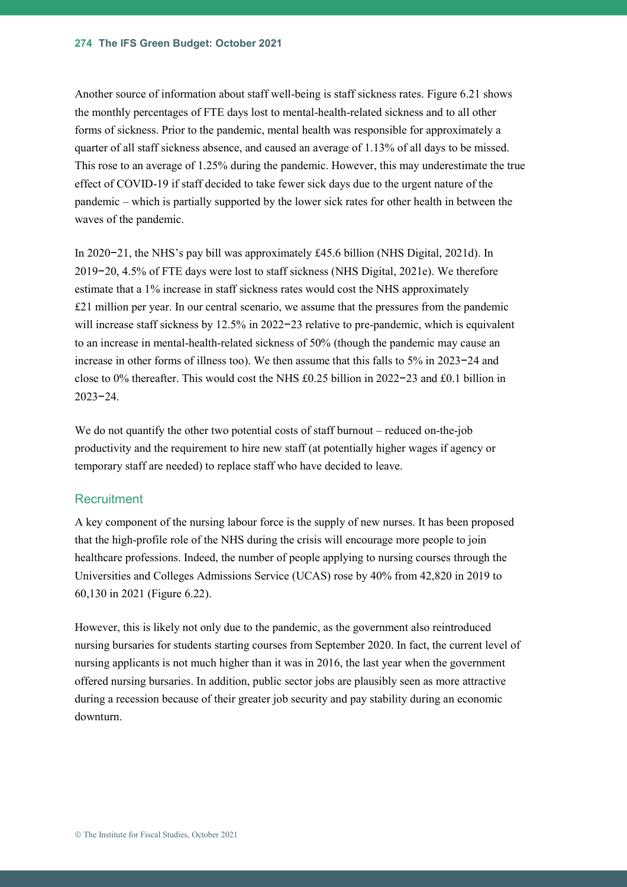Another source of information about staff well-being is staff sickness rates. [Figure 6.21](#page-43-0) shows the monthly percentages of FTE days lost to mental-health-related sickness and to all other forms of sickness. Prior to the pandemic, mental health was responsible for approximately a quarter of all staff sickness absence, and caused an average of 1.13% of all days to be missed. This rose to an average of 1.25% during the pandemic. However, this may underestimate the true effect of COVID-19 if staff decided to take fewer sick days due to the urgent nature of the pandemic – which is partially supported by the lower sick rates for other health in between the waves of the pandemic.

In 2020−21, the NHS's pay bill was approximately £45.6 billion (NHS Digital, 2021d). In 2019−20, 4.5% of FTE days were lost to staff sickness (NHS Digital, 2021e). We therefore estimate that a 1% increase in staff sickness rates would cost the NHS approximately  $£21$  million per year. In our central scenario, we assume that the pressures from the pandemic will increase staff sickness by 12.5% in 2022−23 relative to pre-pandemic, which is equivalent to an increase in mental-health-related sickness of 50% (though the pandemic may cause an increase in other forms of illness too). We then assume that this falls to 5% in 2023−24 and close to 0% thereafter. This would cost the NHS £0.25 billion in 2022−23 and £0.1 billion in 2023−24.

We do not quantify the other two potential costs of staff burnout – reduced on-the-job productivity and the requirement to hire new staff (at potentially higher wages if agency or temporary staff are needed) to replace staff who have decided to leave.

#### **Recruitment**

A key component of the nursing labour force is the supply of new nurses. It has been proposed that the high-profile role of the NHS during the crisis will encourage more people to join healthcare professions. Indeed, the number of people applying to nursing courses through the Universities and Colleges Admissions Service (UCAS) rose by 40% from 42,820 in 2019 to 60,130 in 2021 [\(Figure 6.22\)](#page-45-0).

However, this is likely not only due to the pandemic, as the government also reintroduced nursing bursaries for students starting courses from September 2020. In fact, the current level of nursing applicants is not much higher than it was in 2016, the last year when the government offered nursing bursaries. In addition, public sector jobs are plausibly seen as more attractive during a recession because of their greater job security and pay stability during an economic downturn.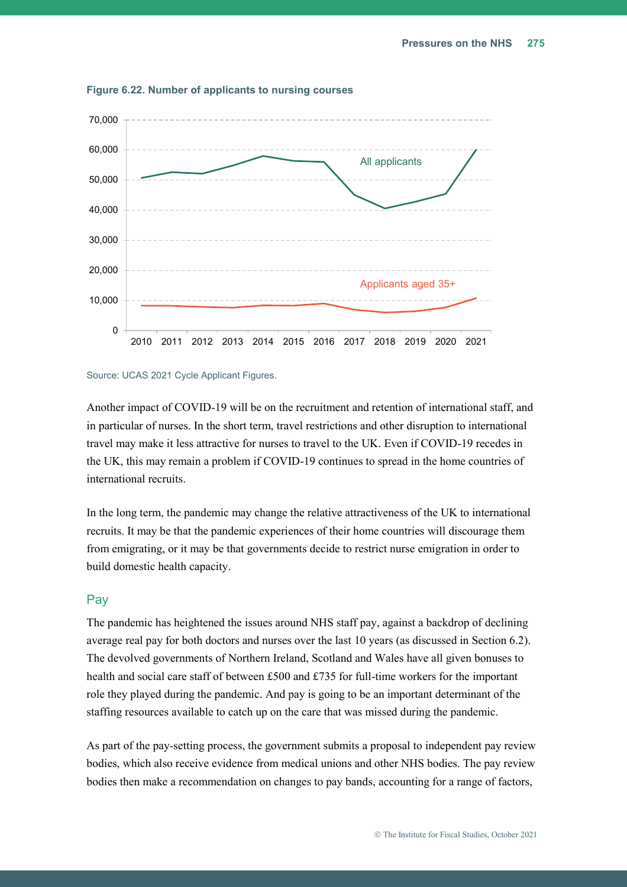

<span id="page-45-0"></span>**Figure 6.22. Number of applicants to nursing courses**

#### Source: UCAS 2021 Cycle Applicant Figures.

Another impact of COVID-19 will be on the recruitment and retention of international staff, and in particular of nurses. In the short term, travel restrictions and other disruption to international travel may make it less attractive for nurses to travel to the UK. Even if COVID-19 recedes in the UK, this may remain a problem if COVID-19 continues to spread in the home countries of international recruits.

In the long term, the pandemic may change the relative attractiveness of the UK to international recruits. It may be that the pandemic experiences of their home countries will discourage them from emigrating, or it may be that governments decide to restrict nurse emigration in order to build domestic health capacity.

#### Pay

The pandemic has heightened the issues around NHS staff pay, against a backdrop of declining average real pay for both doctors and nurses over the last 10 years (as discussed in Section [6.2\)](#page-5-0). The devolved governments of Northern Ireland, Scotland and Wales have all given bonuses to health and social care staff of between £500 and £735 for full-time workers for the important role they played during the pandemic. And pay is going to be an important determinant of the staffing resources available to catch up on the care that was missed during the pandemic.

As part of the pay-setting process, the government submits a proposal to independent pay review bodies, which also receive evidence from medical unions and other NHS bodies. The pay review bodies then make a recommendation on changes to pay bands, accounting for a range of factors,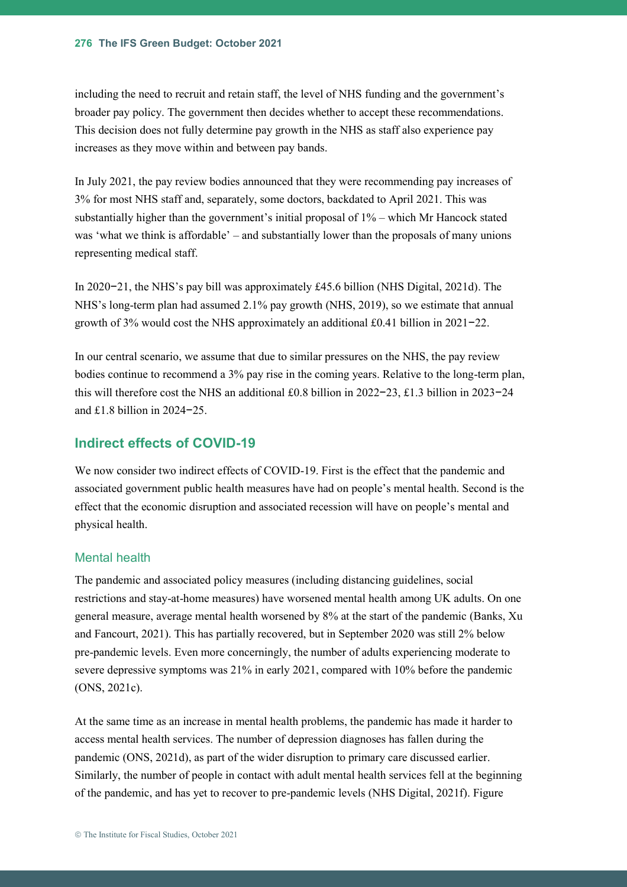including the need to recruit and retain staff, the level of NHS funding and the government's broader pay policy. The government then decides whether to accept these recommendations. This decision does not fully determine pay growth in the NHS as staff also experience pay increases as they move within and between pay bands.

In July 2021, the pay review bodies announced that they were recommending pay increases of 3% for most NHS staff and, separately, some doctors, backdated to April 2021. This was substantially higher than the government's initial proposal of 1% – which Mr Hancock stated was 'what we think is affordable' – and substantially lower than the proposals of many unions representing medical staff.

In 2020−21, the NHS's pay bill was approximately £45.6 billion (NHS Digital, 2021d). The NHS's long-term plan had assumed 2.1% pay growth (NHS, 2019), so we estimate that annual growth of 3% would cost the NHS approximately an additional £0.41 billion in 2021−22.

In our central scenario, we assume that due to similar pressures on the NHS, the pay review bodies continue to recommend a 3% pay rise in the coming years. Relative to the long-term plan, this will therefore cost the NHS an additional £0.8 billion in 2022−23, £1.3 billion in 2023−24 and £1.8 billion in 2024−25.

#### **Indirect effects of COVID-19**

We now consider two indirect effects of COVID-19. First is the effect that the pandemic and associated government public health measures have had on people's mental health. Second is the effect that the economic disruption and associated recession will have on people's mental and physical health.

#### Mental health

The pandemic and associated policy measures (including distancing guidelines, social restrictions and stay-at-home measures) have worsened mental health among UK adults. On one general measure, average mental health worsened by 8% at the start of the pandemic (Banks, Xu and Fancourt, 2021). This has partially recovered, but in September 2020 was still 2% below pre-pandemic levels. Even more concerningly, the number of adults experiencing moderate to severe depressive symptoms was 21% in early 2021, compared with 10% before the pandemic (ONS, 2021c).

At the same time as an increase in mental health problems, the pandemic has made it harder to access mental health services. The number of depression diagnoses has fallen during the pandemic (ONS, 2021d), as part of the wider disruption to primary care discussed earlier. Similarly, the number of people in contact with adult mental health services fell at the beginning of the pandemic, and has yet to recover to pre-pandemic levels (NHS Digital, 2021f)[. Figure](#page-47-0)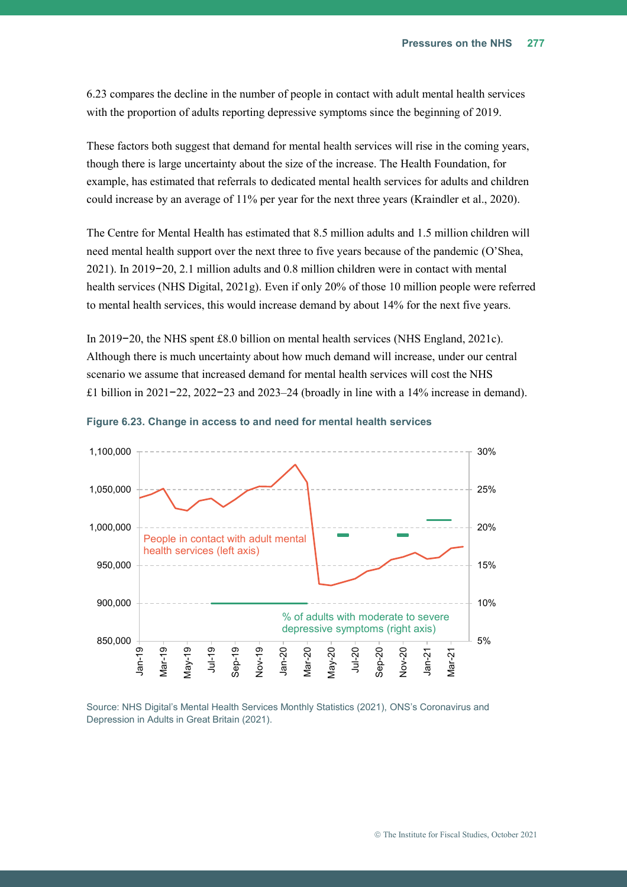[6.23](#page-47-0) compares the decline in the number of people in contact with adult mental health services with the proportion of adults reporting depressive symptoms since the beginning of 2019.

These factors both suggest that demand for mental health services will rise in the coming years, though there is large uncertainty about the size of the increase. The Health Foundation, for example, has estimated that referrals to dedicated mental health services for adults and children could increase by an average of 11% per year for the next three years (Kraindler et al., 2020).

The Centre for Mental Health has estimated that 8.5 million adults and 1.5 million children will need mental health support over the next three to five years because of the pandemic (O'Shea, 2021). In 2019−20, 2.1 million adults and 0.8 million children were in contact with mental health services (NHS Digital, 2021g). Even if only 20% of those 10 million people were referred to mental health services, this would increase demand by about 14% for the next five years.

In 2019−20, the NHS spent £8.0 billion on mental health services (NHS England, 2021c). Although there is much uncertainty about how much demand will increase, under our central scenario we assume that increased demand for mental health services will cost the NHS £1 billion in 2021−22, 2022−23 and 2023–24 (broadly in line with a 14% increase in demand).



<span id="page-47-0"></span>

Source: NHS Digital's Mental Health Services Monthly Statistics (2021), ONS's Coronavirus and Depression in Adults in Great Britain (2021).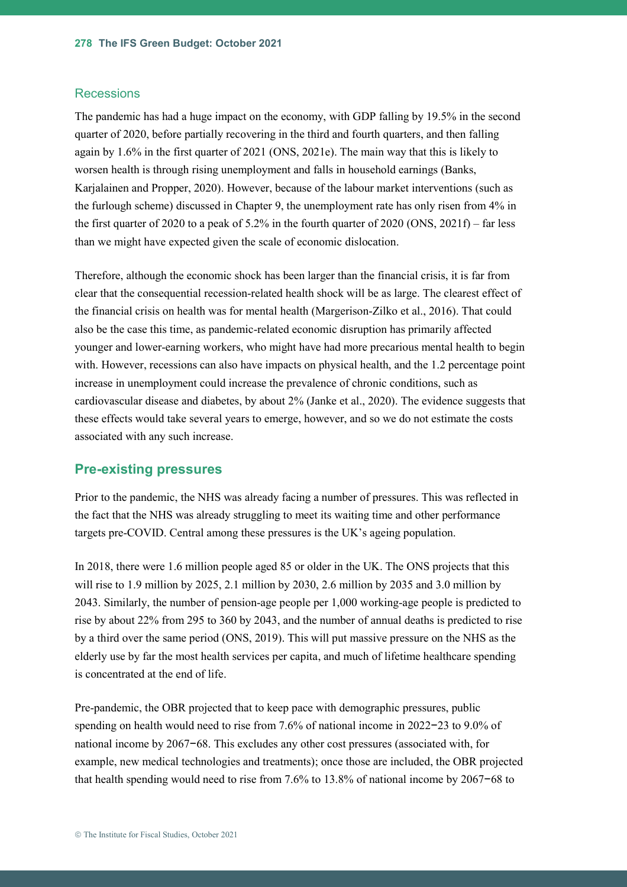#### **Recessions**

The pandemic has had a huge impact on the economy, with GDP falling by 19.5% in the second quarter of 2020, before partially recovering in the third and fourth quarters, and then falling again by 1.6% in the first quarter of 2021 (ONS, 2021e). The main way that this is likely to worsen health is through rising unemployment and falls in household earnings (Banks, Karjalainen and Propper, 2020). However, because of the labour market interventions (such as the furlough scheme) discussed in Chapter 9, the unemployment rate has only risen from 4% in the first quarter of 2020 to a peak of 5.2% in the fourth quarter of 2020 (ONS, 2021f) – far less than we might have expected given the scale of economic dislocation.

Therefore, although the economic shock has been larger than the financial crisis, it is far from clear that the consequential recession-related health shock will be as large. The clearest effect of the financial crisis on health was for mental health (Margerison-Zilko et al., 2016). That could also be the case this time, as pandemic-related economic disruption has primarily affected younger and lower-earning workers, who might have had more precarious mental health to begin with. However, recessions can also have impacts on physical health, and the 1.2 percentage point increase in unemployment could increase the prevalence of chronic conditions, such as cardiovascular disease and diabetes, by about 2% (Janke et al., 2020). The evidence suggests that these effects would take several years to emerge, however, and so we do not estimate the costs associated with any such increase.

#### **Pre-existing pressures**

Prior to the pandemic, the NHS was already facing a number of pressures. This was reflected in the fact that the NHS was already struggling to meet its waiting time and other performance targets pre-COVID. Central among these pressures is the UK's ageing population.

In 2018, there were 1.6 million people aged 85 or older in the UK. The ONS projects that this will rise to 1.9 million by 2025, 2.1 million by 2030, 2.6 million by 2035 and 3.0 million by 2043. Similarly, the number of pension-age people per 1,000 working-age people is predicted to rise by about 22% from 295 to 360 by 2043, and the number of annual deaths is predicted to rise by a third over the same period (ONS, 2019). This will put massive pressure on the NHS as the elderly use by far the most health services per capita, and much of lifetime healthcare spending is concentrated at the end of life.

Pre-pandemic, the OBR projected that to keep pace with demographic pressures, public spending on health would need to rise from 7.6% of national income in 2022−23 to 9.0% of national income by 2067−68. This excludes any other cost pressures (associated with, for example, new medical technologies and treatments); once those are included, the OBR projected that health spending would need to rise from 7.6% to 13.8% of national income by 2067−68 to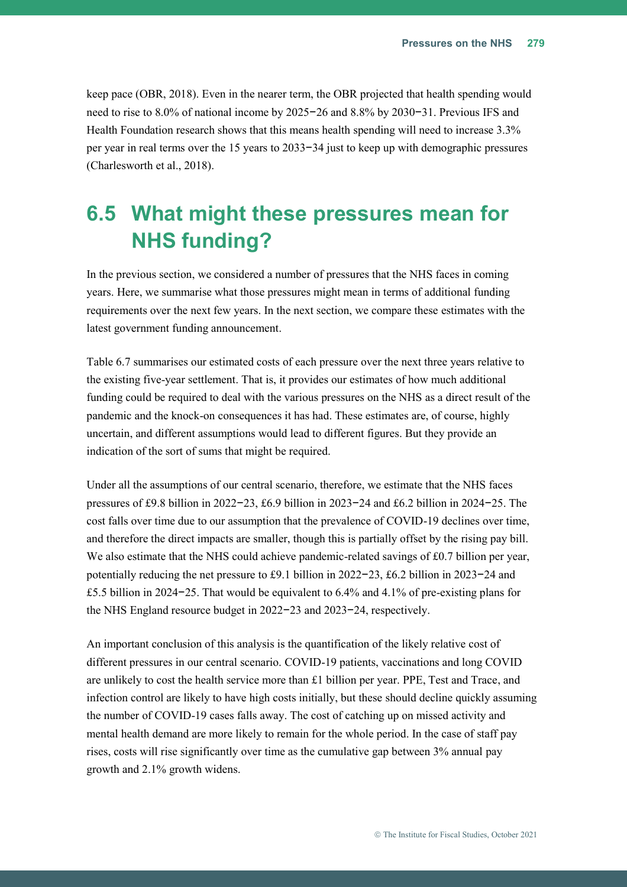keep pace (OBR, 2018). Even in the nearer term, the OBR projected that health spending would need to rise to 8.0% of national income by 2025−26 and 8.8% by 2030−31. Previous IFS and Health Foundation research shows that this means health spending will need to increase 3.3% per year in real terms over the 15 years to 2033−34 just to keep up with demographic pressures (Charlesworth et al., 2018).

## <span id="page-49-0"></span>**6.5 What might these pressures mean for NHS funding?**

In the previous section, we considered a number of pressures that the NHS faces in coming years. Here, we summarise what those pressures might mean in terms of additional funding requirements over the next few years. In the next section, we compare these estimates with the latest government funding announcement.

[Table 6.7](#page-50-0) summarises our estimated costs of each pressure over the next three years relative to the existing five-year settlement. That is, it provides our estimates of how much additional funding could be required to deal with the various pressures on the NHS as a direct result of the pandemic and the knock-on consequences it has had. These estimates are, of course, highly uncertain, and different assumptions would lead to different figures. But they provide an indication of the sort of sums that might be required.

Under all the assumptions of our central scenario, therefore, we estimate that the NHS faces pressures of £9.8 billion in 2022−23, £6.9 billion in 2023−24 and £6.2 billion in 2024−25. The cost falls over time due to our assumption that the prevalence of COVID-19 declines over time, and therefore the direct impacts are smaller, though this is partially offset by the rising pay bill. We also estimate that the NHS could achieve pandemic-related savings of £0.7 billion per year, potentially reducing the net pressure to £9.1 billion in 2022−23, £6.2 billion in 2023−24 and £5.5 billion in 2024−25. That would be equivalent to 6.4% and 4.1% of pre-existing plans for the NHS England resource budget in 2022−23 and 2023−24, respectively.

An important conclusion of this analysis is the quantification of the likely relative cost of different pressures in our central scenario. COVID-19 patients, vaccinations and long COVID are unlikely to cost the health service more than £1 billion per year. PPE, Test and Trace, and infection control are likely to have high costs initially, but these should decline quickly assuming the number of COVID-19 cases falls away. The cost of catching up on missed activity and mental health demand are more likely to remain for the whole period. In the case of staff pay rises, costs will rise significantly over time as the cumulative gap between 3% annual pay growth and 2.1% growth widens.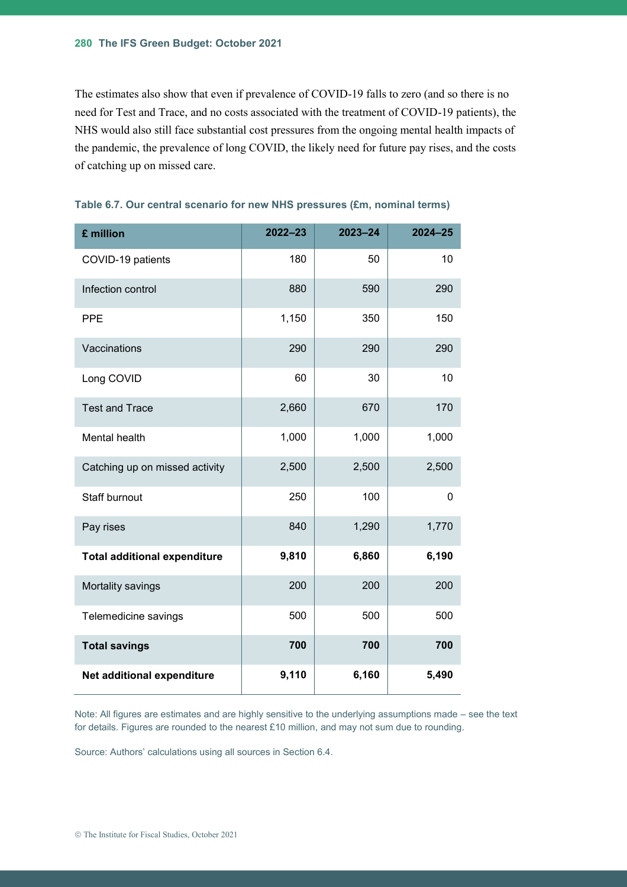The estimates also show that even if prevalence of COVID-19 falls to zero (and so there is no need for Test and Trace, and no costs associated with the treatment of COVID-19 patients), the NHS would also still face substantial cost pressures from the ongoing mental health impacts of the pandemic, the prevalence of long COVID, the likely need for future pay rises, and the costs of catching up on missed care.

| £ million                           | $2022 - 23$ | $2023 - 24$ | $2024 - 25$ |
|-------------------------------------|-------------|-------------|-------------|
| COVID-19 patients                   | 180         | 50          | 10          |
| Infection control                   | 880         | 590         | 290         |
| <b>PPE</b>                          | 1,150       | 350         | 150         |
| Vaccinations                        | 290         | 290         | 290         |
| Long COVID                          | 60          | 30          | 10          |
| <b>Test and Trace</b>               | 2,660       | 670         | 170         |
| Mental health                       | 1,000       | 1,000       | 1,000       |
| Catching up on missed activity      | 2,500       | 2,500       | 2,500       |
| <b>Staff burnout</b>                | 250         | 100         | 0           |
| Pay rises                           | 840         | 1,290       | 1,770       |
| <b>Total additional expenditure</b> | 9,810       | 6,860       | 6,190       |
| Mortality savings                   | 200         | 200         | 200         |
| Telemedicine savings                | 500         | 500         | 500         |
| <b>Total savings</b>                | 700         | 700         | 700         |
| Net additional expenditure          | 9,110       | 6,160       | 5,490       |

#### <span id="page-50-0"></span>**Table 6.7. Our central scenario for new NHS pressures (£m, nominal terms)**

Note: All figures are estimates and are highly sensitive to the underlying assumptions made – see the text for details. Figures are rounded to the nearest £10 million, and may not sum due to rounding.

Source: Authors' calculations using all sources in Section [6.4.](#page-23-0)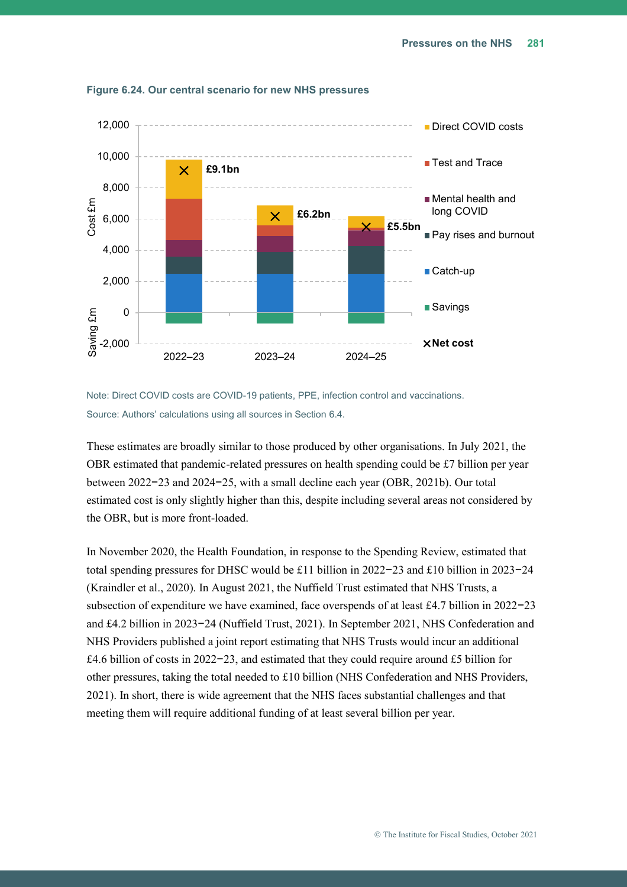

**Figure 6.24. Our central scenario for new NHS pressures**

Note: Direct COVID costs are COVID-19 patients, PPE, infection control and vaccinations. Source: Authors' calculations using all sources in Section [6.4.](#page-23-0)

These estimates are broadly similar to those produced by other organisations. In July 2021, the OBR estimated that pandemic-related pressures on health spending could be £7 billion per year between 2022−23 and 2024−25, with a small decline each year (OBR, 2021b). Our total estimated cost is only slightly higher than this, despite including several areas not considered by the OBR, but is more front-loaded.

In November 2020, the Health Foundation, in response to the Spending Review, estimated that total spending pressures for DHSC would be £11 billion in 2022−23 and £10 billion in 2023−24 (Kraindler et al., 2020). In August 2021, the Nuffield Trust estimated that NHS Trusts, a subsection of expenditure we have examined, face overspends of at least £4.7 billion in 2022−23 and £4.2 billion in 2023−24 (Nuffield Trust, 2021). In September 2021, NHS Confederation and NHS Providers published a joint report estimating that NHS Trusts would incur an additional £4.6 billion of costs in 2022−23, and estimated that they could require around £5 billion for other pressures, taking the total needed to £10 billion (NHS Confederation and NHS Providers, 2021). In short, there is wide agreement that the NHS faces substantial challenges and that meeting them will require additional funding of at least several billion per year.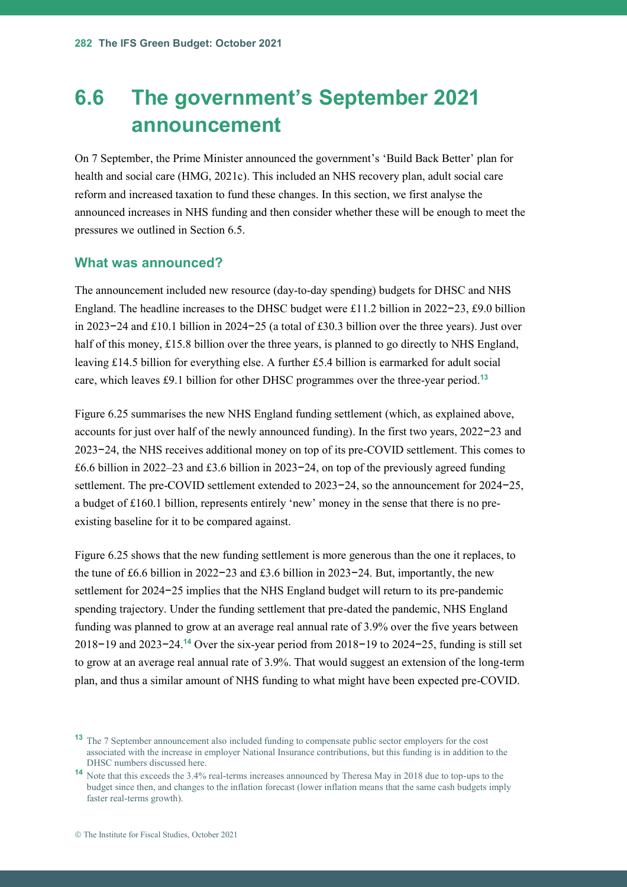## <span id="page-52-0"></span>**6.6 The government's September 2021 announcement**

On 7 September, the Prime Minister announced the government's 'Build Back Better' plan for health and social care (HMG, 2021c). This included an NHS recovery plan, adult social care reform and increased taxation to fund these changes. In this section, we first analyse the announced increases in NHS funding and then consider whether these will be enough to meet the pressures we outlined in Section [6.5.](#page-49-0)

#### **What was announced?**

The announcement included new resource (day-to-day spending) budgets for DHSC and NHS England. The headline increases to the DHSC budget were £11.2 billion in 2022−23, £9.0 billion in 2023−24 and £10.1 billion in 2024−25 (a total of £30.3 billion over the three years). Just over half of this money, £15.8 billion over the three years, is planned to go directly to NHS England, leaving £14.5 billion for everything else. A further £5.4 billion is earmarked for adult social care, which leaves £9.1 billion for other DHSC programmes over the three-year period. **13**

[Figure 6.25](#page-53-0) summarises the new NHS England funding settlement (which, as explained above, accounts for just over half of the newly announced funding). In the first two years, 2022−23 and 2023−24, the NHS receives additional money on top of its pre-COVID settlement. This comes to £6.6 billion in 2022–23 and £3.6 billion in 2023−24, on top of the previously agreed funding settlement. The pre-COVID settlement extended to 2023−24, so the announcement for 2024−25, a budget of £160.1 billion, represents entirely 'new' money in the sense that there is no preexisting baseline for it to be compared against.

[Figure 6.25](#page-53-0) shows that the new funding settlement is more generous than the one it replaces, to the tune of £6.6 billion in 2022−23 and £3.6 billion in 2023−24. But, importantly, the new settlement for 2024−25 implies that the NHS England budget will return to its pre-pandemic spending trajectory. Under the funding settlement that pre-dated the pandemic, NHS England funding was planned to grow at an average real annual rate of 3.9% over the five years between 2018−19 and 2023−24.**<sup>14</sup>** Over the six-year period from 2018−19 to 2024−25, funding is still set to grow at an average real annual rate of 3.9%. That would suggest an extension of the long-term plan, and thus a similar amount of NHS funding to what might have been expected pre-COVID.

**<sup>13</sup>** The 7 September announcement also included funding to compensate public sector employers for the cost associated with the increase in employer National Insurance contributions, but this funding is in addition to the DHSC numbers discussed here.

**<sup>14</sup>** Note that this exceeds the 3.4% real-terms increases announced by Theresa May in 2018 due to top-ups to the budget since then, and changes to the inflation forecast (lower inflation means that the same cash budgets imply faster real-terms growth).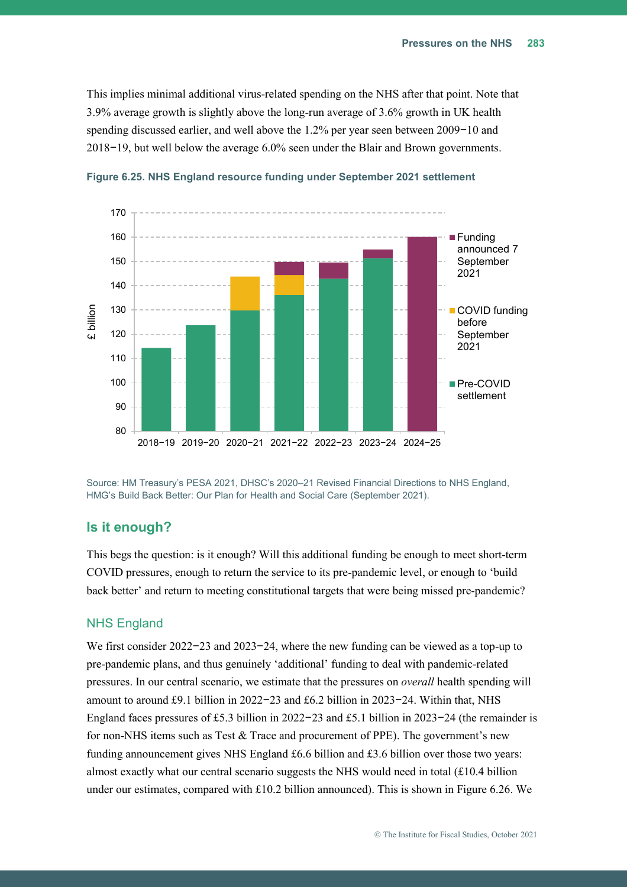This implies minimal additional virus-related spending on the NHS after that point. Note that 3.9% average growth is slightly above the long-run average of 3.6% growth in UK health spending discussed earlier, and well above the 1.2% per year seen between 2009−10 and 2018−19, but well below the average 6.0% seen under the Blair and Brown governments.



<span id="page-53-0"></span>**Figure 6.25. NHS England resource funding under September 2021 settlement**

Source: HM Treasury's PESA 2021, DHSC's 2020–21 Revised Financial Directions to NHS England, HMG's Build Back Better: Our Plan for Health and Social Care (September 2021).

#### **Is it enough?**

This begs the question: is it enough? Will this additional funding be enough to meet short-term COVID pressures, enough to return the service to its pre-pandemic level, or enough to 'build back better' and return to meeting constitutional targets that were being missed pre-pandemic?

#### NHS England

We first consider 2022−23 and 2023−24, where the new funding can be viewed as a top-up to pre-pandemic plans, and thus genuinely 'additional' funding to deal with pandemic-related pressures. In our central scenario, we estimate that the pressures on *overall* health spending will amount to around £9.1 billion in 2022−23 and £6.2 billion in 2023−24. Within that, NHS England faces pressures of £5.3 billion in 2022−23 and £5.1 billion in 2023−24 (the remainder is for non-NHS items such as Test & Trace and procurement of PPE). The government's new funding announcement gives NHS England £6.6 billion and £3.6 billion over those two years: almost exactly what our central scenario suggests the NHS would need in total  $(\text{\textsterling}10.4 \text{ billion})$ under our estimates, compared with £10.2 billion announced). This is shown in [Figure 6.26.](#page-54-0) We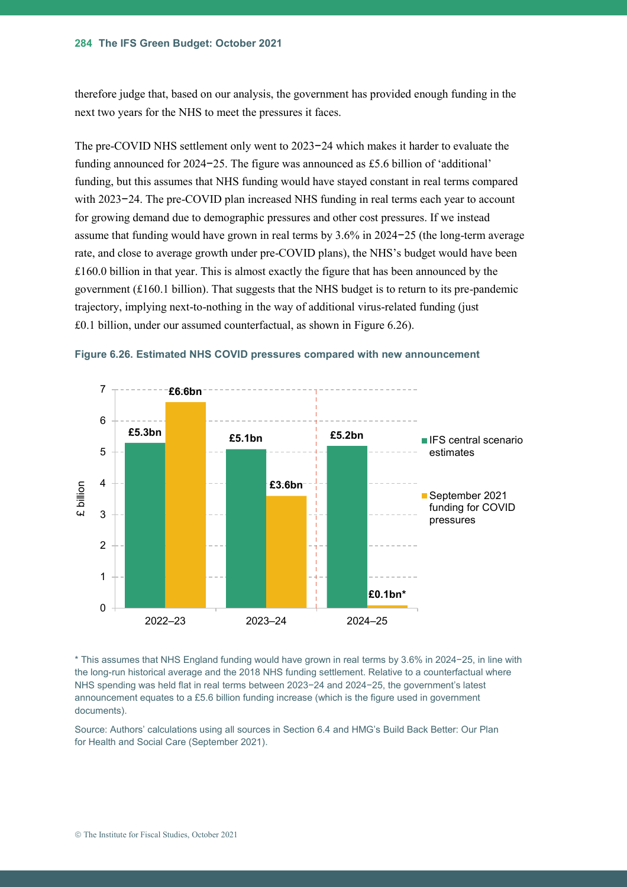therefore judge that, based on our analysis, the government has provided enough funding in the next two years for the NHS to meet the pressures it faces.

The pre-COVID NHS settlement only went to 2023−24 which makes it harder to evaluate the funding announced for 2024−25. The figure was announced as £5.6 billion of 'additional' funding, but this assumes that NHS funding would have stayed constant in real terms compared with 2023−24. The pre-COVID plan increased NHS funding in real terms each year to account for growing demand due to demographic pressures and other cost pressures. If we instead assume that funding would have grown in real terms by 3.6% in 2024−25 (the long-term average rate, and close to average growth under pre-COVID plans), the NHS's budget would have been £160.0 billion in that year. This is almost exactly the figure that has been announced by the government (£160.1 billion). That suggests that the NHS budget is to return to its pre-pandemic trajectory, implying next-to-nothing in the way of additional virus-related funding (just £0.1 billion, under our assumed counterfactual, as shown in [Figure 6.26\)](#page-54-0).



<span id="page-54-0"></span>**Figure 6.26. Estimated NHS COVID pressures compared with new announcement**

\* This assumes that NHS England funding would have grown in real terms by 3.6% in 2024−25, in line with the long-run historical average and the 2018 NHS funding settlement. Relative to a counterfactual where NHS spending was held flat in real terms between 2023−24 and 2024−25, the government's latest announcement equates to a £5.6 billion funding increase (which is the figure used in government documents).

Source: Authors' calculations using all sources in Section 6.4 and HMG's Build Back Better: Our Plan for Health and Social Care (September 2021).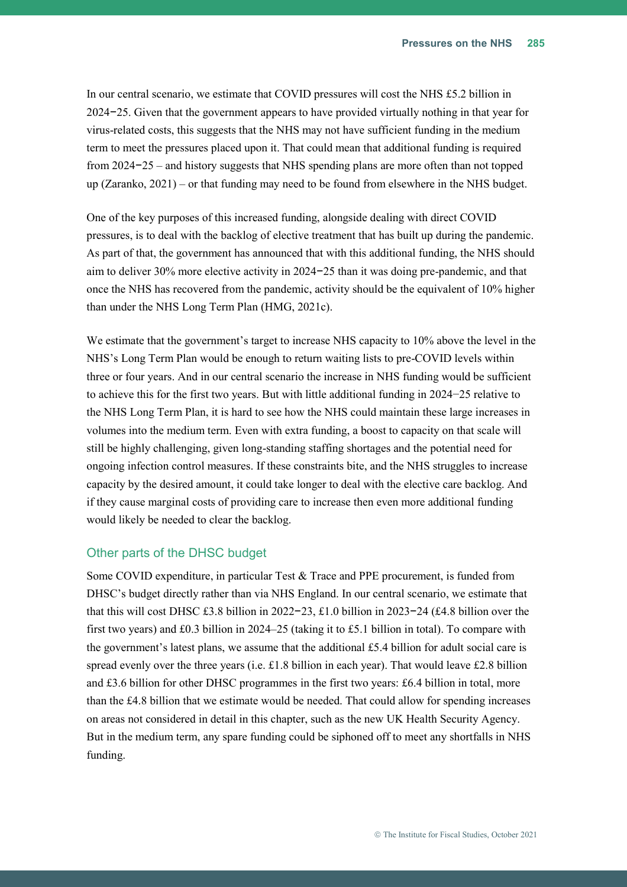In our central scenario, we estimate that COVID pressures will cost the NHS £5.2 billion in 2024−25. Given that the government appears to have provided virtually nothing in that year for virus-related costs, this suggests that the NHS may not have sufficient funding in the medium term to meet the pressures placed upon it. That could mean that additional funding is required from 2024−25 – and history suggests that NHS spending plans are more often than not topped up (Zaranko, 2021) – or that funding may need to be found from elsewhere in the NHS budget.

One of the key purposes of this increased funding, alongside dealing with direct COVID pressures, is to deal with the backlog of elective treatment that has built up during the pandemic. As part of that, the government has announced that with this additional funding, the NHS should aim to deliver 30% more elective activity in 2024−25 than it was doing pre-pandemic, and that once the NHS has recovered from the pandemic, activity should be the equivalent of 10% higher than under the NHS Long Term Plan (HMG, 2021c).

We estimate that the government's target to increase NHS capacity to 10% above the level in the NHS's Long Term Plan would be enough to return waiting lists to pre-COVID levels within three or four years. And in our central scenario the increase in NHS funding would be sufficient to achieve this for the first two years. But with little additional funding in 2024−25 relative to the NHS Long Term Plan, it is hard to see how the NHS could maintain these large increases in volumes into the medium term. Even with extra funding, a boost to capacity on that scale will still be highly challenging, given long-standing staffing shortages and the potential need for ongoing infection control measures. If these constraints bite, and the NHS struggles to increase capacity by the desired amount, it could take longer to deal with the elective care backlog. And if they cause marginal costs of providing care to increase then even more additional funding would likely be needed to clear the backlog.

#### Other parts of the DHSC budget

Some COVID expenditure, in particular Test & Trace and PPE procurement, is funded from DHSC's budget directly rather than via NHS England. In our central scenario, we estimate that that this will cost DHSC £3.8 billion in 2022−23, £1.0 billion in 2023−24 (£4.8 billion over the first two years) and £0.3 billion in 2024–25 (taking it to £5.1 billion in total). To compare with the government's latest plans, we assume that the additional £5.4 billion for adult social care is spread evenly over the three years (i.e.  $\pounds$ 1.8 billion in each year). That would leave  $\pounds$ 2.8 billion and £3.6 billion for other DHSC programmes in the first two years: £6.4 billion in total, more than the £4.8 billion that we estimate would be needed. That could allow for spending increases on areas not considered in detail in this chapter, such as the new UK Health Security Agency. But in the medium term, any spare funding could be siphoned off to meet any shortfalls in NHS funding.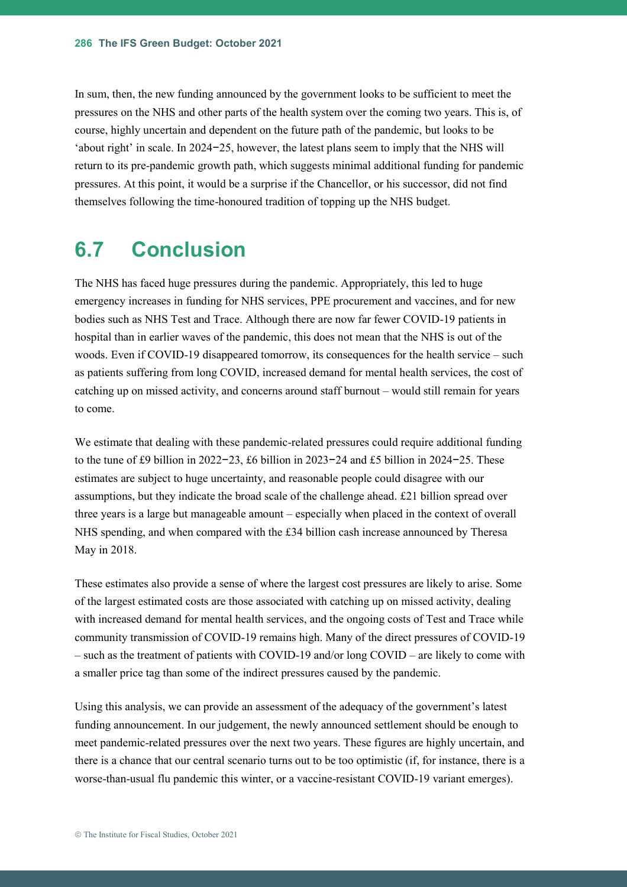In sum, then, the new funding announced by the government looks to be sufficient to meet the pressures on the NHS and other parts of the health system over the coming two years. This is, of course, highly uncertain and dependent on the future path of the pandemic, but looks to be 'about right' in scale. In 2024−25, however, the latest plans seem to imply that the NHS will return to its pre-pandemic growth path, which suggests minimal additional funding for pandemic pressures. At this point, it would be a surprise if the Chancellor, or his successor, did not find themselves following the time-honoured tradition of topping up the NHS budget.

## **6.7 Conclusion**

The NHS has faced huge pressures during the pandemic. Appropriately, this led to huge emergency increases in funding for NHS services, PPE procurement and vaccines, and for new bodies such as NHS Test and Trace. Although there are now far fewer COVID-19 patients in hospital than in earlier waves of the pandemic, this does not mean that the NHS is out of the woods. Even if COVID-19 disappeared tomorrow, its consequences for the health service – such as patients suffering from long COVID, increased demand for mental health services, the cost of catching up on missed activity, and concerns around staff burnout – would still remain for years to come.

We estimate that dealing with these pandemic-related pressures could require additional funding to the tune of £9 billion in 2022−23, £6 billion in 2023−24 and £5 billion in 2024−25. These estimates are subject to huge uncertainty, and reasonable people could disagree with our assumptions, but they indicate the broad scale of the challenge ahead. £21 billion spread over three years is a large but manageable amount – especially when placed in the context of overall NHS spending, and when compared with the £34 billion cash increase announced by Theresa May in 2018.

These estimates also provide a sense of where the largest cost pressures are likely to arise. Some of the largest estimated costs are those associated with catching up on missed activity, dealing with increased demand for mental health services, and the ongoing costs of Test and Trace while community transmission of COVID-19 remains high. Many of the direct pressures of COVID-19 – such as the treatment of patients with COVID-19 and/or long COVID – are likely to come with a smaller price tag than some of the indirect pressures caused by the pandemic.

Using this analysis, we can provide an assessment of the adequacy of the government's latest funding announcement. In our judgement, the newly announced settlement should be enough to meet pandemic-related pressures over the next two years. These figures are highly uncertain, and there is a chance that our central scenario turns out to be too optimistic (if, for instance, there is a worse-than-usual flu pandemic this winter, or a vaccine-resistant COVID-19 variant emerges).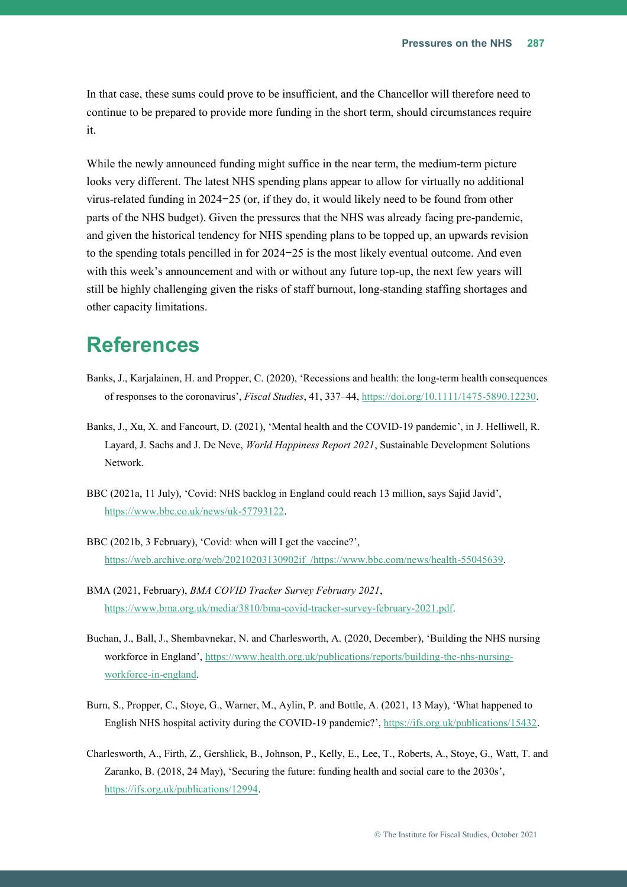In that case, these sums could prove to be insufficient, and the Chancellor will therefore need to continue to be prepared to provide more funding in the short term, should circumstances require it.

While the newly announced funding might suffice in the near term, the medium-term picture looks very different. The latest NHS spending plans appear to allow for virtually no additional virus-related funding in 2024−25 (or, if they do, it would likely need to be found from other parts of the NHS budget). Given the pressures that the NHS was already facing pre-pandemic, and given the historical tendency for NHS spending plans to be topped up, an upwards revision to the spending totals pencilled in for 2024−25 is the most likely eventual outcome. And even with this week's announcement and with or without any future top-up, the next few years will still be highly challenging given the risks of staff burnout, long-standing staffing shortages and other capacity limitations.

## **References**

- Banks, J., Karjalainen, H. and Propper, C. (2020), 'Recessions and health: the long-term health consequences of responses to the coronavirus', *Fiscal Studies*, 41, 337–44, [https://doi.org/10.1111/1475-5890.12230.](https://doi.org/10.1111/1475-5890.12230)
- Banks, J., Xu, X. and Fancourt, D. (2021), 'Mental health and the COVID-19 pandemic', in J. Helliwell, R. Layard, J. Sachs and J. De Neve, *World Happiness Report 2021*, Sustainable Development Solutions Network.
- BBC (2021a, 11 July), 'Covid: NHS backlog in England could reach 13 million, says Sajid Javid', [https://www.bbc.co.uk/news/uk-57793122.](https://www.bbc.co.uk/news/uk-57793122)
- BBC (2021b, 3 February), 'Covid: when will I get the vaccine?', [https://web.archive.org/web/20210203130902if\\_/https://www.bbc.com/news/health-55045639.](https://web.archive.org/web/20210203130902if_/https:/www.bbc.com/news/health-55045639)
- BMA (2021, February), *BMA COVID Tracker Survey February 2021*, [https://www.bma.org.uk/media/3810/bma-covid-tracker-survey-february-2021.pdf.](https://www.bma.org.uk/media/3810/bma-covid-tracker-survey-february-2021.pdf)
- Buchan, J., Ball, J., Shembavnekar, N. and Charlesworth, A. (2020, December), 'Building the NHS nursing workforce in England', [https://www.health.org.uk/publications/reports/building-the-nhs-nursing](https://www.health.org.uk/publications/reports/building-the-nhs-nursing-workforce-in-england)[workforce-in-england.](https://www.health.org.uk/publications/reports/building-the-nhs-nursing-workforce-in-england)
- Burn, S., Propper, C., Stoye, G., Warner, M., Aylin, P. and Bottle, A. (2021, 13 May), 'What happened to English NHS hospital activity during the COVID-19 pandemic?', [https://ifs.org.uk/publications/15432.](https://ifs.org.uk/publications/15432)
- Charlesworth, A., Firth, Z., Gershlick, B., Johnson, P., Kelly, E., Lee, T., Roberts, A., Stoye, G., Watt, T. and Zaranko, B. (2018, 24 May), 'Securing the future: funding health and social care to the 2030s', [https://ifs.org.uk/publications/12994.](https://ifs.org.uk/publications/12994)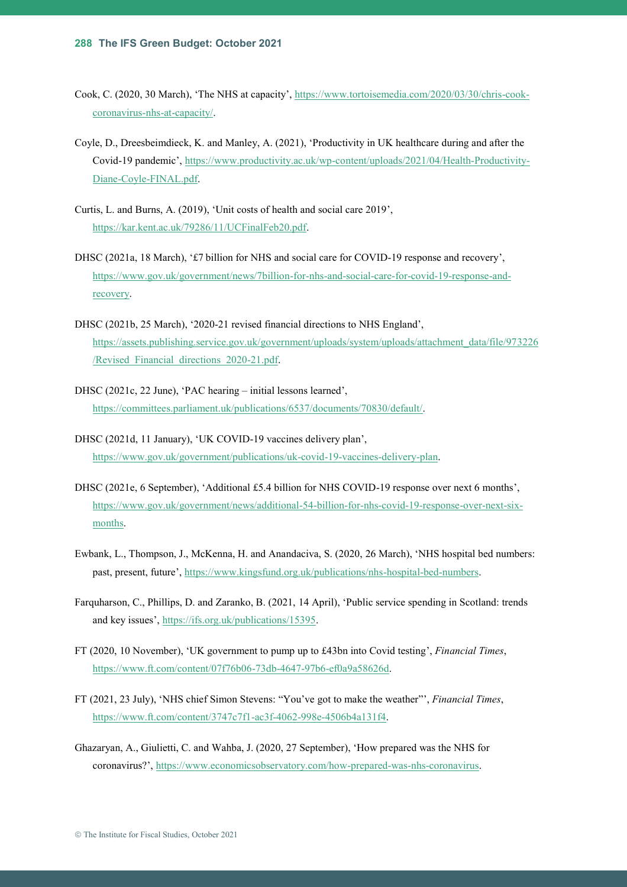- Cook, C. (2020, 30 March), 'The NHS at capacity', [https://www.tortoisemedia.com/2020/03/30/chris-cook](https://www.tortoisemedia.com/2020/03/30/chris-cook-coronavirus-nhs-at-capacity/)[coronavirus-nhs-at-capacity/.](https://www.tortoisemedia.com/2020/03/30/chris-cook-coronavirus-nhs-at-capacity/)
- Coyle, D., Dreesbeimdieck, K. and Manley, A. (2021), 'Productivity in UK healthcare during and after the Covid-19 pandemic', [https://www.productivity.ac.uk/wp-content/uploads/2021/04/Health-Productivity-](https://www.productivity.ac.uk/wp-content/uploads/2021/04/Health-Productivity-Diane-Coyle-FINAL.pdf)[Diane-Coyle-FINAL.pdf.](https://www.productivity.ac.uk/wp-content/uploads/2021/04/Health-Productivity-Diane-Coyle-FINAL.pdf)
- Curtis, L. and Burns, A. (2019), 'Unit costs of health and social care 2019', [https://kar.kent.ac.uk/79286/11/UCFinalFeb20.pdf.](https://kar.kent.ac.uk/79286/11/UCFinalFeb20.pdf)
- DHSC (2021a, 18 March), '£7 billion for NHS and social care for COVID-19 response and recovery', [https://www.gov.uk/government/news/7billion-for-nhs-and-social-care-for-covid-19-response-and](https://www.gov.uk/government/news/7billion-for-nhs-and-social-care-for-covid-19-response-and-recovery)[recovery.](https://www.gov.uk/government/news/7billion-for-nhs-and-social-care-for-covid-19-response-and-recovery)
- DHSC (2021b, 25 March), '2020-21 revised financial directions to NHS England', [https://assets.publishing.service.gov.uk/government/uploads/system/uploads/attachment\\_data/file/973226](https://assets.publishing.service.gov.uk/government/uploads/system/uploads/attachment_data/file/973226/Revised_Financial_directions_2020-21.pdf) [/Revised\\_Financial\\_directions\\_2020-21.pdf.](https://assets.publishing.service.gov.uk/government/uploads/system/uploads/attachment_data/file/973226/Revised_Financial_directions_2020-21.pdf)
- DHSC (2021c, 22 June), 'PAC hearing initial lessons learned', [https://committees.parliament.uk/publications/6537/documents/70830/default/.](https://committees.parliament.uk/publications/6537/documents/70830/default/)
- DHSC (2021d, 11 January), 'UK COVID-19 vaccines delivery plan', [https://www.gov.uk/government/publications/uk-covid-19-vaccines-delivery-plan.](https://www.gov.uk/government/publications/uk-covid-19-vaccines-delivery-plan)
- DHSC (2021e, 6 September), 'Additional £5.4 billion for NHS COVID-19 response over next 6 months', [https://www.gov.uk/government/news/additional-54-billion-for-nhs-covid-19-response-over-next-six](https://www.gov.uk/government/news/additional-54-billion-for-nhs-covid-19-response-over-next-six-months)[months.](https://www.gov.uk/government/news/additional-54-billion-for-nhs-covid-19-response-over-next-six-months)
- Ewbank, L., Thompson, J., McKenna, H. and Anandaciva, S. (2020, 26 March), 'NHS hospital bed numbers: past, present, future', [https://www.kingsfund.org.uk/publications/nhs-hospital-bed-numbers.](https://www.kingsfund.org.uk/publications/nhs-hospital-bed-numbers)
- Farquharson, C., Phillips, D. and Zaranko, B. (2021, 14 April), 'Public service spending in Scotland: trends and key issues', [https://ifs.org.uk/publications/15395.](https://ifs.org.uk/publications/15395)
- FT (2020, 10 November), 'UK government to pump up to £43bn into Covid testing', *Financial Times*, [https://www.ft.com/content/07f76b06-73db-4647-97b6-ef0a9a58626d.](https://www.ft.com/content/07f76b06-73db-4647-97b6-ef0a9a58626d)
- FT (2021, 23 July), 'NHS chief Simon Stevens: "You've got to make the weather"', *Financial Times*, [https://www.ft.com/content/3747c7f1-ac3f-4062-998e-4506b4a131f4.](https://www.ft.com/content/3747c7f1-ac3f-4062-998e-4506b4a131f4)
- Ghazaryan, A., Giulietti, C. and Wahba, J. (2020, 27 September), 'How prepared was the NHS for coronavirus?', [https://www.economicsobservatory.com/how-prepared-was-nhs-coronavirus.](https://www.economicsobservatory.com/how-prepared-was-nhs-coronavirus)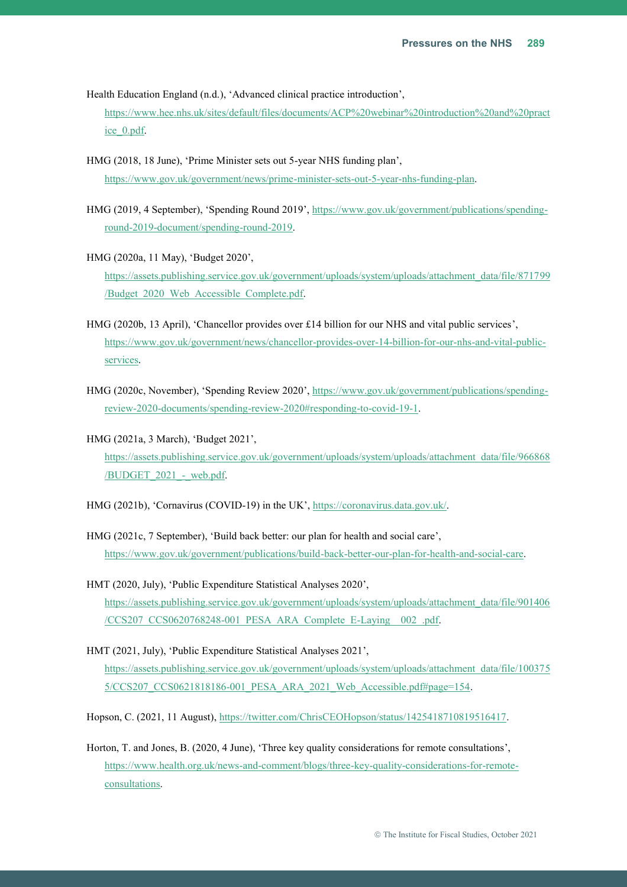Health Education England (n.d.), 'Advanced clinical practice introduction',

[https://www.hee.nhs.uk/sites/default/files/documents/ACP%20webinar%20introduction%20and%20pract](https://www.hee.nhs.uk/sites/default/files/documents/ACP%20webinar%20introduction%20and%20practice_0.pdf) [ice\\_0.pdf.](https://www.hee.nhs.uk/sites/default/files/documents/ACP%20webinar%20introduction%20and%20practice_0.pdf)

- HMG (2018, 18 June), 'Prime Minister sets out 5-year NHS funding plan', [https://www.gov.uk/government/news/prime-minister-sets-out-5-year-nhs-funding-plan.](https://www.gov.uk/government/news/prime-minister-sets-out-5-year-nhs-funding-plan)
- HMG (2019, 4 September), 'Spending Round 2019', [https://www.gov.uk/government/publications/spending](https://www.gov.uk/government/publications/spending-round-2019-document/spending-round-2019)[round-2019-document/spending-round-2019.](https://www.gov.uk/government/publications/spending-round-2019-document/spending-round-2019)
- HMG (2020a, 11 May), 'Budget 2020', [https://assets.publishing.service.gov.uk/government/uploads/system/uploads/attachment\\_data/file/871799](https://assets.publishing.service.gov.uk/government/uploads/system/uploads/attachment_data/file/871799/Budget_2020_Web_Accessible_Complete.pdf) [/Budget\\_2020\\_Web\\_Accessible\\_Complete.pdf.](https://assets.publishing.service.gov.uk/government/uploads/system/uploads/attachment_data/file/871799/Budget_2020_Web_Accessible_Complete.pdf)
- HMG (2020b, 13 April), 'Chancellor provides over £14 billion for our NHS and vital public services', [https://www.gov.uk/government/news/chancellor-provides-over-14-billion-for-our-nhs-and-vital-public](https://www.gov.uk/government/news/chancellor-provides-over-14-billion-for-our-nhs-and-vital-public-services)[services.](https://www.gov.uk/government/news/chancellor-provides-over-14-billion-for-our-nhs-and-vital-public-services)
- HMG (2020c, November), 'Spending Review 2020', [https://www.gov.uk/government/publications/spending](https://www.gov.uk/government/publications/spending-review-2020-documents/spending-review-2020#responding-to-covid-19-1)[review-2020-documents/spending-review-2020#responding-to-covid-19-1.](https://www.gov.uk/government/publications/spending-review-2020-documents/spending-review-2020#responding-to-covid-19-1)
- HMG (2021a, 3 March), 'Budget 2021', [https://assets.publishing.service.gov.uk/government/uploads/system/uploads/attachment\\_data/file/966868](https://assets.publishing.service.gov.uk/government/uploads/system/uploads/attachment_data/file/966868/BUDGET_2021_-_web.pdf) [/BUDGET\\_2021\\_-\\_web.pdf.](https://assets.publishing.service.gov.uk/government/uploads/system/uploads/attachment_data/file/966868/BUDGET_2021_-_web.pdf)

HMG (2021b), 'Cornavirus (COVID-19) in the UK', [https://coronavirus.data.gov.uk/.](https://coronavirus.data.gov.uk/)

- HMG (2021c, 7 September), 'Build back better: our plan for health and social care', [https://www.gov.uk/government/publications/build-back-better-our-plan-for-health-and-social-care.](https://www.gov.uk/government/publications/build-back-better-our-plan-for-health-and-social-care)
- HMT (2020, July), 'Public Expenditure Statistical Analyses 2020', [https://assets.publishing.service.gov.uk/government/uploads/system/uploads/attachment\\_data/file/901406](https://assets.publishing.service.gov.uk/government/uploads/system/uploads/attachment_data/file/901406/CCS207_CCS0620768248-001_PESA_ARA_Complete_E-Laying__002_.pdf) [/CCS207\\_CCS0620768248-001\\_PESA\\_ARA\\_Complete\\_E-Laying\\_\\_002\\_.pdf.](https://assets.publishing.service.gov.uk/government/uploads/system/uploads/attachment_data/file/901406/CCS207_CCS0620768248-001_PESA_ARA_Complete_E-Laying__002_.pdf)
- HMT (2021, July), 'Public Expenditure Statistical Analyses 2021', [https://assets.publishing.service.gov.uk/government/uploads/system/uploads/attachment\\_data/file/100375](https://assets.publishing.service.gov.uk/government/uploads/system/uploads/attachment_data/file/1003755/CCS207_CCS0621818186-001_PESA_ARA_2021_Web_Accessible.pdf#page=154) [5/CCS207\\_CCS0621818186-001\\_PESA\\_ARA\\_2021\\_Web\\_Accessible.pdf#page=154.](https://assets.publishing.service.gov.uk/government/uploads/system/uploads/attachment_data/file/1003755/CCS207_CCS0621818186-001_PESA_ARA_2021_Web_Accessible.pdf#page=154)

Hopson, C. (2021, 11 August), [https://twitter.com/ChrisCEOHopson/status/1425418710819516417.](https://twitter.com/ChrisCEOHopson/status/1425418710819516417)

Horton, T. and Jones, B. (2020, 4 June), 'Three key quality considerations for remote consultations', [https://www.health.org.uk/news-and-comment/blogs/three-key-quality-considerations-for-remote](https://www.health.org.uk/news-and-comment/blogs/three-key-quality-considerations-for-remote-consultations)[consultations.](https://www.health.org.uk/news-and-comment/blogs/three-key-quality-considerations-for-remote-consultations)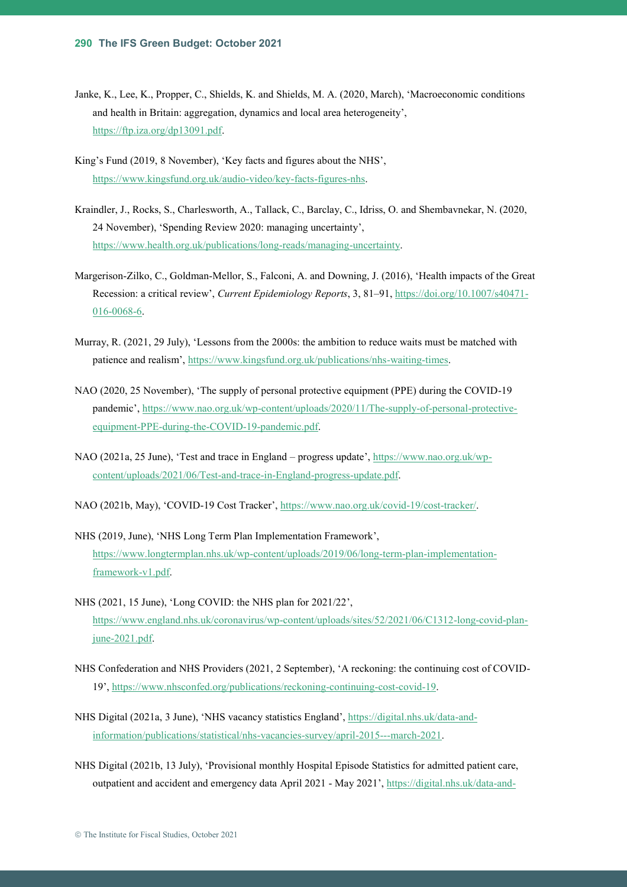- Janke, K., Lee, K., Propper, C., Shields, K. and Shields, M. A. (2020, March), 'Macroeconomic conditions and health in Britain: aggregation, dynamics and local area heterogeneity', [https://ftp.iza.org/dp13091.pdf.](https://ftp.iza.org/dp13091.pdf)
- King's Fund (2019, 8 November), 'Key facts and figures about the NHS', [https://www.kingsfund.org.uk/audio-video/key-facts-figures-nhs.](https://www.kingsfund.org.uk/audio-video/key-facts-figures-nhs)
- Kraindler, J., Rocks, S., Charlesworth, A., Tallack, C., Barclay, C., Idriss, O. and Shembavnekar, N. (2020, 24 November), 'Spending Review 2020: managing uncertainty', [https://www.health.org.uk/publications/long-reads/managing-uncertainty.](https://www.health.org.uk/publications/long-reads/managing-uncertainty)
- Margerison-Zilko, C., Goldman-Mellor, S., Falconi, A. and Downing, J. (2016), 'Health impacts of the Great Recession: a critical review', *Current Epidemiology Reports*, 3, 81–91, [https://doi.org/10.1007/s40471-](https://doi.org/10.1007/s40471-016-0068-6) [016-0068-6.](https://doi.org/10.1007/s40471-016-0068-6)
- Murray, R. (2021, 29 July), 'Lessons from the 2000s: the ambition to reduce waits must be matched with patience and realism', [https://www.kingsfund.org.uk/publications/nhs-waiting-times.](https://www.kingsfund.org.uk/publications/nhs-waiting-times)
- NAO (2020, 25 November), 'The supply of personal protective equipment (PPE) during the COVID-19 pandemic', [https://www.nao.org.uk/wp-content/uploads/2020/11/The-supply-of-personal-protective](https://www.nao.org.uk/wp-content/uploads/2020/11/The-supply-of-personal-protective-equipment-PPE-during-the-COVID-19-pandemic.pdf)[equipment-PPE-during-the-COVID-19-pandemic.pdf.](https://www.nao.org.uk/wp-content/uploads/2020/11/The-supply-of-personal-protective-equipment-PPE-during-the-COVID-19-pandemic.pdf)
- NAO (2021a, 25 June), 'Test and trace in England progress update', [https://www.nao.org.uk/wp](https://www.nao.org.uk/wp-content/uploads/2021/06/Test-and-trace-in-England-progress-update.pdf)[content/uploads/2021/06/Test-and-trace-in-England-progress-update.pdf.](https://www.nao.org.uk/wp-content/uploads/2021/06/Test-and-trace-in-England-progress-update.pdf)
- NAO (2021b, May), 'COVID-19 Cost Tracker', [https://www.nao.org.uk/covid-19/cost-tracker/.](https://www.nao.org.uk/covid-19/cost-tracker/)
- NHS (2019, June), 'NHS Long Term Plan Implementation Framework', [https://www.longtermplan.nhs.uk/wp-content/uploads/2019/06/long-term-plan-implementation](https://www.longtermplan.nhs.uk/wp-content/uploads/2019/06/long-term-plan-implementation-framework-v1.pdf)[framework-v1.pdf.](https://www.longtermplan.nhs.uk/wp-content/uploads/2019/06/long-term-plan-implementation-framework-v1.pdf)
- NHS (2021, 15 June), 'Long COVID: the NHS plan for 2021/22', [https://www.england.nhs.uk/coronavirus/wp-content/uploads/sites/52/2021/06/C1312-long-covid-plan](https://www.england.nhs.uk/coronavirus/wp-content/uploads/sites/52/2021/06/C1312-long-covid-plan-june-2021.pdf)[june-2021.pdf.](https://www.england.nhs.uk/coronavirus/wp-content/uploads/sites/52/2021/06/C1312-long-covid-plan-june-2021.pdf)
- NHS Confederation and NHS Providers (2021, 2 September), 'A reckoning: the continuing cost of COVID-19', [https://www.nhsconfed.org/publications/reckoning-continuing-cost-covid-19.](https://www.nhsconfed.org/publications/reckoning-continuing-cost-covid-19)
- NHS Digital (2021a, 3 June), 'NHS vacancy statistics England', [https://digital.nhs.uk/data-and](https://digital.nhs.uk/data-and-information/publications/statistical/nhs-vacancies-survey/april-2015---march-2021)[information/publications/statistical/nhs-vacancies-survey/april-2015---march-2021.](https://digital.nhs.uk/data-and-information/publications/statistical/nhs-vacancies-survey/april-2015---march-2021)
- NHS Digital (2021b, 13 July), 'Provisional monthly Hospital Episode Statistics for admitted patient care, outpatient and accident and emergency data April 2021 - May 2021', [https://digital.nhs.uk/data-and-](https://digital.nhs.uk/data-and-information/publications/statistical/hospital-episode-statistics-for-admitted-patient-care-outpatient-and-accident-and-emergency-data/april-2021---may-2021)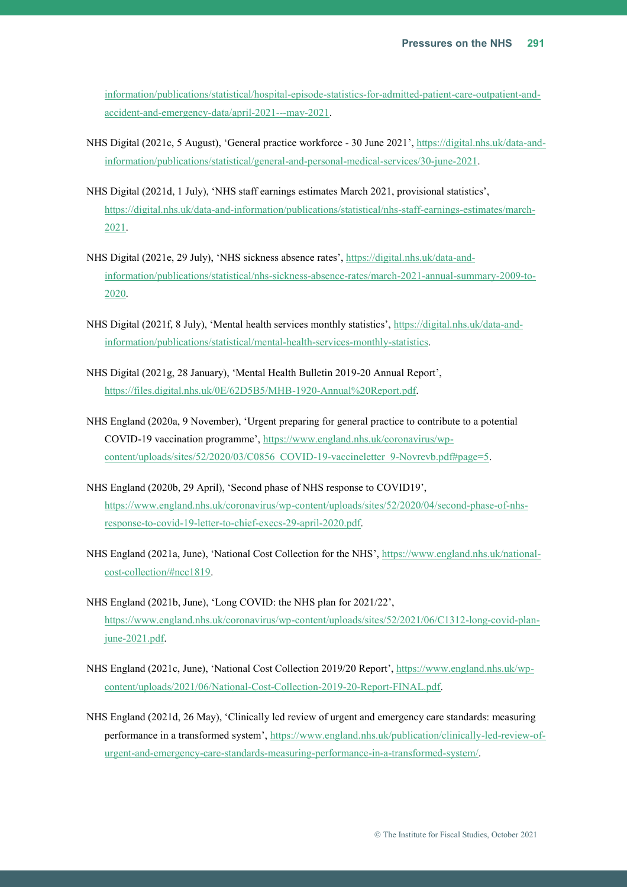[information/publications/statistical/hospital-episode-statistics-for-admitted-patient-care-outpatient-and](https://digital.nhs.uk/data-and-information/publications/statistical/hospital-episode-statistics-for-admitted-patient-care-outpatient-and-accident-and-emergency-data/april-2021---may-2021)[accident-and-emergency-data/april-2021---may-2021.](https://digital.nhs.uk/data-and-information/publications/statistical/hospital-episode-statistics-for-admitted-patient-care-outpatient-and-accident-and-emergency-data/april-2021---may-2021)

- NHS Digital (2021c, 5 August), 'General practice workforce 30 June 2021', [https://digital.nhs.uk/data-and](https://digital.nhs.uk/data-and-information/publications/statistical/general-and-personal-medical-services/30-june-2021)[information/publications/statistical/general-and-personal-medical-services/30-june-2021.](https://digital.nhs.uk/data-and-information/publications/statistical/general-and-personal-medical-services/30-june-2021)
- NHS Digital (2021d, 1 July), 'NHS staff earnings estimates March 2021, provisional statistics', [https://digital.nhs.uk/data-and-information/publications/statistical/nhs-staff-earnings-estimates/march-](https://digital.nhs.uk/data-and-information/publications/statistical/nhs-staff-earnings-estimates/march-2021)[2021.](https://digital.nhs.uk/data-and-information/publications/statistical/nhs-staff-earnings-estimates/march-2021)
- NHS Digital (2021e, 29 July), 'NHS sickness absence rates', [https://digital.nhs.uk/data-and](https://digital.nhs.uk/data-and-information/publications/statistical/nhs-sickness-absence-rates/march-2021-annual-summary-2009-to-2020)[information/publications/statistical/nhs-sickness-absence-rates/march-2021-annual-summary-2009-to-](https://digital.nhs.uk/data-and-information/publications/statistical/nhs-sickness-absence-rates/march-2021-annual-summary-2009-to-2020)[2020.](https://digital.nhs.uk/data-and-information/publications/statistical/nhs-sickness-absence-rates/march-2021-annual-summary-2009-to-2020)
- NHS Digital (2021f, 8 July), 'Mental health services monthly statistics', [https://digital.nhs.uk/data-and](https://digital.nhs.uk/data-and-information/publications/statistical/mental-health-services-monthly-statistics)[information/publications/statistical/mental-health-services-monthly-statistics.](https://digital.nhs.uk/data-and-information/publications/statistical/mental-health-services-monthly-statistics)
- NHS Digital (2021g, 28 January), 'Mental Health Bulletin 2019-20 Annual Report', [https://files.digital.nhs.uk/0E/62D5B5/MHB-1920-Annual%20Report.pdf.](https://files.digital.nhs.uk/0E/62D5B5/MHB-1920-Annual%20Report.pdf)
- NHS England (2020a, 9 November), 'Urgent preparing for general practice to contribute to a potential COVID-19 vaccination programme', [https://www.england.nhs.uk/coronavirus/wp](https://www.england.nhs.uk/coronavirus/wp-content/uploads/sites/52/2020/03/C0856_COVID-19-vaccineletter_9-Novrevb.pdf#page=5)[content/uploads/sites/52/2020/03/C0856\\_COVID-19-vaccineletter\\_9-Novrevb.pdf#page=5.](https://www.england.nhs.uk/coronavirus/wp-content/uploads/sites/52/2020/03/C0856_COVID-19-vaccineletter_9-Novrevb.pdf#page=5)
- NHS England (2020b, 29 April), 'Second phase of NHS response to COVID19', [https://www.england.nhs.uk/coronavirus/wp-content/uploads/sites/52/2020/04/second-phase-of-nhs](https://www.england.nhs.uk/coronavirus/wp-content/uploads/sites/52/2020/04/second-phase-of-nhs-response-to-covid-19-letter-to-chief-execs-29-april-2020.pdf)[response-to-covid-19-letter-to-chief-execs-29-april-2020.pdf.](https://www.england.nhs.uk/coronavirus/wp-content/uploads/sites/52/2020/04/second-phase-of-nhs-response-to-covid-19-letter-to-chief-execs-29-april-2020.pdf)
- NHS England (2021a, June), 'National Cost Collection for the NHS', [https://www.england.nhs.uk/national](https://www.england.nhs.uk/national-cost-collection/#ncc1819)[cost-collection/#ncc1819.](https://www.england.nhs.uk/national-cost-collection/#ncc1819)
- NHS England (2021b, June), 'Long COVID: the NHS plan for 2021/22', [https://www.england.nhs.uk/coronavirus/wp-content/uploads/sites/52/2021/06/C1312-long-covid-plan](https://www.england.nhs.uk/coronavirus/wp-content/uploads/sites/52/2021/06/C1312-long-covid-plan-june-2021.pdf)[june-2021.pdf.](https://www.england.nhs.uk/coronavirus/wp-content/uploads/sites/52/2021/06/C1312-long-covid-plan-june-2021.pdf)
- NHS England (2021c, June), 'National Cost Collection 2019/20 Report', [https://www.england.nhs.uk/wp](https://www.england.nhs.uk/wp-content/uploads/2021/06/National-Cost-Collection-2019-20-Report-FINAL.pdf)[content/uploads/2021/06/National-Cost-Collection-2019-20-Report-FINAL.pdf.](https://www.england.nhs.uk/wp-content/uploads/2021/06/National-Cost-Collection-2019-20-Report-FINAL.pdf)
- NHS England (2021d, 26 May), 'Clinically led review of urgent and emergency care standards: measuring performance in a transformed system', [https://www.england.nhs.uk/publication/clinically-led-review-of](https://www.england.nhs.uk/publication/clinically-led-review-of-urgent-and-emergency-care-standards-measuring-performance-in-a-transformed-system/)[urgent-and-emergency-care-standards-measuring-performance-in-a-transformed-system/.](https://www.england.nhs.uk/publication/clinically-led-review-of-urgent-and-emergency-care-standards-measuring-performance-in-a-transformed-system/)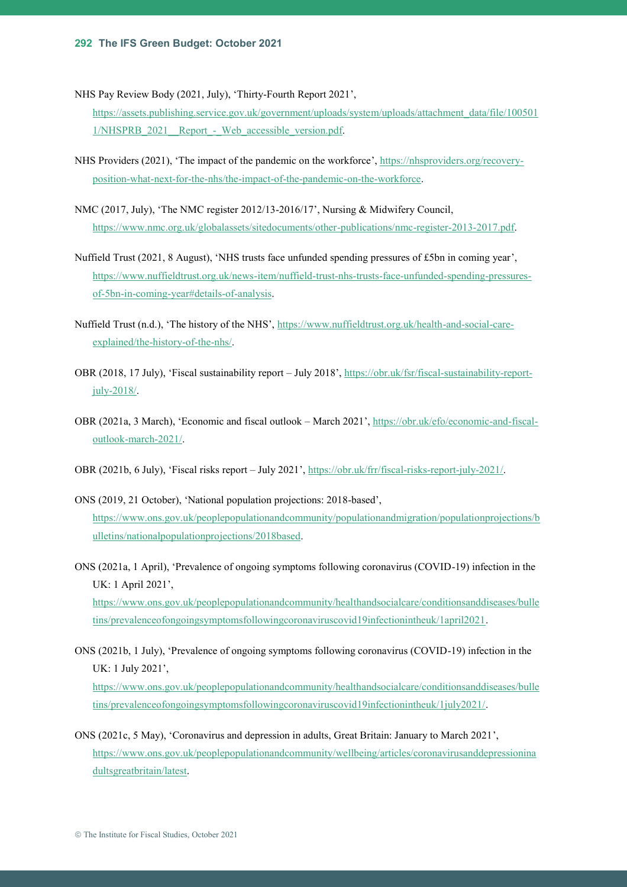NHS Pay Review Body (2021, July), 'Thirty-Fourth Report 2021',

[https://assets.publishing.service.gov.uk/government/uploads/system/uploads/attachment\\_data/file/100501](https://assets.publishing.service.gov.uk/government/uploads/system/uploads/attachment_data/file/1005011/NHSPRB_2021__Report_-_Web_accessible_version.pdf) 1/NHSPRB 2021 Report - Web accessible version.pdf.

- NHS Providers (2021), 'The impact of the pandemic on the workforce', [https://nhsproviders.org/recovery](https://nhsproviders.org/recovery-position-what-next-for-the-nhs/the-impact-of-the-pandemic-on-the-workforce)[position-what-next-for-the-nhs/the-impact-of-the-pandemic-on-the-workforce.](https://nhsproviders.org/recovery-position-what-next-for-the-nhs/the-impact-of-the-pandemic-on-the-workforce)
- NMC (2017, July), 'The NMC register 2012/13-2016/17', Nursing & Midwifery Council, [https://www.nmc.org.uk/globalassets/sitedocuments/other-publications/nmc-register-2013-2017.pdf.](https://www.nmc.org.uk/globalassets/sitedocuments/other-publications/nmc-register-2013-2017.pdf)
- Nuffield Trust (2021, 8 August), 'NHS trusts face unfunded spending pressures of £5bn in coming year', [https://www.nuffieldtrust.org.uk/news-item/nuffield-trust-nhs-trusts-face-unfunded-spending-pressures](https://www.nuffieldtrust.org.uk/news-item/nuffield-trust-nhs-trusts-face-unfunded-spending-pressures-of-5bn-in-coming-year#details-of-analysis)[of-5bn-in-coming-year#details-of-analysis.](https://www.nuffieldtrust.org.uk/news-item/nuffield-trust-nhs-trusts-face-unfunded-spending-pressures-of-5bn-in-coming-year#details-of-analysis)
- Nuffield Trust (n.d.), 'The history of the NHS', [https://www.nuffieldtrust.org.uk/health-and-social-care](https://www.nuffieldtrust.org.uk/health-and-social-care-explained/the-history-of-the-nhs/)[explained/the-history-of-the-nhs/.](https://www.nuffieldtrust.org.uk/health-and-social-care-explained/the-history-of-the-nhs/)
- OBR (2018, 17 July), 'Fiscal sustainability report July 2018', [https://obr.uk/fsr/fiscal-sustainability-report](https://obr.uk/fsr/fiscal-sustainability-report-july-2018/)[july-2018/.](https://obr.uk/fsr/fiscal-sustainability-report-july-2018/)
- OBR (2021a, 3 March), 'Economic and fiscal outlook March 2021', [https://obr.uk/efo/economic-and-fiscal](https://obr.uk/efo/economic-and-fiscal-outlook-march-2021/)[outlook-march-2021/.](https://obr.uk/efo/economic-and-fiscal-outlook-march-2021/)
- OBR (2021b, 6 July), 'Fiscal risks report July 2021', [https://obr.uk/frr/fiscal-risks-report-july-2021/.](https://obr.uk/frr/fiscal-risks-report-july-2021/)
- ONS (2019, 21 October), 'National population projections: 2018-based', [https://www.ons.gov.uk/peoplepopulationandcommunity/populationandmigration/populationprojections/b](https://www.ons.gov.uk/peoplepopulationandcommunity/populationandmigration/populationprojections/bulletins/nationalpopulationprojections/2018based) [ulletins/nationalpopulationprojections/2018based.](https://www.ons.gov.uk/peoplepopulationandcommunity/populationandmigration/populationprojections/bulletins/nationalpopulationprojections/2018based)
- ONS (2021a, 1 April), 'Prevalence of ongoing symptoms following coronavirus (COVID-19) infection in the UK: 1 April 2021', [https://www.ons.gov.uk/peoplepopulationandcommunity/healthandsocialcare/conditionsanddiseases/bulle](https://www.ons.gov.uk/peoplepopulationandcommunity/healthandsocialcare/conditionsanddiseases/bulletins/prevalenceofongoingsymptomsfollowingcoronaviruscovid19infectionintheuk/1april2021) [tins/prevalenceofongoingsymptomsfollowingcoronaviruscovid19infectionintheuk/1april2021.](https://www.ons.gov.uk/peoplepopulationandcommunity/healthandsocialcare/conditionsanddiseases/bulletins/prevalenceofongoingsymptomsfollowingcoronaviruscovid19infectionintheuk/1april2021)
- ONS (2021b, 1 July), 'Prevalence of ongoing symptoms following coronavirus (COVID-19) infection in the UK: 1 July 2021', [https://www.ons.gov.uk/peoplepopulationandcommunity/healthandsocialcare/conditionsanddiseases/bulle](https://www.ons.gov.uk/peoplepopulationandcommunity/healthandsocialcare/conditionsanddiseases/bulletins/prevalenceofongoingsymptomsfollowingcoronaviruscovid19infectionintheuk/1july2021/) [tins/prevalenceofongoingsymptomsfollowingcoronaviruscovid19infectionintheuk/1july2021/.](https://www.ons.gov.uk/peoplepopulationandcommunity/healthandsocialcare/conditionsanddiseases/bulletins/prevalenceofongoingsymptomsfollowingcoronaviruscovid19infectionintheuk/1july2021/)
- ONS (2021c, 5 May), 'Coronavirus and depression in adults, Great Britain: January to March 2021', [https://www.ons.gov.uk/peoplepopulationandcommunity/wellbeing/articles/coronavirusanddepressionina](https://www.ons.gov.uk/peoplepopulationandcommunity/wellbeing/articles/coronavirusanddepressioninadultsgreatbritain/latest) [dultsgreatbritain/latest.](https://www.ons.gov.uk/peoplepopulationandcommunity/wellbeing/articles/coronavirusanddepressioninadultsgreatbritain/latest)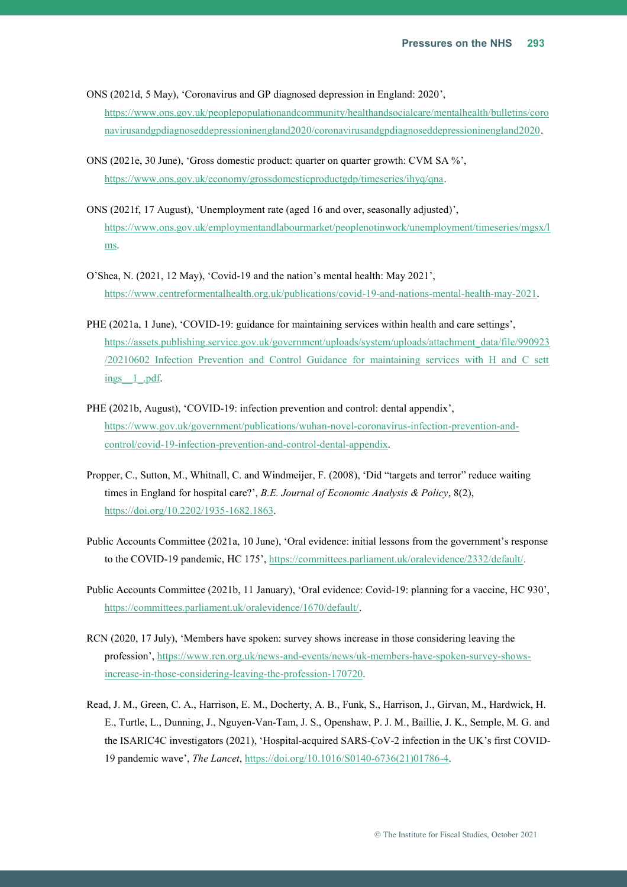ONS (2021d, 5 May), 'Coronavirus and GP diagnosed depression in England: 2020', [https://www.ons.gov.uk/peoplepopulationandcommunity/healthandsocialcare/mentalhealth/bulletins/coro](https://www.ons.gov.uk/peoplepopulationandcommunity/healthandsocialcare/mentalhealth/bulletins/coronavirusandgpdiagnoseddepressioninengland2020/coronavirusandgpdiagnoseddepressioninengland2020) [navirusandgpdiagnoseddepressioninengland2020/coronavirusandgpdiagnoseddepressioninengland2020.](https://www.ons.gov.uk/peoplepopulationandcommunity/healthandsocialcare/mentalhealth/bulletins/coronavirusandgpdiagnoseddepressioninengland2020/coronavirusandgpdiagnoseddepressioninengland2020)

- ONS (2021e, 30 June), 'Gross domestic product: quarter on quarter growth: CVM SA %', [https://www.ons.gov.uk/economy/grossdomesticproductgdp/timeseries/ihyq/qna.](https://www.ons.gov.uk/economy/grossdomesticproductgdp/timeseries/ihyq/qna)
- ONS (2021f, 17 August), 'Unemployment rate (aged 16 and over, seasonally adjusted)', [https://www.ons.gov.uk/employmentandlabourmarket/peoplenotinwork/unemployment/timeseries/mgsx/l](https://www.ons.gov.uk/employmentandlabourmarket/peoplenotinwork/unemployment/timeseries/mgsx/lms) [ms.](https://www.ons.gov.uk/employmentandlabourmarket/peoplenotinwork/unemployment/timeseries/mgsx/lms)
- O'Shea, N. (2021, 12 May), 'Covid-19 and the nation's mental health: May 2021', [https://www.centreformentalhealth.org.uk/publications/covid-19-and-nations-mental-health-may-2021.](https://www.centreformentalhealth.org.uk/publications/covid-19-and-nations-mental-health-may-2021)
- PHE (2021a, 1 June), 'COVID-19: guidance for maintaining services within health and care settings', [https://assets.publishing.service.gov.uk/government/uploads/system/uploads/attachment\\_data/file/990923](https://assets.publishing.service.gov.uk/government/uploads/system/uploads/attachment_data/file/990923/20210602_Infection_Prevention_and_Control_Guidance_for_maintaining_services_with_H_and_C_settings__1_.pdf) [/20210602\\_Infection\\_Prevention\\_and\\_Control\\_Guidance\\_for\\_maintaining\\_services\\_with\\_H\\_and\\_C\\_sett](https://assets.publishing.service.gov.uk/government/uploads/system/uploads/attachment_data/file/990923/20210602_Infection_Prevention_and_Control_Guidance_for_maintaining_services_with_H_and_C_settings__1_.pdf) ings 1 .pdf.
- PHE (2021b, August), 'COVID-19: infection prevention and control: dental appendix', [https://www.gov.uk/government/publications/wuhan-novel-coronavirus-infection-prevention-and](https://www.gov.uk/government/publications/wuhan-novel-coronavirus-infection-prevention-and-control/covid-19-infection-prevention-and-control-dental-appendix)[control/covid-19-infection-prevention-and-control-dental-appendix.](https://www.gov.uk/government/publications/wuhan-novel-coronavirus-infection-prevention-and-control/covid-19-infection-prevention-and-control-dental-appendix)
- Propper, C., Sutton, M., Whitnall, C. and Windmeijer, F. (2008), 'Did "targets and terror" reduce waiting times in England for hospital care?', *B.E. Journal of Economic Analysis & Policy*, 8(2), [https://doi.org/10.2202/1935-1682.1863.](https://doi.org/10.2202/1935-1682.1863)
- Public Accounts Committee (2021a, 10 June), 'Oral evidence: initial lessons from the government's response to the COVID-19 pandemic, HC 175', [https://committees.parliament.uk/oralevidence/2332/default/.](https://committees.parliament.uk/oralevidence/2332/default/)
- Public Accounts Committee (2021b, 11 January), 'Oral evidence: Covid-19: planning for a vaccine, HC 930', [https://committees.parliament.uk/oralevidence/1670/default/.](https://committees.parliament.uk/oralevidence/1670/default/)
- RCN (2020, 17 July), 'Members have spoken: survey shows increase in those considering leaving the profession', [https://www.rcn.org.uk/news-and-events/news/uk-members-have-spoken-survey-shows](https://www.rcn.org.uk/news-and-events/news/uk-members-have-spoken-survey-shows-increase-in-those-considering-leaving-the-profession-170720)[increase-in-those-considering-leaving-the-profession-170720.](https://www.rcn.org.uk/news-and-events/news/uk-members-have-spoken-survey-shows-increase-in-those-considering-leaving-the-profession-170720)
- Read, J. M., Green, C. A., Harrison, E. M., [Docherty,](https://www.thelancet.com/journals/lancet/article/PIIS0140-6736(21)01786-4/fulltext) A. B., [Funk,](https://www.thelancet.com/journals/lancet/article/PIIS0140-6736(21)01786-4/fulltext) S., [Harrison,](https://www.thelancet.com/journals/lancet/article/PIIS0140-6736(21)01786-4/fulltext) J., [Girvan,](https://www.thelancet.com/journals/lancet/article/PIIS0140-6736(21)01786-4/fulltext) M., Hardwick, H. E., [Turtle,](https://www.thelancet.com/journals/lancet/article/PIIS0140-6736(21)01786-4/fulltext) L., [Dunning,](https://www.thelancet.com/journals/lancet/article/PIIS0140-6736(21)01786-4/fulltext) J., Nguyen-Van-Tam, J. S., Openshaw, P. J. M.[, Baillie,](https://www.thelancet.com/journals/lancet/article/PIIS0140-6736(21)01786-4/fulltext) J. K., Semple, M. G. and the ISARIC4C investigators (2021), 'Hospital-acquired SARS-CoV-2 infection in the UK's first COVID-19 pandemic wave', *The Lancet*, [https://doi.org/10.1016/S0140-6736\(21\)01786-4.](https://doi.org/10.1016/S0140-6736(21)01786-4)